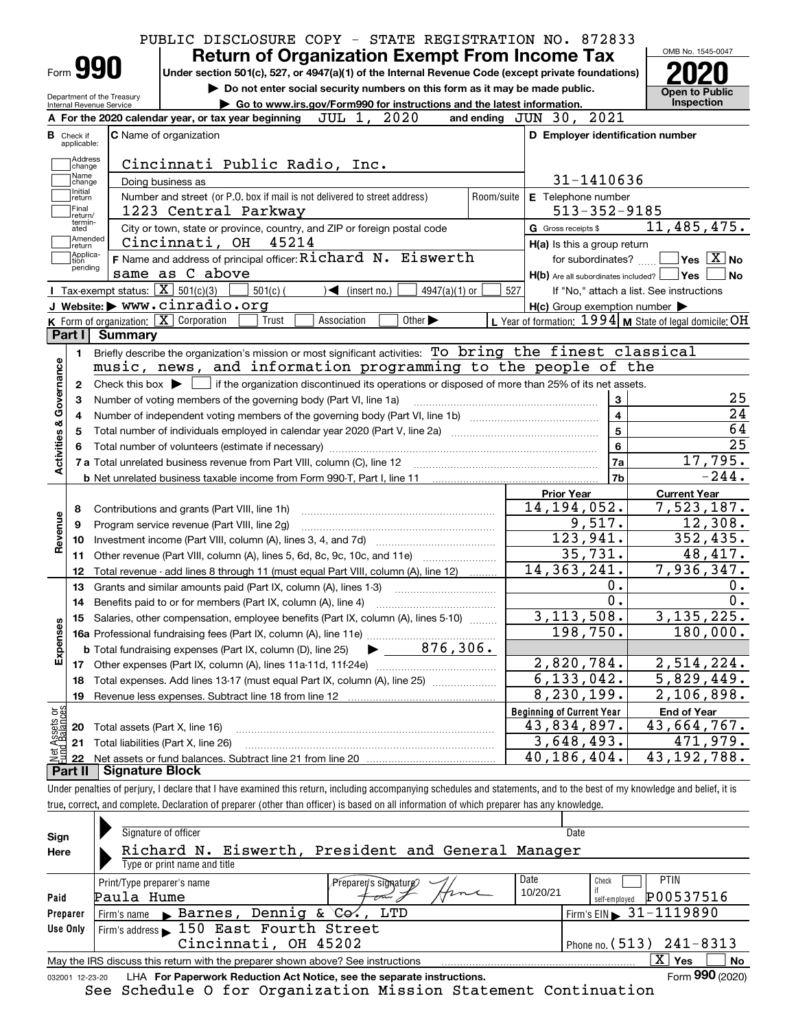|                                                                                                           | PUBLIC DISCLOSURE COPY - STATE REGISTRATION NO. 872833 |                                               |                                                                    |                                                                                                                                                     |                                       |            |                                  |                                                     |                                                           |  |
|-----------------------------------------------------------------------------------------------------------|--------------------------------------------------------|-----------------------------------------------|--------------------------------------------------------------------|-----------------------------------------------------------------------------------------------------------------------------------------------------|---------------------------------------|------------|----------------------------------|-----------------------------------------------------|-----------------------------------------------------------|--|
|                                                                                                           |                                                        |                                               | <b>Return of Organization Exempt From Income Tax</b>               |                                                                                                                                                     |                                       |            |                                  |                                                     | OMB No. 1545-0047                                         |  |
| Form 990                                                                                                  |                                                        |                                               |                                                                    | Under section 501(c), 527, or 4947(a)(1) of the Internal Revenue Code (except private foundations)                                                  |                                       |            |                                  |                                                     |                                                           |  |
| Do not enter social security numbers on this form as it may be made public.<br>Department of the Treasury |                                                        |                                               |                                                                    |                                                                                                                                                     |                                       |            |                                  |                                                     |                                                           |  |
| Internal Revenue Service                                                                                  |                                                        |                                               |                                                                    | Go to www.irs.gov/Form990 for instructions and the latest information.                                                                              |                                       |            |                                  |                                                     | Inspection                                                |  |
|                                                                                                           |                                                        |                                               | A For the 2020 calendar year, or tax year beginning                | JUL 1, 2020                                                                                                                                         |                                       |            | and ending JUN 30, 2021          |                                                     |                                                           |  |
| <b>B</b> Check if<br>applicable:                                                                          |                                                        | C Name of organization                        |                                                                    |                                                                                                                                                     |                                       |            |                                  | D Employer identification number                    |                                                           |  |
| Address                                                                                                   |                                                        |                                               |                                                                    |                                                                                                                                                     |                                       |            |                                  |                                                     |                                                           |  |
| change<br>Name                                                                                            |                                                        |                                               |                                                                    | Cincinnati Public Radio, Inc.                                                                                                                       |                                       |            |                                  |                                                     |                                                           |  |
| change<br>Initial                                                                                         | Doing business as                                      |                                               |                                                                    |                                                                                                                                                     |                                       |            |                                  | 31-1410636                                          |                                                           |  |
| return<br>Final                                                                                           |                                                        |                                               |                                                                    | Number and street (or P.O. box if mail is not delivered to street address)                                                                          |                                       | Room/suite | E Telephone number               |                                                     |                                                           |  |
| return/<br>termin-                                                                                        |                                                        |                                               | 1223 Central Parkway                                               |                                                                                                                                                     |                                       |            |                                  | $513 - 352 - 9185$                                  |                                                           |  |
| ated<br>Amended                                                                                           |                                                        |                                               | Cincinnati, OH 45214                                               | City or town, state or province, country, and ZIP or foreign postal code                                                                            |                                       |            | G Gross receipts \$              |                                                     | 11,485,475.                                               |  |
| ∣return<br>Applica-                                                                                       |                                                        |                                               |                                                                    | F Name and address of principal officer: Richard N. Eiswerth                                                                                        |                                       |            |                                  | H(a) Is this a group return                         | $\overline{\ }$ Yes $\overline{\phantom{X}}$ No           |  |
| tion<br>pending                                                                                           |                                                        | same as C above                               |                                                                    |                                                                                                                                                     |                                       |            |                                  | for subordinates?                                   |                                                           |  |
| Tax-exempt status: $\boxed{\mathbf{X}}$ 501(c)(3)                                                         |                                                        |                                               | $501(c)$ (                                                         | $\blacktriangleleft$ (insert no.)                                                                                                                   | $4947(a)(1)$ or                       | 527        |                                  |                                                     | $H(b)$ Are all subordinates included? $\Box$ Yes<br>  No  |  |
|                                                                                                           |                                                        | J Website: > www.cinradio.org                 |                                                                    |                                                                                                                                                     |                                       |            |                                  | $H(c)$ Group exemption number $\blacktriangleright$ | If "No," attach a list. See instructions                  |  |
|                                                                                                           |                                                        | K Form of organization: X Corporation         | Trust                                                              | Association                                                                                                                                         | Other $\blacktriangleright$           |            |                                  |                                                     | L Year of formation: 1994   M State of legal domicile: OH |  |
| Part I Summary                                                                                            |                                                        |                                               |                                                                    |                                                                                                                                                     |                                       |            |                                  |                                                     |                                                           |  |
| 1.                                                                                                        |                                                        |                                               |                                                                    | Briefly describe the organization's mission or most significant activities: To bring the finest classical                                           |                                       |            |                                  |                                                     |                                                           |  |
|                                                                                                           |                                                        |                                               |                                                                    |                                                                                                                                                     |                                       |            |                                  |                                                     |                                                           |  |
|                                                                                                           |                                                        |                                               |                                                                    |                                                                                                                                                     |                                       |            |                                  |                                                     |                                                           |  |
|                                                                                                           |                                                        |                                               |                                                                    | music, news, and information programming to the people of the                                                                                       |                                       |            |                                  |                                                     |                                                           |  |
| 2                                                                                                         |                                                        |                                               |                                                                    | Check this box $\blacktriangleright$ $\blacksquare$ if the organization discontinued its operations or disposed of more than 25% of its net assets. |                                       |            |                                  |                                                     |                                                           |  |
| З                                                                                                         |                                                        |                                               |                                                                    | Number of voting members of the governing body (Part VI, line 1a)                                                                                   |                                       |            |                                  | $\mathbf 3$                                         |                                                           |  |
| 4                                                                                                         |                                                        |                                               |                                                                    |                                                                                                                                                     |                                       |            |                                  | $\overline{\mathbf{4}}$                             |                                                           |  |
|                                                                                                           |                                                        |                                               |                                                                    |                                                                                                                                                     |                                       |            |                                  | $\overline{5}$                                      |                                                           |  |
|                                                                                                           |                                                        |                                               |                                                                    |                                                                                                                                                     |                                       |            |                                  | $6\phantom{a}$                                      |                                                           |  |
|                                                                                                           |                                                        |                                               |                                                                    |                                                                                                                                                     |                                       |            |                                  | 7a                                                  | 17,795.                                                   |  |
|                                                                                                           |                                                        |                                               |                                                                    | <b>b</b> Net unrelated business taxable income from Form 990-T, Part I, line 11 <b>manual constructs</b> contains the value of                      |                                       |            |                                  | 7 <sub>b</sub>                                      | $-244$ .                                                  |  |
|                                                                                                           |                                                        |                                               |                                                                    |                                                                                                                                                     |                                       |            | <b>Prior Year</b>                |                                                     | <b>Current Year</b>                                       |  |
| 8                                                                                                         |                                                        | Contributions and grants (Part VIII, line 1h) |                                                                    |                                                                                                                                                     |                                       |            | 14, 194, 052.                    |                                                     | 7,523,187.                                                |  |
| 9                                                                                                         |                                                        | Program service revenue (Part VIII, line 2g)  |                                                                    |                                                                                                                                                     |                                       |            |                                  | 9,517.                                              | 12,308.                                                   |  |
| 10                                                                                                        |                                                        |                                               |                                                                    |                                                                                                                                                     |                                       |            |                                  | 123,941.                                            | 352,435.                                                  |  |
| 11                                                                                                        |                                                        |                                               |                                                                    |                                                                                                                                                     |                                       |            |                                  | 35,731.                                             | 48,417.                                                   |  |
| 12                                                                                                        |                                                        |                                               |                                                                    | Total revenue - add lines 8 through 11 (must equal Part VIII, column (A), line 12)                                                                  |                                       |            | 14, 363, 241.                    |                                                     | 7,936,347.                                                |  |
| 13                                                                                                        |                                                        |                                               |                                                                    | Grants and similar amounts paid (Part IX, column (A), lines 1-3)                                                                                    | <u> 1986 - Januar Start, martin a</u> |            |                                  | 0.                                                  |                                                           |  |
| 14                                                                                                        |                                                        |                                               | Benefits paid to or for members (Part IX, column (A), line 4)      |                                                                                                                                                     |                                       |            |                                  | $\overline{0}$ .                                    |                                                           |  |
| 15                                                                                                        |                                                        |                                               |                                                                    | Salaries, other compensation, employee benefits (Part IX, column (A), lines 5-10)                                                                   |                                       |            | 3, 113, 508.                     |                                                     | 3, 135, 225.                                              |  |
|                                                                                                           |                                                        |                                               |                                                                    |                                                                                                                                                     |                                       |            |                                  | 198,750.                                            | 180,000.                                                  |  |
|                                                                                                           |                                                        |                                               | <b>b</b> Total fundraising expenses (Part IX, column (D), line 25) |                                                                                                                                                     | 876, 306.                             |            |                                  |                                                     |                                                           |  |
|                                                                                                           |                                                        |                                               |                                                                    | 17 Other expenses (Part IX, column (A), lines 11a-11d, 11f-24e)                                                                                     |                                       |            | 2,820,784.                       |                                                     | 2,514,224.                                                |  |
| 18                                                                                                        |                                                        |                                               |                                                                    | Total expenses. Add lines 13-17 (must equal Part IX, column (A), line 25) [11, 11, 1201, 1301, 1301, 1301, 130                                      |                                       |            | 6, 133, 042.                     |                                                     | $\overline{5}$ , 829, 449.                                |  |
| 19                                                                                                        |                                                        |                                               | Revenue less expenses. Subtract line 18 from line 12               |                                                                                                                                                     |                                       |            | $\overline{8}$ , 230, 199.       |                                                     | 2,106,898.                                                |  |
|                                                                                                           |                                                        |                                               |                                                                    |                                                                                                                                                     |                                       |            | <b>Beginning of Current Year</b> |                                                     | <b>End of Year</b>                                        |  |
| Activities & Governance<br>Revenue<br>Expenses<br>20                                                      |                                                        | Total assets (Part X, line 16)                |                                                                    |                                                                                                                                                     |                                       |            | 43,834,897.                      |                                                     | 43,664,767.                                               |  |
| Net Assets or<br>21<br>22                                                                                 |                                                        | Total liabilities (Part X, line 26)           |                                                                    |                                                                                                                                                     |                                       |            | 3,648,493.<br>40,186,404.        |                                                     | 471,979.<br>43, 192, 788.                                 |  |

true, correct, and complete. Declaration of preparer (other than officer) is based on all information of which preparer has any knowledge.

| Sign     | Signature of officer                                                                                         |          | Date                                   |  |  |  |  |  |  |  |  |
|----------|--------------------------------------------------------------------------------------------------------------|----------|----------------------------------------|--|--|--|--|--|--|--|--|
| Here     | Richard N. Eiswerth, President and General Manager                                                           |          |                                        |  |  |  |  |  |  |  |  |
|          | Type or print name and title                                                                                 |          |                                        |  |  |  |  |  |  |  |  |
|          | Print/Type preparer's name<br>$\mathcal P$ reparen s signature $\mathcal P$                                  | Date     | <b>PTIN</b><br>Check                   |  |  |  |  |  |  |  |  |
| Paid     | Paula Hume                                                                                                   | 10/20/21 | P00537516<br>self-employed             |  |  |  |  |  |  |  |  |
| Preparer | Firm's name Barnes, Dennig & $C\rightarrow$ , LTD                                                            |          | Firm's EIN $\triangleright$ 31-1119890 |  |  |  |  |  |  |  |  |
| Use Only | Firm's address 150 East Fourth Street                                                                        |          |                                        |  |  |  |  |  |  |  |  |
|          | Cincinnati, OH 45202<br>Phone no. $(513)$ $241-8313$                                                         |          |                                        |  |  |  |  |  |  |  |  |
|          | x<br>Yes<br><b>No</b><br>May the IRS discuss this return with the preparer shown above? See instructions     |          |                                        |  |  |  |  |  |  |  |  |
|          | Form 990 (2020)<br>LHA For Paperwork Reduction Act Notice, see the separate instructions.<br>032001 12-23-20 |          |                                        |  |  |  |  |  |  |  |  |

See Schedule O for Organization Mission Statement Continuation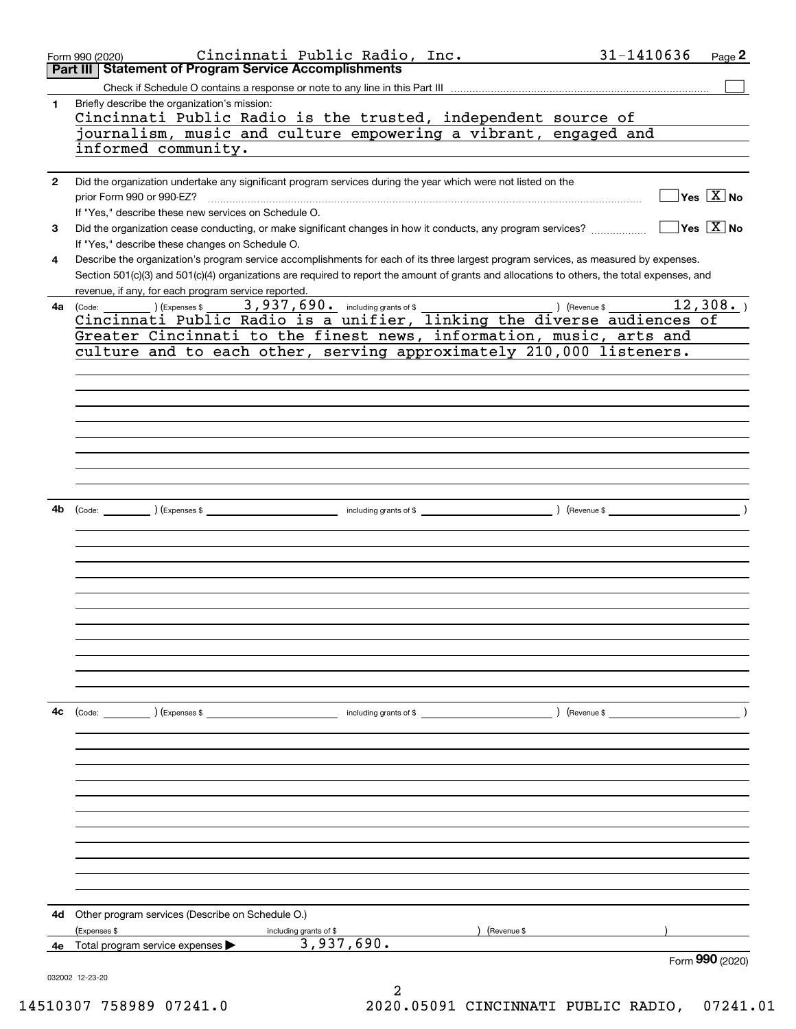|              | Cincinnati Public Radio, Inc.<br>Form 990 (2020)                                                                                             | 31-1410636<br>Page 2                          |
|--------------|----------------------------------------------------------------------------------------------------------------------------------------------|-----------------------------------------------|
| Part III     | <b>Statement of Program Service Accomplishments</b>                                                                                          |                                               |
|              |                                                                                                                                              |                                               |
| 1.           | Briefly describe the organization's mission:                                                                                                 |                                               |
|              | Cincinnati Public Radio is the trusted, independent source of                                                                                |                                               |
|              | ournalism, music and culture empowering a vibrant, engaged and                                                                               |                                               |
|              | informed community.                                                                                                                          |                                               |
|              |                                                                                                                                              |                                               |
| $\mathbf{2}$ | Did the organization undertake any significant program services during the year which were not listed on the                                 |                                               |
|              | prior Form 990 or 990-EZ?                                                                                                                    | $\sqrt{}$ Yes $\sqrt{}$ $\overline{\rm X}$ No |
|              | If "Yes," describe these new services on Schedule O.                                                                                         |                                               |
| 3            | Did the organization cease conducting, or make significant changes in how it conducts, any program services?                                 | $\sqrt{}$ Yes $\sqrt{}$ X $\sqrt{}$ No        |
|              | If "Yes," describe these changes on Schedule O.                                                                                              |                                               |
| 4            | Describe the organization's program service accomplishments for each of its three largest program services, as measured by expenses.         |                                               |
|              | Section 501(c)(3) and 501(c)(4) organizations are required to report the amount of grants and allocations to others, the total expenses, and |                                               |
|              | revenue, if any, for each program service reported.                                                                                          | $\overline{12}$ , 308.                        |
|              | <b>4a</b> (Code: ) (Expenses \$<br>Cincinnati Public Radio is a unifier, linking the diverse audiences of                                    |                                               |
|              | Greater Cincinnati to the finest news, information, music, arts and                                                                          |                                               |
|              | culture and to each other, serving approximately 210,000 listeners.                                                                          |                                               |
|              |                                                                                                                                              |                                               |
|              |                                                                                                                                              |                                               |
|              |                                                                                                                                              |                                               |
|              |                                                                                                                                              |                                               |
|              |                                                                                                                                              |                                               |
|              |                                                                                                                                              |                                               |
|              |                                                                                                                                              |                                               |
|              |                                                                                                                                              |                                               |
|              |                                                                                                                                              |                                               |
| 4b           |                                                                                                                                              |                                               |
|              |                                                                                                                                              |                                               |
|              |                                                                                                                                              |                                               |
|              |                                                                                                                                              |                                               |
|              |                                                                                                                                              |                                               |
|              |                                                                                                                                              |                                               |
|              |                                                                                                                                              |                                               |
|              |                                                                                                                                              |                                               |
|              |                                                                                                                                              |                                               |
|              |                                                                                                                                              |                                               |
|              |                                                                                                                                              |                                               |
|              |                                                                                                                                              |                                               |
|              |                                                                                                                                              |                                               |
| 4c           | (Code: ) (Expenses \$<br>) (Revenue \$<br>including grants of $$$                                                                            |                                               |
|              |                                                                                                                                              |                                               |
|              |                                                                                                                                              |                                               |
|              |                                                                                                                                              |                                               |
|              |                                                                                                                                              |                                               |
|              |                                                                                                                                              |                                               |
|              |                                                                                                                                              |                                               |
|              |                                                                                                                                              |                                               |
|              |                                                                                                                                              |                                               |
|              |                                                                                                                                              |                                               |
|              |                                                                                                                                              |                                               |
|              |                                                                                                                                              |                                               |
| 4d           | Other program services (Describe on Schedule O.)                                                                                             |                                               |
|              | (Expenses \$<br>Revenue \$<br>including grants of \$                                                                                         |                                               |
|              | 3,937,690.<br><b>4e</b> Total program service expenses $\blacktriangleright$                                                                 |                                               |
|              |                                                                                                                                              | Form 990 (2020)                               |
|              | 032002 12-23-20                                                                                                                              |                                               |
|              |                                                                                                                                              |                                               |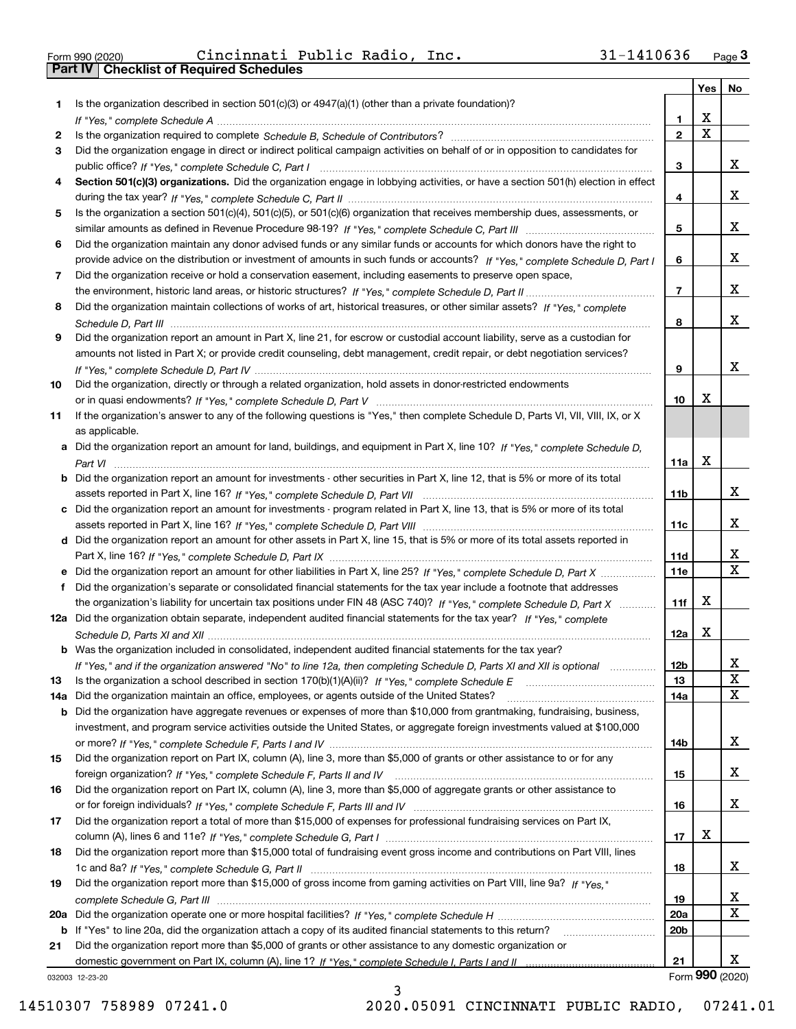|  | Form 990 (2020) |
|--|-----------------|

Form 990 (2020) Cincinnati Public Radio, Inc**.** 31-1410636 <sub>Page</sub> 3<br>**Part IV | Checklist of Required Schedules** 

|     |                                                                                                                                                                                                                                                   |                        | Yes                     | No                           |
|-----|---------------------------------------------------------------------------------------------------------------------------------------------------------------------------------------------------------------------------------------------------|------------------------|-------------------------|------------------------------|
| 1.  | Is the organization described in section $501(c)(3)$ or $4947(a)(1)$ (other than a private foundation)?                                                                                                                                           |                        |                         |                              |
|     |                                                                                                                                                                                                                                                   | 1.                     | X                       |                              |
| 2   |                                                                                                                                                                                                                                                   | $\overline{2}$         | $\overline{\mathbf{x}}$ |                              |
| 3   | Did the organization engage in direct or indirect political campaign activities on behalf of or in opposition to candidates for                                                                                                                   |                        |                         |                              |
|     |                                                                                                                                                                                                                                                   | 3                      |                         | x                            |
| 4   | Section 501(c)(3) organizations. Did the organization engage in lobbying activities, or have a section 501(h) election in effect                                                                                                                  |                        |                         | x                            |
|     |                                                                                                                                                                                                                                                   | 4                      |                         |                              |
| 5   | Is the organization a section 501(c)(4), 501(c)(5), or 501(c)(6) organization that receives membership dues, assessments, or                                                                                                                      | 5                      |                         | x                            |
| 6   | Did the organization maintain any donor advised funds or any similar funds or accounts for which donors have the right to                                                                                                                         |                        |                         |                              |
|     | provide advice on the distribution or investment of amounts in such funds or accounts? If "Yes," complete Schedule D, Part I                                                                                                                      | 6                      |                         | x                            |
| 7   | Did the organization receive or hold a conservation easement, including easements to preserve open space,                                                                                                                                         |                        |                         |                              |
|     |                                                                                                                                                                                                                                                   | $\overline{7}$         |                         | x                            |
| 8   | Did the organization maintain collections of works of art, historical treasures, or other similar assets? If "Yes," complete                                                                                                                      |                        |                         |                              |
|     |                                                                                                                                                                                                                                                   | 8                      |                         | x                            |
| 9   | Did the organization report an amount in Part X, line 21, for escrow or custodial account liability, serve as a custodian for                                                                                                                     |                        |                         |                              |
|     | amounts not listed in Part X; or provide credit counseling, debt management, credit repair, or debt negotiation services?                                                                                                                         |                        |                         |                              |
|     |                                                                                                                                                                                                                                                   | 9                      |                         | x                            |
| 10  | Did the organization, directly or through a related organization, hold assets in donor-restricted endowments                                                                                                                                      |                        |                         |                              |
|     |                                                                                                                                                                                                                                                   | 10                     | X                       |                              |
| 11  | If the organization's answer to any of the following questions is "Yes," then complete Schedule D, Parts VI, VII, VIII, IX, or X                                                                                                                  |                        |                         |                              |
|     | as applicable.                                                                                                                                                                                                                                    |                        |                         |                              |
|     | a Did the organization report an amount for land, buildings, and equipment in Part X, line 10? If "Yes." complete Schedule D.                                                                                                                     |                        |                         |                              |
|     |                                                                                                                                                                                                                                                   | 11a                    | X                       |                              |
|     | <b>b</b> Did the organization report an amount for investments - other securities in Part X, line 12, that is 5% or more of its total                                                                                                             |                        |                         |                              |
|     |                                                                                                                                                                                                                                                   | 11 <sub>b</sub>        |                         | x                            |
|     | c Did the organization report an amount for investments - program related in Part X, line 13, that is 5% or more of its total                                                                                                                     |                        |                         |                              |
|     |                                                                                                                                                                                                                                                   | 11c                    |                         | x                            |
|     | d Did the organization report an amount for other assets in Part X, line 15, that is 5% or more of its total assets reported in                                                                                                                   |                        |                         |                              |
|     |                                                                                                                                                                                                                                                   | 11d                    |                         | x<br>$\overline{\mathbf{x}}$ |
|     | e Did the organization report an amount for other liabilities in Part X, line 25? If "Yes," complete Schedule D, Part X                                                                                                                           | 11e                    |                         |                              |
| f   | Did the organization's separate or consolidated financial statements for the tax year include a footnote that addresses<br>the organization's liability for uncertain tax positions under FIN 48 (ASC 740)? If "Yes," complete Schedule D, Part X | 11f                    | X                       |                              |
|     | 12a Did the organization obtain separate, independent audited financial statements for the tax year? If "Yes," complete                                                                                                                           |                        |                         |                              |
|     |                                                                                                                                                                                                                                                   | 12a                    | X                       |                              |
|     | <b>b</b> Was the organization included in consolidated, independent audited financial statements for the tax year?                                                                                                                                |                        |                         |                              |
|     | If "Yes," and if the organization answered "No" to line 12a, then completing Schedule D, Parts XI and XII is optional                                                                                                                             | 12D                    |                         | ᅀ                            |
| 13  | Is the organization a school described in section $170(b)(1)(A)(ii)?$ If "Yes," complete Schedule E                                                                                                                                               | 13                     |                         | X                            |
| 14a | Did the organization maintain an office, employees, or agents outside of the United States?                                                                                                                                                       | 14a                    |                         | X                            |
|     | <b>b</b> Did the organization have aggregate revenues or expenses of more than \$10,000 from grantmaking, fundraising, business,                                                                                                                  |                        |                         |                              |
|     | investment, and program service activities outside the United States, or aggregate foreign investments valued at \$100,000                                                                                                                        |                        |                         |                              |
|     |                                                                                                                                                                                                                                                   | 14b                    |                         | x                            |
| 15  | Did the organization report on Part IX, column (A), line 3, more than \$5,000 of grants or other assistance to or for any                                                                                                                         |                        |                         |                              |
|     |                                                                                                                                                                                                                                                   | 15                     |                         | x                            |
| 16  | Did the organization report on Part IX, column (A), line 3, more than \$5,000 of aggregate grants or other assistance to                                                                                                                          |                        |                         |                              |
|     |                                                                                                                                                                                                                                                   | 16                     |                         | x                            |
| 17  | Did the organization report a total of more than \$15,000 of expenses for professional fundraising services on Part IX,                                                                                                                           |                        |                         |                              |
|     |                                                                                                                                                                                                                                                   | 17                     | х                       |                              |
| 18  | Did the organization report more than \$15,000 total of fundraising event gross income and contributions on Part VIII, lines                                                                                                                      |                        |                         |                              |
|     |                                                                                                                                                                                                                                                   | 18                     |                         | x                            |
| 19  | Did the organization report more than \$15,000 of gross income from gaming activities on Part VIII, line 9a? If "Yes."                                                                                                                            |                        |                         |                              |
|     |                                                                                                                                                                                                                                                   | 19                     |                         | X<br>$\mathbf X$             |
|     |                                                                                                                                                                                                                                                   | 20a<br>20 <sub>b</sub> |                         |                              |
| 21  | b If "Yes" to line 20a, did the organization attach a copy of its audited financial statements to this return?<br>Did the organization report more than \$5,000 of grants or other assistance to any domestic organization or                     |                        |                         |                              |
|     |                                                                                                                                                                                                                                                   | 21                     |                         | x                            |
|     | 032003 12-23-20                                                                                                                                                                                                                                   |                        |                         | Form 990 (2020)              |

3

032003 12-23-20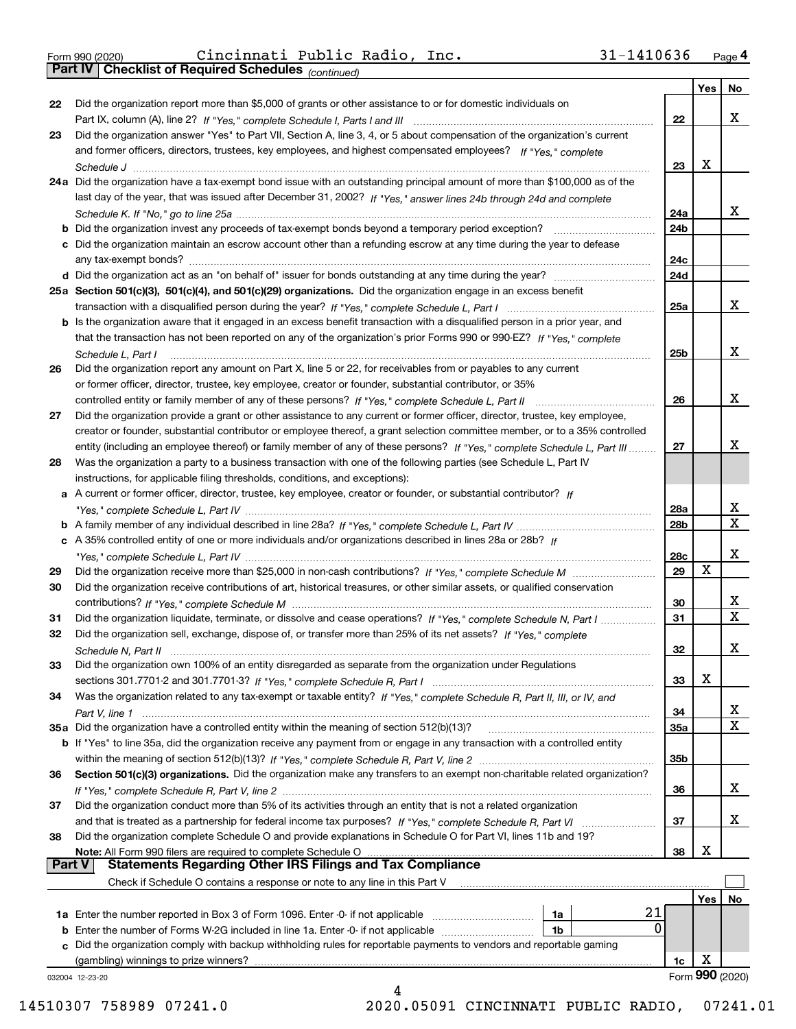|  | Form 990 (2020) |
|--|-----------------|
|  |                 |

Form 990 (2020) Cincinnati Public Radio, Inc**.** 31-1410636 <sub>Page</sub> 4<br>**Part IV | Checklist of Required Schedules** <sub>(continued)</sub>

*(continued)*

| 38<br><b>Part V</b> | and that is treated as a partnership for federal income tax purposes? If "Yes," complete Schedule R, Part VI<br>Did the organization complete Schedule O and provide explanations in Schedule O for Part VI, lines 11b and 19?<br>Note: All Form 990 filers are required to complete Schedule O<br><b>Statements Regarding Other IRS Filings and Tax Compliance</b><br>Check if Schedule O contains a response or note to any line in this Part V | 37<br>38               | X<br>Yes | No.                     |
|---------------------|---------------------------------------------------------------------------------------------------------------------------------------------------------------------------------------------------------------------------------------------------------------------------------------------------------------------------------------------------------------------------------------------------------------------------------------------------|------------------------|----------|-------------------------|
|                     |                                                                                                                                                                                                                                                                                                                                                                                                                                                   |                        |          |                         |
|                     |                                                                                                                                                                                                                                                                                                                                                                                                                                                   |                        |          |                         |
|                     |                                                                                                                                                                                                                                                                                                                                                                                                                                                   |                        |          |                         |
|                     |                                                                                                                                                                                                                                                                                                                                                                                                                                                   |                        |          |                         |
|                     |                                                                                                                                                                                                                                                                                                                                                                                                                                                   |                        |          |                         |
| 37                  |                                                                                                                                                                                                                                                                                                                                                                                                                                                   |                        |          | x                       |
|                     | Did the organization conduct more than 5% of its activities through an entity that is not a related organization                                                                                                                                                                                                                                                                                                                                  |                        |          |                         |
|                     |                                                                                                                                                                                                                                                                                                                                                                                                                                                   | 36                     |          | x                       |
| 36                  | Section 501(c)(3) organizations. Did the organization make any transfers to an exempt non-charitable related organization?                                                                                                                                                                                                                                                                                                                        |                        |          |                         |
|                     |                                                                                                                                                                                                                                                                                                                                                                                                                                                   | 35b                    |          |                         |
|                     | b If "Yes" to line 35a, did the organization receive any payment from or engage in any transaction with a controlled entity                                                                                                                                                                                                                                                                                                                       |                        |          |                         |
|                     | 35a Did the organization have a controlled entity within the meaning of section 512(b)(13)?                                                                                                                                                                                                                                                                                                                                                       | 35a                    |          | X                       |
|                     |                                                                                                                                                                                                                                                                                                                                                                                                                                                   | 34                     |          | x                       |
| 34                  | Was the organization related to any tax-exempt or taxable entity? If "Yes," complete Schedule R, Part II, III, or IV, and                                                                                                                                                                                                                                                                                                                         |                        |          |                         |
|                     |                                                                                                                                                                                                                                                                                                                                                                                                                                                   | 33                     | X        |                         |
| 33                  | Did the organization own 100% of an entity disregarded as separate from the organization under Regulations                                                                                                                                                                                                                                                                                                                                        |                        |          |                         |
|                     |                                                                                                                                                                                                                                                                                                                                                                                                                                                   | 32                     |          | x                       |
| 32                  | Did the organization sell, exchange, dispose of, or transfer more than 25% of its net assets? If "Yes," complete                                                                                                                                                                                                                                                                                                                                  |                        |          |                         |
| 31                  | Did the organization liquidate, terminate, or dissolve and cease operations? If "Yes," complete Schedule N, Part I                                                                                                                                                                                                                                                                                                                                | 31                     |          | $\overline{\mathbf{x}}$ |
|                     |                                                                                                                                                                                                                                                                                                                                                                                                                                                   | 30                     |          | X.                      |
| 30                  | Did the organization receive contributions of art, historical treasures, or other similar assets, or qualified conservation                                                                                                                                                                                                                                                                                                                       |                        |          |                         |
| 29                  |                                                                                                                                                                                                                                                                                                                                                                                                                                                   | 29                     | X        |                         |
|                     |                                                                                                                                                                                                                                                                                                                                                                                                                                                   | 28c                    |          | x                       |
|                     | c A 35% controlled entity of one or more individuals and/or organizations described in lines 28a or 28b? If                                                                                                                                                                                                                                                                                                                                       |                        |          |                         |
|                     |                                                                                                                                                                                                                                                                                                                                                                                                                                                   | 28a<br>28 <sub>b</sub> |          | $\overline{\mathbf{X}}$ |
|                     | a A current or former officer, director, trustee, key employee, creator or founder, or substantial contributor? If                                                                                                                                                                                                                                                                                                                                |                        |          | X                       |
|                     | instructions, for applicable filing thresholds, conditions, and exceptions):                                                                                                                                                                                                                                                                                                                                                                      |                        |          |                         |
| 28                  | Was the organization a party to a business transaction with one of the following parties (see Schedule L, Part IV                                                                                                                                                                                                                                                                                                                                 |                        |          |                         |
|                     | entity (including an employee thereof) or family member of any of these persons? If "Yes," complete Schedule L, Part III                                                                                                                                                                                                                                                                                                                          | 27                     |          | x                       |
|                     | creator or founder, substantial contributor or employee thereof, a grant selection committee member, or to a 35% controlled                                                                                                                                                                                                                                                                                                                       |                        |          |                         |
| 27                  | Did the organization provide a grant or other assistance to any current or former officer, director, trustee, key employee,                                                                                                                                                                                                                                                                                                                       |                        |          |                         |
|                     |                                                                                                                                                                                                                                                                                                                                                                                                                                                   | 26                     |          | x                       |
|                     | or former officer, director, trustee, key employee, creator or founder, substantial contributor, or 35%                                                                                                                                                                                                                                                                                                                                           |                        |          |                         |
| 26                  | Did the organization report any amount on Part X, line 5 or 22, for receivables from or payables to any current                                                                                                                                                                                                                                                                                                                                   |                        |          |                         |
|                     | Schedule L, Part I                                                                                                                                                                                                                                                                                                                                                                                                                                | 25b                    |          |                         |
|                     | that the transaction has not been reported on any of the organization's prior Forms 990 or 990-EZ? If "Yes." complete                                                                                                                                                                                                                                                                                                                             |                        |          | x                       |
|                     | b Is the organization aware that it engaged in an excess benefit transaction with a disqualified person in a prior year, and                                                                                                                                                                                                                                                                                                                      |                        |          |                         |
|                     |                                                                                                                                                                                                                                                                                                                                                                                                                                                   | 25a                    |          |                         |
|                     | 25a Section 501(c)(3), 501(c)(4), and 501(c)(29) organizations. Did the organization engage in an excess benefit                                                                                                                                                                                                                                                                                                                                  |                        |          | X.                      |
|                     |                                                                                                                                                                                                                                                                                                                                                                                                                                                   | 24d                    |          |                         |
|                     |                                                                                                                                                                                                                                                                                                                                                                                                                                                   | 24c                    |          |                         |
|                     | c Did the organization maintain an escrow account other than a refunding escrow at any time during the year to defease                                                                                                                                                                                                                                                                                                                            |                        |          |                         |
|                     | <b>b</b> Did the organization invest any proceeds of tax-exempt bonds beyond a temporary period exception?                                                                                                                                                                                                                                                                                                                                        | 24b                    |          |                         |
|                     |                                                                                                                                                                                                                                                                                                                                                                                                                                                   | 24a                    |          | X.                      |
|                     | last day of the year, that was issued after December 31, 2002? If "Yes," answer lines 24b through 24d and complete                                                                                                                                                                                                                                                                                                                                |                        |          |                         |
|                     | 24a Did the organization have a tax-exempt bond issue with an outstanding principal amount of more than \$100,000 as of the                                                                                                                                                                                                                                                                                                                       |                        |          |                         |
|                     |                                                                                                                                                                                                                                                                                                                                                                                                                                                   | 23                     | X        |                         |
|                     | and former officers, directors, trustees, key employees, and highest compensated employees? If "Yes," complete                                                                                                                                                                                                                                                                                                                                    |                        |          |                         |
| 23                  | Did the organization answer "Yes" to Part VII, Section A, line 3, 4, or 5 about compensation of the organization's current                                                                                                                                                                                                                                                                                                                        |                        |          |                         |
|                     |                                                                                                                                                                                                                                                                                                                                                                                                                                                   | 22                     |          | x                       |
| 22                  | Did the organization report more than \$5,000 of grants or other assistance to or for domestic individuals on                                                                                                                                                                                                                                                                                                                                     |                        |          |                         |
|                     |                                                                                                                                                                                                                                                                                                                                                                                                                                                   |                        | Yes      | No                      |

 <sup>14510307 758989 07241.0 2020.05091</sup> CINCINNATI PUBLIC RADIO, 07241.01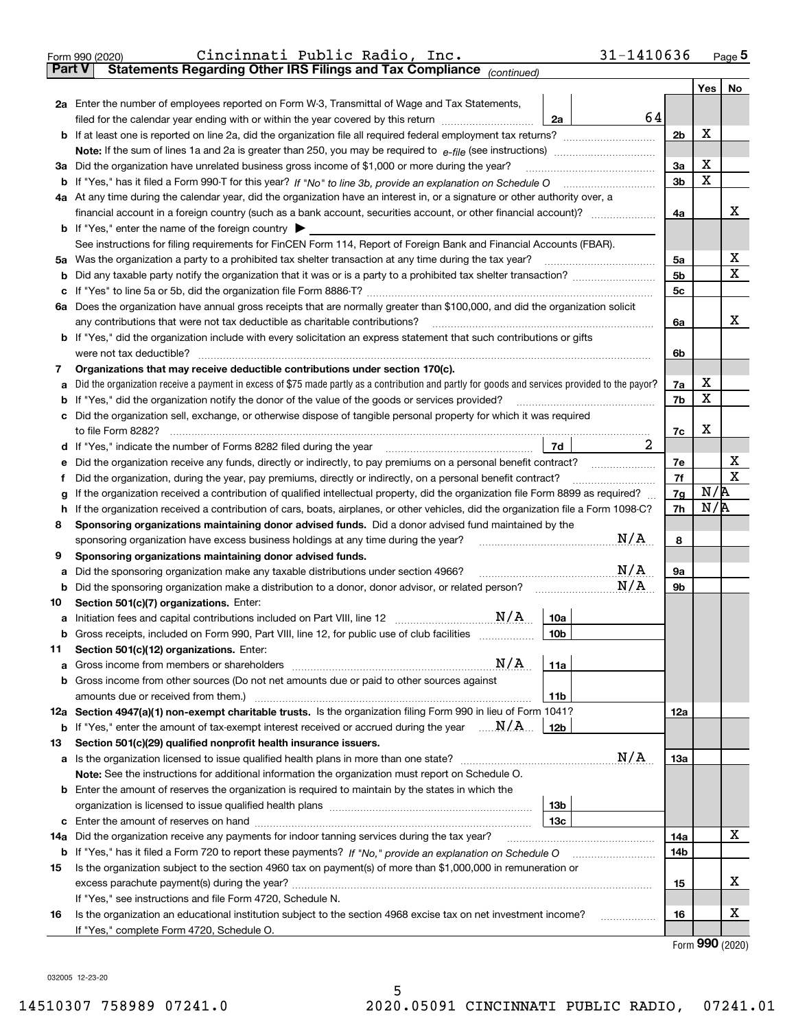| Statements Regarding Other IRS Filings and Tax Compliance (continued)<br><b>Part V</b><br>2a Enter the number of employees reported on Form W-3, Transmittal of Wage and Tax Statements,<br>64<br>filed for the calendar year ending with or within the year covered by this return<br>2a<br>2b<br>За<br>3a Did the organization have unrelated business gross income of \$1,000 or more during the year?<br>3b<br>b<br>4a At any time during the calendar year, did the organization have an interest in, or a signature or other authority over, a<br>4a<br><b>b</b> If "Yes," enter the name of the foreign country $\blacktriangleright$<br>See instructions for filing requirements for FinCEN Form 114, Report of Foreign Bank and Financial Accounts (FBAR).<br>5a<br>5 <sub>b</sub><br>b<br>5c<br>c<br>6a Does the organization have annual gross receipts that are normally greater than \$100,000, and did the organization solicit<br>6a<br><b>b</b> If "Yes," did the organization include with every solicitation an express statement that such contributions or gifts<br>were not tax deductible?<br>6b<br>Organizations that may receive deductible contributions under section 170(c).<br>7<br>Did the organization receive a payment in excess of \$75 made partly as a contribution and partly for goods and services provided to the payor?<br>7a<br>а<br>If "Yes," did the organization notify the donor of the value of the goods or services provided?<br>7b<br>b<br>c Did the organization sell, exchange, or otherwise dispose of tangible personal property for which it was required<br>7c<br>2<br> 7d <br>Did the organization receive any funds, directly or indirectly, to pay premiums on a personal benefit contract?<br>7e<br>е<br>7f<br>Did the organization, during the year, pay premiums, directly or indirectly, on a personal benefit contract?<br>f<br>If the organization received a contribution of qualified intellectual property, did the organization file Form 8899 as required?<br>7g<br>g<br>If the organization received a contribution of cars, boats, airplanes, or other vehicles, did the organization file a Form 1098-C?<br>7h<br>h<br>Sponsoring organizations maintaining donor advised funds. Did a donor advised fund maintained by the<br>8<br>N/A<br>8<br>sponsoring organization have excess business holdings at any time during the year?<br>Sponsoring organizations maintaining donor advised funds.<br>9<br>N/A<br>9а<br>Did the sponsoring organization make any taxable distributions under section 4966?<br>а<br>N/A<br>Did the sponsoring organization make a distribution to a donor, donor advisor, or related person? [[[[[[[[[[[<br>9b<br>b<br>Section 501(c)(7) organizations. Enter:<br>10<br>N/A<br>10a<br>a Initiation fees and capital contributions included on Part VIII, line 12 [111] [12] [11] Initiation fees and capital contributions included on Part VIII, line 12<br>Gross receipts, included on Form 990, Part VIII, line 12, for public use of club facilities<br>10 <sub>b</sub><br>Section 501(c)(12) organizations. Enter:<br>11<br>N/A<br>11a<br>b Gross income from other sources (Do not net amounts due or paid to other sources against<br>11 <sub>b</sub><br>12a Section 4947(a)(1) non-exempt charitable trusts. Is the organization filing Form 990 in lieu of Form 1041?<br>12a<br><b>b</b> If "Yes," enter the amount of tax-exempt interest received or accrued during the year $\ldots \mathbf{N}/\mathbf{A}$<br>12b<br>Section 501(c)(29) qualified nonprofit health insurance issuers.<br>13<br>N/A<br>13a<br>a Is the organization licensed to issue qualified health plans in more than one state?<br>Note: See the instructions for additional information the organization must report on Schedule O.<br><b>b</b> Enter the amount of reserves the organization is required to maintain by the states in which the<br>13b | Page $5$     |
|----------------------------------------------------------------------------------------------------------------------------------------------------------------------------------------------------------------------------------------------------------------------------------------------------------------------------------------------------------------------------------------------------------------------------------------------------------------------------------------------------------------------------------------------------------------------------------------------------------------------------------------------------------------------------------------------------------------------------------------------------------------------------------------------------------------------------------------------------------------------------------------------------------------------------------------------------------------------------------------------------------------------------------------------------------------------------------------------------------------------------------------------------------------------------------------------------------------------------------------------------------------------------------------------------------------------------------------------------------------------------------------------------------------------------------------------------------------------------------------------------------------------------------------------------------------------------------------------------------------------------------------------------------------------------------------------------------------------------------------------------------------------------------------------------------------------------------------------------------------------------------------------------------------------------------------------------------------------------------------------------------------------------------------------------------------------------------------------------------------------------------------------------------------------------------------------------------------------------------------------------------------------------------------------------------------------------------------------------------------------------------------------------------------------------------------------------------------------------------------------------------------------------------------------------------------------------------------------------------------------------------------------------------------------------------------------------------------------------------------------------------------------------------------------------------------------------------------------------------------------------------------------------------------------------------------------------------------------------------------------------------------------------------------------------------------------------------------------------------------------------------------------------------------------------------------------------------------------------------------------------------------------------------------------------------------------------------------------------------------------------------------------------------------------------------------------------------------------------------------------------------------------------------------------------------------------------------------------------------------------------------------------------------------------------------------------------------------------------------------------------------------------------------------------------------------------------------------------------------------------------------------------------------------------------------------------|--------------|
|                                                                                                                                                                                                                                                                                                                                                                                                                                                                                                                                                                                                                                                                                                                                                                                                                                                                                                                                                                                                                                                                                                                                                                                                                                                                                                                                                                                                                                                                                                                                                                                                                                                                                                                                                                                                                                                                                                                                                                                                                                                                                                                                                                                                                                                                                                                                                                                                                                                                                                                                                                                                                                                                                                                                                                                                                                                                                                                                                                                                                                                                                                                                                                                                                                                                                                                                                                                                                                                                                                                                                                                                                                                                                                                                                                                                                                                                                                                                              |              |
|                                                                                                                                                                                                                                                                                                                                                                                                                                                                                                                                                                                                                                                                                                                                                                                                                                                                                                                                                                                                                                                                                                                                                                                                                                                                                                                                                                                                                                                                                                                                                                                                                                                                                                                                                                                                                                                                                                                                                                                                                                                                                                                                                                                                                                                                                                                                                                                                                                                                                                                                                                                                                                                                                                                                                                                                                                                                                                                                                                                                                                                                                                                                                                                                                                                                                                                                                                                                                                                                                                                                                                                                                                                                                                                                                                                                                                                                                                                                              | Yes<br>No    |
|                                                                                                                                                                                                                                                                                                                                                                                                                                                                                                                                                                                                                                                                                                                                                                                                                                                                                                                                                                                                                                                                                                                                                                                                                                                                                                                                                                                                                                                                                                                                                                                                                                                                                                                                                                                                                                                                                                                                                                                                                                                                                                                                                                                                                                                                                                                                                                                                                                                                                                                                                                                                                                                                                                                                                                                                                                                                                                                                                                                                                                                                                                                                                                                                                                                                                                                                                                                                                                                                                                                                                                                                                                                                                                                                                                                                                                                                                                                                              |              |
|                                                                                                                                                                                                                                                                                                                                                                                                                                                                                                                                                                                                                                                                                                                                                                                                                                                                                                                                                                                                                                                                                                                                                                                                                                                                                                                                                                                                                                                                                                                                                                                                                                                                                                                                                                                                                                                                                                                                                                                                                                                                                                                                                                                                                                                                                                                                                                                                                                                                                                                                                                                                                                                                                                                                                                                                                                                                                                                                                                                                                                                                                                                                                                                                                                                                                                                                                                                                                                                                                                                                                                                                                                                                                                                                                                                                                                                                                                                                              |              |
|                                                                                                                                                                                                                                                                                                                                                                                                                                                                                                                                                                                                                                                                                                                                                                                                                                                                                                                                                                                                                                                                                                                                                                                                                                                                                                                                                                                                                                                                                                                                                                                                                                                                                                                                                                                                                                                                                                                                                                                                                                                                                                                                                                                                                                                                                                                                                                                                                                                                                                                                                                                                                                                                                                                                                                                                                                                                                                                                                                                                                                                                                                                                                                                                                                                                                                                                                                                                                                                                                                                                                                                                                                                                                                                                                                                                                                                                                                                                              | X            |
|                                                                                                                                                                                                                                                                                                                                                                                                                                                                                                                                                                                                                                                                                                                                                                                                                                                                                                                                                                                                                                                                                                                                                                                                                                                                                                                                                                                                                                                                                                                                                                                                                                                                                                                                                                                                                                                                                                                                                                                                                                                                                                                                                                                                                                                                                                                                                                                                                                                                                                                                                                                                                                                                                                                                                                                                                                                                                                                                                                                                                                                                                                                                                                                                                                                                                                                                                                                                                                                                                                                                                                                                                                                                                                                                                                                                                                                                                                                                              |              |
|                                                                                                                                                                                                                                                                                                                                                                                                                                                                                                                                                                                                                                                                                                                                                                                                                                                                                                                                                                                                                                                                                                                                                                                                                                                                                                                                                                                                                                                                                                                                                                                                                                                                                                                                                                                                                                                                                                                                                                                                                                                                                                                                                                                                                                                                                                                                                                                                                                                                                                                                                                                                                                                                                                                                                                                                                                                                                                                                                                                                                                                                                                                                                                                                                                                                                                                                                                                                                                                                                                                                                                                                                                                                                                                                                                                                                                                                                                                                              | X            |
|                                                                                                                                                                                                                                                                                                                                                                                                                                                                                                                                                                                                                                                                                                                                                                                                                                                                                                                                                                                                                                                                                                                                                                                                                                                                                                                                                                                                                                                                                                                                                                                                                                                                                                                                                                                                                                                                                                                                                                                                                                                                                                                                                                                                                                                                                                                                                                                                                                                                                                                                                                                                                                                                                                                                                                                                                                                                                                                                                                                                                                                                                                                                                                                                                                                                                                                                                                                                                                                                                                                                                                                                                                                                                                                                                                                                                                                                                                                                              | X            |
|                                                                                                                                                                                                                                                                                                                                                                                                                                                                                                                                                                                                                                                                                                                                                                                                                                                                                                                                                                                                                                                                                                                                                                                                                                                                                                                                                                                                                                                                                                                                                                                                                                                                                                                                                                                                                                                                                                                                                                                                                                                                                                                                                                                                                                                                                                                                                                                                                                                                                                                                                                                                                                                                                                                                                                                                                                                                                                                                                                                                                                                                                                                                                                                                                                                                                                                                                                                                                                                                                                                                                                                                                                                                                                                                                                                                                                                                                                                                              |              |
|                                                                                                                                                                                                                                                                                                                                                                                                                                                                                                                                                                                                                                                                                                                                                                                                                                                                                                                                                                                                                                                                                                                                                                                                                                                                                                                                                                                                                                                                                                                                                                                                                                                                                                                                                                                                                                                                                                                                                                                                                                                                                                                                                                                                                                                                                                                                                                                                                                                                                                                                                                                                                                                                                                                                                                                                                                                                                                                                                                                                                                                                                                                                                                                                                                                                                                                                                                                                                                                                                                                                                                                                                                                                                                                                                                                                                                                                                                                                              | x            |
|                                                                                                                                                                                                                                                                                                                                                                                                                                                                                                                                                                                                                                                                                                                                                                                                                                                                                                                                                                                                                                                                                                                                                                                                                                                                                                                                                                                                                                                                                                                                                                                                                                                                                                                                                                                                                                                                                                                                                                                                                                                                                                                                                                                                                                                                                                                                                                                                                                                                                                                                                                                                                                                                                                                                                                                                                                                                                                                                                                                                                                                                                                                                                                                                                                                                                                                                                                                                                                                                                                                                                                                                                                                                                                                                                                                                                                                                                                                                              |              |
|                                                                                                                                                                                                                                                                                                                                                                                                                                                                                                                                                                                                                                                                                                                                                                                                                                                                                                                                                                                                                                                                                                                                                                                                                                                                                                                                                                                                                                                                                                                                                                                                                                                                                                                                                                                                                                                                                                                                                                                                                                                                                                                                                                                                                                                                                                                                                                                                                                                                                                                                                                                                                                                                                                                                                                                                                                                                                                                                                                                                                                                                                                                                                                                                                                                                                                                                                                                                                                                                                                                                                                                                                                                                                                                                                                                                                                                                                                                                              |              |
|                                                                                                                                                                                                                                                                                                                                                                                                                                                                                                                                                                                                                                                                                                                                                                                                                                                                                                                                                                                                                                                                                                                                                                                                                                                                                                                                                                                                                                                                                                                                                                                                                                                                                                                                                                                                                                                                                                                                                                                                                                                                                                                                                                                                                                                                                                                                                                                                                                                                                                                                                                                                                                                                                                                                                                                                                                                                                                                                                                                                                                                                                                                                                                                                                                                                                                                                                                                                                                                                                                                                                                                                                                                                                                                                                                                                                                                                                                                                              | X            |
|                                                                                                                                                                                                                                                                                                                                                                                                                                                                                                                                                                                                                                                                                                                                                                                                                                                                                                                                                                                                                                                                                                                                                                                                                                                                                                                                                                                                                                                                                                                                                                                                                                                                                                                                                                                                                                                                                                                                                                                                                                                                                                                                                                                                                                                                                                                                                                                                                                                                                                                                                                                                                                                                                                                                                                                                                                                                                                                                                                                                                                                                                                                                                                                                                                                                                                                                                                                                                                                                                                                                                                                                                                                                                                                                                                                                                                                                                                                                              | X            |
|                                                                                                                                                                                                                                                                                                                                                                                                                                                                                                                                                                                                                                                                                                                                                                                                                                                                                                                                                                                                                                                                                                                                                                                                                                                                                                                                                                                                                                                                                                                                                                                                                                                                                                                                                                                                                                                                                                                                                                                                                                                                                                                                                                                                                                                                                                                                                                                                                                                                                                                                                                                                                                                                                                                                                                                                                                                                                                                                                                                                                                                                                                                                                                                                                                                                                                                                                                                                                                                                                                                                                                                                                                                                                                                                                                                                                                                                                                                                              |              |
|                                                                                                                                                                                                                                                                                                                                                                                                                                                                                                                                                                                                                                                                                                                                                                                                                                                                                                                                                                                                                                                                                                                                                                                                                                                                                                                                                                                                                                                                                                                                                                                                                                                                                                                                                                                                                                                                                                                                                                                                                                                                                                                                                                                                                                                                                                                                                                                                                                                                                                                                                                                                                                                                                                                                                                                                                                                                                                                                                                                                                                                                                                                                                                                                                                                                                                                                                                                                                                                                                                                                                                                                                                                                                                                                                                                                                                                                                                                                              |              |
|                                                                                                                                                                                                                                                                                                                                                                                                                                                                                                                                                                                                                                                                                                                                                                                                                                                                                                                                                                                                                                                                                                                                                                                                                                                                                                                                                                                                                                                                                                                                                                                                                                                                                                                                                                                                                                                                                                                                                                                                                                                                                                                                                                                                                                                                                                                                                                                                                                                                                                                                                                                                                                                                                                                                                                                                                                                                                                                                                                                                                                                                                                                                                                                                                                                                                                                                                                                                                                                                                                                                                                                                                                                                                                                                                                                                                                                                                                                                              | x            |
|                                                                                                                                                                                                                                                                                                                                                                                                                                                                                                                                                                                                                                                                                                                                                                                                                                                                                                                                                                                                                                                                                                                                                                                                                                                                                                                                                                                                                                                                                                                                                                                                                                                                                                                                                                                                                                                                                                                                                                                                                                                                                                                                                                                                                                                                                                                                                                                                                                                                                                                                                                                                                                                                                                                                                                                                                                                                                                                                                                                                                                                                                                                                                                                                                                                                                                                                                                                                                                                                                                                                                                                                                                                                                                                                                                                                                                                                                                                                              |              |
|                                                                                                                                                                                                                                                                                                                                                                                                                                                                                                                                                                                                                                                                                                                                                                                                                                                                                                                                                                                                                                                                                                                                                                                                                                                                                                                                                                                                                                                                                                                                                                                                                                                                                                                                                                                                                                                                                                                                                                                                                                                                                                                                                                                                                                                                                                                                                                                                                                                                                                                                                                                                                                                                                                                                                                                                                                                                                                                                                                                                                                                                                                                                                                                                                                                                                                                                                                                                                                                                                                                                                                                                                                                                                                                                                                                                                                                                                                                                              |              |
|                                                                                                                                                                                                                                                                                                                                                                                                                                                                                                                                                                                                                                                                                                                                                                                                                                                                                                                                                                                                                                                                                                                                                                                                                                                                                                                                                                                                                                                                                                                                                                                                                                                                                                                                                                                                                                                                                                                                                                                                                                                                                                                                                                                                                                                                                                                                                                                                                                                                                                                                                                                                                                                                                                                                                                                                                                                                                                                                                                                                                                                                                                                                                                                                                                                                                                                                                                                                                                                                                                                                                                                                                                                                                                                                                                                                                                                                                                                                              |              |
|                                                                                                                                                                                                                                                                                                                                                                                                                                                                                                                                                                                                                                                                                                                                                                                                                                                                                                                                                                                                                                                                                                                                                                                                                                                                                                                                                                                                                                                                                                                                                                                                                                                                                                                                                                                                                                                                                                                                                                                                                                                                                                                                                                                                                                                                                                                                                                                                                                                                                                                                                                                                                                                                                                                                                                                                                                                                                                                                                                                                                                                                                                                                                                                                                                                                                                                                                                                                                                                                                                                                                                                                                                                                                                                                                                                                                                                                                                                                              | х            |
|                                                                                                                                                                                                                                                                                                                                                                                                                                                                                                                                                                                                                                                                                                                                                                                                                                                                                                                                                                                                                                                                                                                                                                                                                                                                                                                                                                                                                                                                                                                                                                                                                                                                                                                                                                                                                                                                                                                                                                                                                                                                                                                                                                                                                                                                                                                                                                                                                                                                                                                                                                                                                                                                                                                                                                                                                                                                                                                                                                                                                                                                                                                                                                                                                                                                                                                                                                                                                                                                                                                                                                                                                                                                                                                                                                                                                                                                                                                                              | X            |
|                                                                                                                                                                                                                                                                                                                                                                                                                                                                                                                                                                                                                                                                                                                                                                                                                                                                                                                                                                                                                                                                                                                                                                                                                                                                                                                                                                                                                                                                                                                                                                                                                                                                                                                                                                                                                                                                                                                                                                                                                                                                                                                                                                                                                                                                                                                                                                                                                                                                                                                                                                                                                                                                                                                                                                                                                                                                                                                                                                                                                                                                                                                                                                                                                                                                                                                                                                                                                                                                                                                                                                                                                                                                                                                                                                                                                                                                                                                                              |              |
|                                                                                                                                                                                                                                                                                                                                                                                                                                                                                                                                                                                                                                                                                                                                                                                                                                                                                                                                                                                                                                                                                                                                                                                                                                                                                                                                                                                                                                                                                                                                                                                                                                                                                                                                                                                                                                                                                                                                                                                                                                                                                                                                                                                                                                                                                                                                                                                                                                                                                                                                                                                                                                                                                                                                                                                                                                                                                                                                                                                                                                                                                                                                                                                                                                                                                                                                                                                                                                                                                                                                                                                                                                                                                                                                                                                                                                                                                                                                              | х            |
|                                                                                                                                                                                                                                                                                                                                                                                                                                                                                                                                                                                                                                                                                                                                                                                                                                                                                                                                                                                                                                                                                                                                                                                                                                                                                                                                                                                                                                                                                                                                                                                                                                                                                                                                                                                                                                                                                                                                                                                                                                                                                                                                                                                                                                                                                                                                                                                                                                                                                                                                                                                                                                                                                                                                                                                                                                                                                                                                                                                                                                                                                                                                                                                                                                                                                                                                                                                                                                                                                                                                                                                                                                                                                                                                                                                                                                                                                                                                              |              |
|                                                                                                                                                                                                                                                                                                                                                                                                                                                                                                                                                                                                                                                                                                                                                                                                                                                                                                                                                                                                                                                                                                                                                                                                                                                                                                                                                                                                                                                                                                                                                                                                                                                                                                                                                                                                                                                                                                                                                                                                                                                                                                                                                                                                                                                                                                                                                                                                                                                                                                                                                                                                                                                                                                                                                                                                                                                                                                                                                                                                                                                                                                                                                                                                                                                                                                                                                                                                                                                                                                                                                                                                                                                                                                                                                                                                                                                                                                                                              | X            |
|                                                                                                                                                                                                                                                                                                                                                                                                                                                                                                                                                                                                                                                                                                                                                                                                                                                                                                                                                                                                                                                                                                                                                                                                                                                                                                                                                                                                                                                                                                                                                                                                                                                                                                                                                                                                                                                                                                                                                                                                                                                                                                                                                                                                                                                                                                                                                                                                                                                                                                                                                                                                                                                                                                                                                                                                                                                                                                                                                                                                                                                                                                                                                                                                                                                                                                                                                                                                                                                                                                                                                                                                                                                                                                                                                                                                                                                                                                                                              | $\mathbf X$  |
|                                                                                                                                                                                                                                                                                                                                                                                                                                                                                                                                                                                                                                                                                                                                                                                                                                                                                                                                                                                                                                                                                                                                                                                                                                                                                                                                                                                                                                                                                                                                                                                                                                                                                                                                                                                                                                                                                                                                                                                                                                                                                                                                                                                                                                                                                                                                                                                                                                                                                                                                                                                                                                                                                                                                                                                                                                                                                                                                                                                                                                                                                                                                                                                                                                                                                                                                                                                                                                                                                                                                                                                                                                                                                                                                                                                                                                                                                                                                              | N/R          |
|                                                                                                                                                                                                                                                                                                                                                                                                                                                                                                                                                                                                                                                                                                                                                                                                                                                                                                                                                                                                                                                                                                                                                                                                                                                                                                                                                                                                                                                                                                                                                                                                                                                                                                                                                                                                                                                                                                                                                                                                                                                                                                                                                                                                                                                                                                                                                                                                                                                                                                                                                                                                                                                                                                                                                                                                                                                                                                                                                                                                                                                                                                                                                                                                                                                                                                                                                                                                                                                                                                                                                                                                                                                                                                                                                                                                                                                                                                                                              | N/R          |
|                                                                                                                                                                                                                                                                                                                                                                                                                                                                                                                                                                                                                                                                                                                                                                                                                                                                                                                                                                                                                                                                                                                                                                                                                                                                                                                                                                                                                                                                                                                                                                                                                                                                                                                                                                                                                                                                                                                                                                                                                                                                                                                                                                                                                                                                                                                                                                                                                                                                                                                                                                                                                                                                                                                                                                                                                                                                                                                                                                                                                                                                                                                                                                                                                                                                                                                                                                                                                                                                                                                                                                                                                                                                                                                                                                                                                                                                                                                                              |              |
|                                                                                                                                                                                                                                                                                                                                                                                                                                                                                                                                                                                                                                                                                                                                                                                                                                                                                                                                                                                                                                                                                                                                                                                                                                                                                                                                                                                                                                                                                                                                                                                                                                                                                                                                                                                                                                                                                                                                                                                                                                                                                                                                                                                                                                                                                                                                                                                                                                                                                                                                                                                                                                                                                                                                                                                                                                                                                                                                                                                                                                                                                                                                                                                                                                                                                                                                                                                                                                                                                                                                                                                                                                                                                                                                                                                                                                                                                                                                              |              |
|                                                                                                                                                                                                                                                                                                                                                                                                                                                                                                                                                                                                                                                                                                                                                                                                                                                                                                                                                                                                                                                                                                                                                                                                                                                                                                                                                                                                                                                                                                                                                                                                                                                                                                                                                                                                                                                                                                                                                                                                                                                                                                                                                                                                                                                                                                                                                                                                                                                                                                                                                                                                                                                                                                                                                                                                                                                                                                                                                                                                                                                                                                                                                                                                                                                                                                                                                                                                                                                                                                                                                                                                                                                                                                                                                                                                                                                                                                                                              |              |
|                                                                                                                                                                                                                                                                                                                                                                                                                                                                                                                                                                                                                                                                                                                                                                                                                                                                                                                                                                                                                                                                                                                                                                                                                                                                                                                                                                                                                                                                                                                                                                                                                                                                                                                                                                                                                                                                                                                                                                                                                                                                                                                                                                                                                                                                                                                                                                                                                                                                                                                                                                                                                                                                                                                                                                                                                                                                                                                                                                                                                                                                                                                                                                                                                                                                                                                                                                                                                                                                                                                                                                                                                                                                                                                                                                                                                                                                                                                                              |              |
|                                                                                                                                                                                                                                                                                                                                                                                                                                                                                                                                                                                                                                                                                                                                                                                                                                                                                                                                                                                                                                                                                                                                                                                                                                                                                                                                                                                                                                                                                                                                                                                                                                                                                                                                                                                                                                                                                                                                                                                                                                                                                                                                                                                                                                                                                                                                                                                                                                                                                                                                                                                                                                                                                                                                                                                                                                                                                                                                                                                                                                                                                                                                                                                                                                                                                                                                                                                                                                                                                                                                                                                                                                                                                                                                                                                                                                                                                                                                              |              |
|                                                                                                                                                                                                                                                                                                                                                                                                                                                                                                                                                                                                                                                                                                                                                                                                                                                                                                                                                                                                                                                                                                                                                                                                                                                                                                                                                                                                                                                                                                                                                                                                                                                                                                                                                                                                                                                                                                                                                                                                                                                                                                                                                                                                                                                                                                                                                                                                                                                                                                                                                                                                                                                                                                                                                                                                                                                                                                                                                                                                                                                                                                                                                                                                                                                                                                                                                                                                                                                                                                                                                                                                                                                                                                                                                                                                                                                                                                                                              |              |
|                                                                                                                                                                                                                                                                                                                                                                                                                                                                                                                                                                                                                                                                                                                                                                                                                                                                                                                                                                                                                                                                                                                                                                                                                                                                                                                                                                                                                                                                                                                                                                                                                                                                                                                                                                                                                                                                                                                                                                                                                                                                                                                                                                                                                                                                                                                                                                                                                                                                                                                                                                                                                                                                                                                                                                                                                                                                                                                                                                                                                                                                                                                                                                                                                                                                                                                                                                                                                                                                                                                                                                                                                                                                                                                                                                                                                                                                                                                                              |              |
|                                                                                                                                                                                                                                                                                                                                                                                                                                                                                                                                                                                                                                                                                                                                                                                                                                                                                                                                                                                                                                                                                                                                                                                                                                                                                                                                                                                                                                                                                                                                                                                                                                                                                                                                                                                                                                                                                                                                                                                                                                                                                                                                                                                                                                                                                                                                                                                                                                                                                                                                                                                                                                                                                                                                                                                                                                                                                                                                                                                                                                                                                                                                                                                                                                                                                                                                                                                                                                                                                                                                                                                                                                                                                                                                                                                                                                                                                                                                              |              |
|                                                                                                                                                                                                                                                                                                                                                                                                                                                                                                                                                                                                                                                                                                                                                                                                                                                                                                                                                                                                                                                                                                                                                                                                                                                                                                                                                                                                                                                                                                                                                                                                                                                                                                                                                                                                                                                                                                                                                                                                                                                                                                                                                                                                                                                                                                                                                                                                                                                                                                                                                                                                                                                                                                                                                                                                                                                                                                                                                                                                                                                                                                                                                                                                                                                                                                                                                                                                                                                                                                                                                                                                                                                                                                                                                                                                                                                                                                                                              |              |
|                                                                                                                                                                                                                                                                                                                                                                                                                                                                                                                                                                                                                                                                                                                                                                                                                                                                                                                                                                                                                                                                                                                                                                                                                                                                                                                                                                                                                                                                                                                                                                                                                                                                                                                                                                                                                                                                                                                                                                                                                                                                                                                                                                                                                                                                                                                                                                                                                                                                                                                                                                                                                                                                                                                                                                                                                                                                                                                                                                                                                                                                                                                                                                                                                                                                                                                                                                                                                                                                                                                                                                                                                                                                                                                                                                                                                                                                                                                                              |              |
|                                                                                                                                                                                                                                                                                                                                                                                                                                                                                                                                                                                                                                                                                                                                                                                                                                                                                                                                                                                                                                                                                                                                                                                                                                                                                                                                                                                                                                                                                                                                                                                                                                                                                                                                                                                                                                                                                                                                                                                                                                                                                                                                                                                                                                                                                                                                                                                                                                                                                                                                                                                                                                                                                                                                                                                                                                                                                                                                                                                                                                                                                                                                                                                                                                                                                                                                                                                                                                                                                                                                                                                                                                                                                                                                                                                                                                                                                                                                              |              |
|                                                                                                                                                                                                                                                                                                                                                                                                                                                                                                                                                                                                                                                                                                                                                                                                                                                                                                                                                                                                                                                                                                                                                                                                                                                                                                                                                                                                                                                                                                                                                                                                                                                                                                                                                                                                                                                                                                                                                                                                                                                                                                                                                                                                                                                                                                                                                                                                                                                                                                                                                                                                                                                                                                                                                                                                                                                                                                                                                                                                                                                                                                                                                                                                                                                                                                                                                                                                                                                                                                                                                                                                                                                                                                                                                                                                                                                                                                                                              |              |
|                                                                                                                                                                                                                                                                                                                                                                                                                                                                                                                                                                                                                                                                                                                                                                                                                                                                                                                                                                                                                                                                                                                                                                                                                                                                                                                                                                                                                                                                                                                                                                                                                                                                                                                                                                                                                                                                                                                                                                                                                                                                                                                                                                                                                                                                                                                                                                                                                                                                                                                                                                                                                                                                                                                                                                                                                                                                                                                                                                                                                                                                                                                                                                                                                                                                                                                                                                                                                                                                                                                                                                                                                                                                                                                                                                                                                                                                                                                                              |              |
|                                                                                                                                                                                                                                                                                                                                                                                                                                                                                                                                                                                                                                                                                                                                                                                                                                                                                                                                                                                                                                                                                                                                                                                                                                                                                                                                                                                                                                                                                                                                                                                                                                                                                                                                                                                                                                                                                                                                                                                                                                                                                                                                                                                                                                                                                                                                                                                                                                                                                                                                                                                                                                                                                                                                                                                                                                                                                                                                                                                                                                                                                                                                                                                                                                                                                                                                                                                                                                                                                                                                                                                                                                                                                                                                                                                                                                                                                                                                              |              |
|                                                                                                                                                                                                                                                                                                                                                                                                                                                                                                                                                                                                                                                                                                                                                                                                                                                                                                                                                                                                                                                                                                                                                                                                                                                                                                                                                                                                                                                                                                                                                                                                                                                                                                                                                                                                                                                                                                                                                                                                                                                                                                                                                                                                                                                                                                                                                                                                                                                                                                                                                                                                                                                                                                                                                                                                                                                                                                                                                                                                                                                                                                                                                                                                                                                                                                                                                                                                                                                                                                                                                                                                                                                                                                                                                                                                                                                                                                                                              |              |
|                                                                                                                                                                                                                                                                                                                                                                                                                                                                                                                                                                                                                                                                                                                                                                                                                                                                                                                                                                                                                                                                                                                                                                                                                                                                                                                                                                                                                                                                                                                                                                                                                                                                                                                                                                                                                                                                                                                                                                                                                                                                                                                                                                                                                                                                                                                                                                                                                                                                                                                                                                                                                                                                                                                                                                                                                                                                                                                                                                                                                                                                                                                                                                                                                                                                                                                                                                                                                                                                                                                                                                                                                                                                                                                                                                                                                                                                                                                                              |              |
|                                                                                                                                                                                                                                                                                                                                                                                                                                                                                                                                                                                                                                                                                                                                                                                                                                                                                                                                                                                                                                                                                                                                                                                                                                                                                                                                                                                                                                                                                                                                                                                                                                                                                                                                                                                                                                                                                                                                                                                                                                                                                                                                                                                                                                                                                                                                                                                                                                                                                                                                                                                                                                                                                                                                                                                                                                                                                                                                                                                                                                                                                                                                                                                                                                                                                                                                                                                                                                                                                                                                                                                                                                                                                                                                                                                                                                                                                                                                              |              |
|                                                                                                                                                                                                                                                                                                                                                                                                                                                                                                                                                                                                                                                                                                                                                                                                                                                                                                                                                                                                                                                                                                                                                                                                                                                                                                                                                                                                                                                                                                                                                                                                                                                                                                                                                                                                                                                                                                                                                                                                                                                                                                                                                                                                                                                                                                                                                                                                                                                                                                                                                                                                                                                                                                                                                                                                                                                                                                                                                                                                                                                                                                                                                                                                                                                                                                                                                                                                                                                                                                                                                                                                                                                                                                                                                                                                                                                                                                                                              |              |
| 13с                                                                                                                                                                                                                                                                                                                                                                                                                                                                                                                                                                                                                                                                                                                                                                                                                                                                                                                                                                                                                                                                                                                                                                                                                                                                                                                                                                                                                                                                                                                                                                                                                                                                                                                                                                                                                                                                                                                                                                                                                                                                                                                                                                                                                                                                                                                                                                                                                                                                                                                                                                                                                                                                                                                                                                                                                                                                                                                                                                                                                                                                                                                                                                                                                                                                                                                                                                                                                                                                                                                                                                                                                                                                                                                                                                                                                                                                                                                                          |              |
| Did the organization receive any payments for indoor tanning services during the tax year?<br>14a<br>14a                                                                                                                                                                                                                                                                                                                                                                                                                                                                                                                                                                                                                                                                                                                                                                                                                                                                                                                                                                                                                                                                                                                                                                                                                                                                                                                                                                                                                                                                                                                                                                                                                                                                                                                                                                                                                                                                                                                                                                                                                                                                                                                                                                                                                                                                                                                                                                                                                                                                                                                                                                                                                                                                                                                                                                                                                                                                                                                                                                                                                                                                                                                                                                                                                                                                                                                                                                                                                                                                                                                                                                                                                                                                                                                                                                                                                                     | X            |
| If "Yes," has it filed a Form 720 to report these payments? If "No," provide an explanation on Schedule O<br>14b<br>b                                                                                                                                                                                                                                                                                                                                                                                                                                                                                                                                                                                                                                                                                                                                                                                                                                                                                                                                                                                                                                                                                                                                                                                                                                                                                                                                                                                                                                                                                                                                                                                                                                                                                                                                                                                                                                                                                                                                                                                                                                                                                                                                                                                                                                                                                                                                                                                                                                                                                                                                                                                                                                                                                                                                                                                                                                                                                                                                                                                                                                                                                                                                                                                                                                                                                                                                                                                                                                                                                                                                                                                                                                                                                                                                                                                                                        |              |
| Is the organization subject to the section 4960 tax on payment(s) of more than \$1,000,000 in remuneration or<br>15                                                                                                                                                                                                                                                                                                                                                                                                                                                                                                                                                                                                                                                                                                                                                                                                                                                                                                                                                                                                                                                                                                                                                                                                                                                                                                                                                                                                                                                                                                                                                                                                                                                                                                                                                                                                                                                                                                                                                                                                                                                                                                                                                                                                                                                                                                                                                                                                                                                                                                                                                                                                                                                                                                                                                                                                                                                                                                                                                                                                                                                                                                                                                                                                                                                                                                                                                                                                                                                                                                                                                                                                                                                                                                                                                                                                                          |              |
| 15                                                                                                                                                                                                                                                                                                                                                                                                                                                                                                                                                                                                                                                                                                                                                                                                                                                                                                                                                                                                                                                                                                                                                                                                                                                                                                                                                                                                                                                                                                                                                                                                                                                                                                                                                                                                                                                                                                                                                                                                                                                                                                                                                                                                                                                                                                                                                                                                                                                                                                                                                                                                                                                                                                                                                                                                                                                                                                                                                                                                                                                                                                                                                                                                                                                                                                                                                                                                                                                                                                                                                                                                                                                                                                                                                                                                                                                                                                                                           | х            |
| If "Yes," see instructions and file Form 4720, Schedule N.                                                                                                                                                                                                                                                                                                                                                                                                                                                                                                                                                                                                                                                                                                                                                                                                                                                                                                                                                                                                                                                                                                                                                                                                                                                                                                                                                                                                                                                                                                                                                                                                                                                                                                                                                                                                                                                                                                                                                                                                                                                                                                                                                                                                                                                                                                                                                                                                                                                                                                                                                                                                                                                                                                                                                                                                                                                                                                                                                                                                                                                                                                                                                                                                                                                                                                                                                                                                                                                                                                                                                                                                                                                                                                                                                                                                                                                                                   |              |
| Is the organization an educational institution subject to the section 4968 excise tax on net investment income?<br>16<br>16                                                                                                                                                                                                                                                                                                                                                                                                                                                                                                                                                                                                                                                                                                                                                                                                                                                                                                                                                                                                                                                                                                                                                                                                                                                                                                                                                                                                                                                                                                                                                                                                                                                                                                                                                                                                                                                                                                                                                                                                                                                                                                                                                                                                                                                                                                                                                                                                                                                                                                                                                                                                                                                                                                                                                                                                                                                                                                                                                                                                                                                                                                                                                                                                                                                                                                                                                                                                                                                                                                                                                                                                                                                                                                                                                                                                                  | х            |
| If "Yes," complete Form 4720, Schedule O.                                                                                                                                                                                                                                                                                                                                                                                                                                                                                                                                                                                                                                                                                                                                                                                                                                                                                                                                                                                                                                                                                                                                                                                                                                                                                                                                                                                                                                                                                                                                                                                                                                                                                                                                                                                                                                                                                                                                                                                                                                                                                                                                                                                                                                                                                                                                                                                                                                                                                                                                                                                                                                                                                                                                                                                                                                                                                                                                                                                                                                                                                                                                                                                                                                                                                                                                                                                                                                                                                                                                                                                                                                                                                                                                                                                                                                                                                                    | $000 \text{$ |

5

Form (2020) **990**

032005 12-23-20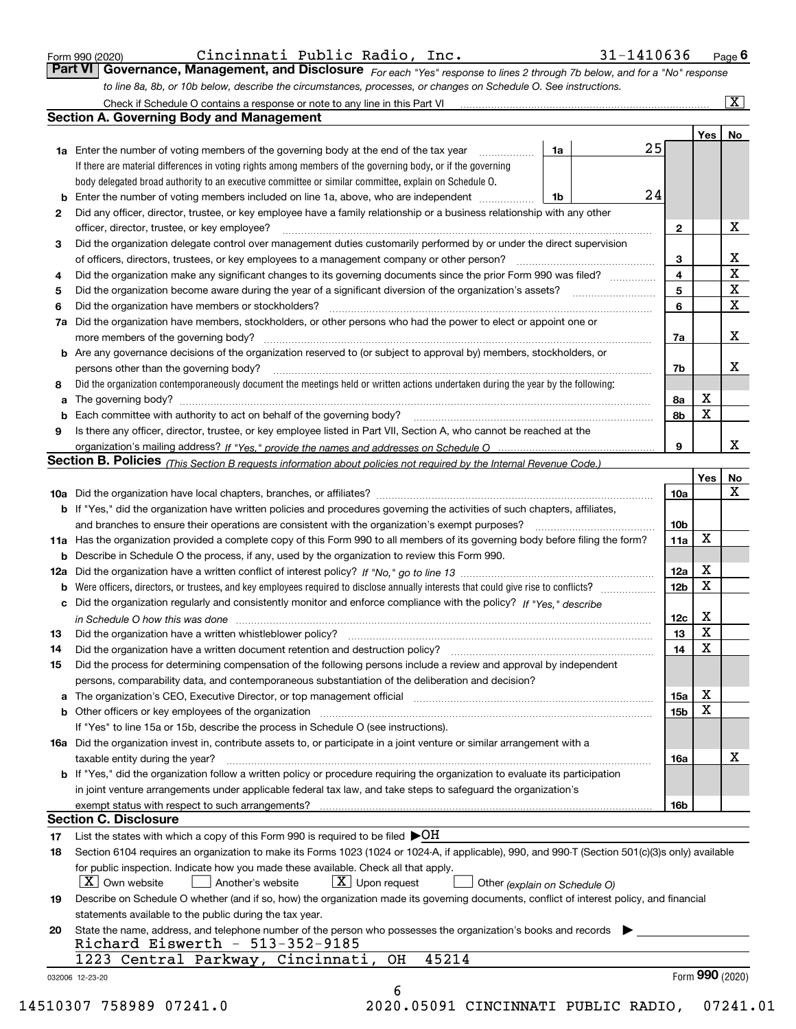|  | Form 990 (2020) |
|--|-----------------|
|  |                 |

*For each "Yes" response to lines 2 through 7b below, and for a "No" response to line 8a, 8b, or 10b below, describe the circumstances, processes, or changes on Schedule O. See instructions.* Form 990 (2020) Cincinnati Public Radio, Inc. 31-1410636 <sub>Page</sub> 6<br>**Part VI Governance, Management, and Disclosure** For each "Yes" response to lines 2 through 7b below, and for a "No" response

|    |                                                                                                                                                                               |    |  |    |                         | Yes             | No                      |  |  |  |
|----|-------------------------------------------------------------------------------------------------------------------------------------------------------------------------------|----|--|----|-------------------------|-----------------|-------------------------|--|--|--|
|    | <b>1a</b> Enter the number of voting members of the governing body at the end of the tax year                                                                                 | 1a |  | 25 |                         |                 |                         |  |  |  |
|    | If there are material differences in voting rights among members of the governing body, or if the governing                                                                   |    |  |    |                         |                 |                         |  |  |  |
|    | body delegated broad authority to an executive committee or similar committee, explain on Schedule O.                                                                         |    |  |    |                         |                 |                         |  |  |  |
|    |                                                                                                                                                                               | 1b |  | 24 |                         |                 |                         |  |  |  |
| 2  | Did any officer, director, trustee, or key employee have a family relationship or a business relationship with any other                                                      |    |  |    |                         |                 |                         |  |  |  |
|    | officer, director, trustee, or key employee?                                                                                                                                  |    |  |    | $\mathbf{2}$            |                 | X                       |  |  |  |
| 3  | Did the organization delegate control over management duties customarily performed by or under the direct supervision                                                         |    |  |    |                         |                 |                         |  |  |  |
|    |                                                                                                                                                                               |    |  | 3  |                         | X               |                         |  |  |  |
| 4  | Did the organization make any significant changes to its governing documents since the prior Form 990 was filed?                                                              |    |  |    | $\overline{\mathbf{4}}$ |                 | $\overline{\textbf{X}}$ |  |  |  |
| 5  |                                                                                                                                                                               |    |  |    | 5                       |                 | $\mathbf X$             |  |  |  |
| 6  | Did the organization have members or stockholders?                                                                                                                            |    |  |    | 6                       |                 | $\mathbf x$             |  |  |  |
|    | 7a Did the organization have members, stockholders, or other persons who had the power to elect or appoint one or                                                             |    |  |    |                         |                 |                         |  |  |  |
|    |                                                                                                                                                                               |    |  |    | 7a                      |                 | х                       |  |  |  |
|    | <b>b</b> Are any governance decisions of the organization reserved to (or subject to approval by) members, stockholders, or                                                   |    |  |    |                         |                 |                         |  |  |  |
|    | persons other than the governing body?                                                                                                                                        |    |  |    | 7b                      |                 | х                       |  |  |  |
| 8  | Did the organization contemporaneously document the meetings held or written actions undertaken during the year by the following:                                             |    |  |    |                         |                 |                         |  |  |  |
| a  |                                                                                                                                                                               |    |  |    | 8a                      | X               |                         |  |  |  |
|    |                                                                                                                                                                               |    |  |    | 8b                      | X               |                         |  |  |  |
| 9  | Is there any officer, director, trustee, or key employee listed in Part VII, Section A, who cannot be reached at the                                                          |    |  |    |                         |                 |                         |  |  |  |
|    |                                                                                                                                                                               |    |  |    | 9                       |                 | х                       |  |  |  |
|    | Section B. Policies (This Section B requests information about policies not required by the Internal Revenue Code.)                                                           |    |  |    |                         |                 |                         |  |  |  |
|    |                                                                                                                                                                               |    |  |    |                         |                 |                         |  |  |  |
|    |                                                                                                                                                                               |    |  |    |                         | Yes             | No<br>X                 |  |  |  |
|    |                                                                                                                                                                               |    |  |    | 10a                     |                 |                         |  |  |  |
|    | <b>b</b> If "Yes," did the organization have written policies and procedures governing the activities of such chapters, affiliates,                                           |    |  |    | 10 <sub>b</sub>         |                 |                         |  |  |  |
|    |                                                                                                                                                                               |    |  |    |                         |                 |                         |  |  |  |
|    | 11a Has the organization provided a complete copy of this Form 990 to all members of its governing body before filing the form?                                               |    |  |    | 11a                     | X               |                         |  |  |  |
|    | <b>b</b> Describe in Schedule O the process, if any, used by the organization to review this Form 990.                                                                        |    |  |    |                         |                 |                         |  |  |  |
|    |                                                                                                                                                                               |    |  |    | 12a                     | X               |                         |  |  |  |
| b  |                                                                                                                                                                               |    |  |    | 12b                     | X               |                         |  |  |  |
|    | c Did the organization regularly and consistently monitor and enforce compliance with the policy? If "Yes," describe                                                          |    |  |    |                         |                 |                         |  |  |  |
|    | in Schedule O how this was done manufactured and continuum control of the Schedule O how this was done manufactured and continuum control of the Schedule O how this was done |    |  |    | 12c                     | х               |                         |  |  |  |
| 13 |                                                                                                                                                                               |    |  |    | 13                      | X               |                         |  |  |  |
| 14 | Did the organization have a written document retention and destruction policy? manufactured and the organization have a written document retention and destruction policy?    |    |  |    | 14                      | X               |                         |  |  |  |
| 15 | Did the process for determining compensation of the following persons include a review and approval by independent                                                            |    |  |    |                         |                 |                         |  |  |  |
|    | persons, comparability data, and contemporaneous substantiation of the deliberation and decision?                                                                             |    |  |    |                         |                 |                         |  |  |  |
|    |                                                                                                                                                                               |    |  |    | 15a                     | X               |                         |  |  |  |
|    |                                                                                                                                                                               |    |  |    | 15b                     | X               |                         |  |  |  |
|    | If "Yes" to line 15a or 15b, describe the process in Schedule O (see instructions).                                                                                           |    |  |    |                         |                 |                         |  |  |  |
|    | 16a Did the organization invest in, contribute assets to, or participate in a joint venture or similar arrangement with a                                                     |    |  |    |                         |                 |                         |  |  |  |
|    | taxable entity during the year?                                                                                                                                               |    |  |    | 16a                     |                 | X                       |  |  |  |
|    | <b>b</b> If "Yes," did the organization follow a written policy or procedure requiring the organization to evaluate its participation                                         |    |  |    |                         |                 |                         |  |  |  |
|    | in joint venture arrangements under applicable federal tax law, and take steps to safequard the organization's                                                                |    |  |    |                         |                 |                         |  |  |  |
|    | exempt status with respect to such arrangements?                                                                                                                              |    |  |    | 16b                     |                 |                         |  |  |  |
|    | <b>Section C. Disclosure</b>                                                                                                                                                  |    |  |    |                         |                 |                         |  |  |  |
| 17 | List the states with which a copy of this Form 990 is required to be filed $\blacktriangleright$ OH                                                                           |    |  |    |                         |                 |                         |  |  |  |
| 18 | Section 6104 requires an organization to make its Forms 1023 (1024 or 1024-A, if applicable), 990, and 990-T (Section 501(c)(3)s only) available                              |    |  |    |                         |                 |                         |  |  |  |
|    | for public inspection. Indicate how you made these available. Check all that apply.                                                                                           |    |  |    |                         |                 |                         |  |  |  |
|    | X   Own website<br>$X$ Upon request<br>  Another's website<br>Other (explain on Schedule O)                                                                                   |    |  |    |                         |                 |                         |  |  |  |
| 19 | Describe on Schedule O whether (and if so, how) the organization made its governing documents, conflict of interest policy, and financial                                     |    |  |    |                         |                 |                         |  |  |  |
|    |                                                                                                                                                                               |    |  |    |                         |                 |                         |  |  |  |
|    | statements available to the public during the tax year.                                                                                                                       |    |  |    |                         |                 |                         |  |  |  |
| 20 | State the name, address, and telephone number of the person who possesses the organization's books and records<br>Richard Eiswerth - $513-352-9185$                           |    |  |    |                         |                 |                         |  |  |  |
|    | 45214                                                                                                                                                                         |    |  |    |                         |                 |                         |  |  |  |
|    | 1223 Central Parkway, Cincinnati,<br>OH                                                                                                                                       |    |  |    |                         |                 |                         |  |  |  |
|    | 032006 12-23-20                                                                                                                                                               |    |  |    |                         | Form 990 (2020) |                         |  |  |  |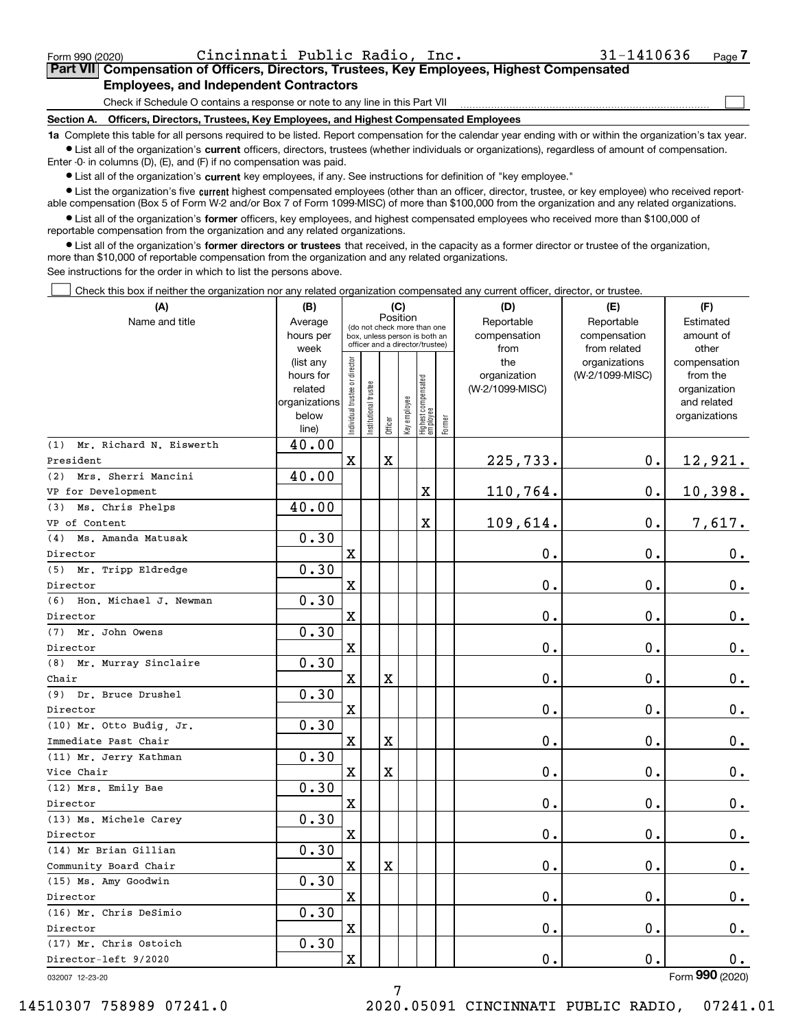|  | Form 990 (2020) |
|--|-----------------|
|  |                 |

Form 990 (2020) Cincinnati Public Radio, Inc. 31-1410636 Page

 $\mathcal{L}^{\text{max}}$ 

### **7Part VII Compensation of Officers, Directors, Trustees, Key Employees, Highest Compensated Employees, and Independent Contractors**

Check if Schedule O contains a response or note to any line in this Part VII

**Section A. Officers, Directors, Trustees, Key Employees, and Highest Compensated Employees**

**1a**  Complete this table for all persons required to be listed. Report compensation for the calendar year ending with or within the organization's tax year. **•** List all of the organization's current officers, directors, trustees (whether individuals or organizations), regardless of amount of compensation.

Enter -0- in columns (D), (E), and (F) if no compensation was paid.

 $\bullet$  List all of the organization's  $\,$ current key employees, if any. See instructions for definition of "key employee."

**•** List the organization's five current highest compensated employees (other than an officer, director, trustee, or key employee) who received reportable compensation (Box 5 of Form W-2 and/or Box 7 of Form 1099-MISC) of more than \$100,000 from the organization and any related organizations.

**•** List all of the organization's former officers, key employees, and highest compensated employees who received more than \$100,000 of reportable compensation from the organization and any related organizations.

**former directors or trustees**  ¥ List all of the organization's that received, in the capacity as a former director or trustee of the organization, more than \$10,000 of reportable compensation from the organization and any related organizations.

See instructions for the order in which to list the persons above.

Check this box if neither the organization nor any related organization compensated any current officer, director, or trustee.  $\mathcal{L}^{\text{max}}$ 

| (A)                            | (B)               | (C)<br>Position                |                             |         |                                                                  |                                 |        | (D)             | (E)                           | (F)                   |
|--------------------------------|-------------------|--------------------------------|-----------------------------|---------|------------------------------------------------------------------|---------------------------------|--------|-----------------|-------------------------------|-----------------------|
| Name and title                 | Average           |                                | (do not check more than one |         |                                                                  |                                 |        | Reportable      | Reportable                    | Estimated             |
|                                | hours per         |                                |                             |         | box, unless person is both an<br>officer and a director/trustee) |                                 |        | compensation    | compensation                  | amount of             |
|                                | week<br>(list any |                                |                             |         |                                                                  |                                 |        | from<br>the     | from related<br>organizations | other<br>compensation |
|                                | hours for         |                                |                             |         |                                                                  |                                 |        | organization    | (W-2/1099-MISC)               | from the              |
|                                | related           |                                |                             |         |                                                                  |                                 |        | (W-2/1099-MISC) |                               | organization          |
|                                | organizations     |                                |                             |         |                                                                  |                                 |        |                 |                               | and related           |
|                                | below             | Individual trustee or director | Institutional trustee       | Officer | Key employee                                                     | Highest compensated<br>employee | Former |                 |                               | organizations         |
|                                | line)             |                                |                             |         |                                                                  |                                 |        |                 |                               |                       |
| Mr. Richard N. Eiswerth<br>(1) | 40.00             |                                |                             |         |                                                                  |                                 |        |                 |                               |                       |
| President                      |                   | $\mathbf X$                    |                             | X       |                                                                  |                                 |        | 225,733.        | 0.                            | 12,921.               |
| (2) Mrs. Sherri Mancini        | 40.00             |                                |                             |         |                                                                  |                                 |        |                 |                               |                       |
| VP for Development             |                   |                                |                             |         |                                                                  | X                               |        | 110,764.        | 0.                            | 10,398.               |
| (3) Ms. Chris Phelps           | 40.00             |                                |                             |         |                                                                  |                                 |        |                 |                               |                       |
| VP of Content                  |                   |                                |                             |         |                                                                  | X                               |        | 109,614.        | 0.                            | 7,617.                |
| Ms. Amanda Matusak<br>(4)      | 0.30              |                                |                             |         |                                                                  |                                 |        |                 |                               |                       |
| Director                       |                   | $\mathbf X$                    |                             |         |                                                                  |                                 |        | 0.              | 0.                            | $0_{.}$               |
| (5)<br>Mr. Tripp Eldredge      | 0.30              |                                |                             |         |                                                                  |                                 |        |                 |                               |                       |
| Director                       |                   | х                              |                             |         |                                                                  |                                 |        | 0.              | 0.                            | 0.                    |
| (6) Hon. Michael J. Newman     | 0.30              |                                |                             |         |                                                                  |                                 |        |                 |                               |                       |
| Director                       |                   | $\mathbf X$                    |                             |         |                                                                  |                                 |        | 0.              | 0.                            | 0.                    |
| (7) Mr. John Owens             | 0.30              |                                |                             |         |                                                                  |                                 |        |                 |                               |                       |
| Director                       |                   | $\mathbf X$                    |                             |         |                                                                  |                                 |        | 0.              | 0.                            | $0_{.}$               |
| (8) Mr. Murray Sinclaire       | 0.30              |                                |                             |         |                                                                  |                                 |        |                 |                               |                       |
| Chair                          |                   | $\mathbf X$                    |                             | X       |                                                                  |                                 |        | 0.              | 0.                            | $0_{.}$               |
| Dr. Bruce Drushel<br>(9)       | 0.30              |                                |                             |         |                                                                  |                                 |        |                 |                               |                       |
| Director                       |                   | $\mathbf X$                    |                             |         |                                                                  |                                 |        | 0.              | 0.                            | $0_{.}$               |
| (10) Mr. Otto Budig, Jr.       | 0.30              |                                |                             |         |                                                                  |                                 |        |                 |                               |                       |
| Immediate Past Chair           |                   | X                              |                             | X       |                                                                  |                                 |        | 0.              | 0.                            | 0.                    |
| (11) Mr. Jerry Kathman         | 0.30              |                                |                             |         |                                                                  |                                 |        |                 |                               |                       |
| Vice Chair                     |                   | $\mathbf X$                    |                             | X       |                                                                  |                                 |        | 0.              | 0.                            | 0.                    |
| (12) Mrs. Emily Bae            | 0.30              |                                |                             |         |                                                                  |                                 |        |                 |                               |                       |
| Director                       |                   | $\mathbf X$                    |                             |         |                                                                  |                                 |        | 0.              | 0.                            | $0_{.}$               |
| (13) Ms. Michele Carey         | 0.30              |                                |                             |         |                                                                  |                                 |        |                 |                               |                       |
| Director                       |                   | $\mathbf X$                    |                             |         |                                                                  |                                 |        | 0.              | 0.                            | 0.                    |
| (14) Mr Brian Gillian          | 0.30              |                                |                             |         |                                                                  |                                 |        |                 |                               |                       |
| Community Board Chair          |                   | $\mathbf x$                    |                             | X       |                                                                  |                                 |        | 0.              | 0.                            | $0_{.}$               |
| (15) Ms. Amy Goodwin           | 0.30              |                                |                             |         |                                                                  |                                 |        |                 |                               |                       |
| Director                       |                   | $\mathbf X$                    |                             |         |                                                                  |                                 |        | 0.              | 0.                            | 0.                    |
| (16) Mr. Chris DeSimio         | 0.30              |                                |                             |         |                                                                  |                                 |        |                 |                               |                       |
| Director                       |                   | $\mathbf X$                    |                             |         |                                                                  |                                 |        | 0.              | 0.                            | 0.                    |
| (17) Mr. Chris Ostoich         | 0.30              |                                |                             |         |                                                                  |                                 |        |                 |                               |                       |
| Director-left 9/2020           |                   | $\mathbf X$                    |                             |         |                                                                  |                                 |        | 0.              | 0.                            | 0.                    |
| 032007 12-23-20                |                   |                                |                             |         |                                                                  |                                 |        |                 |                               | Form 990 (2020)       |

7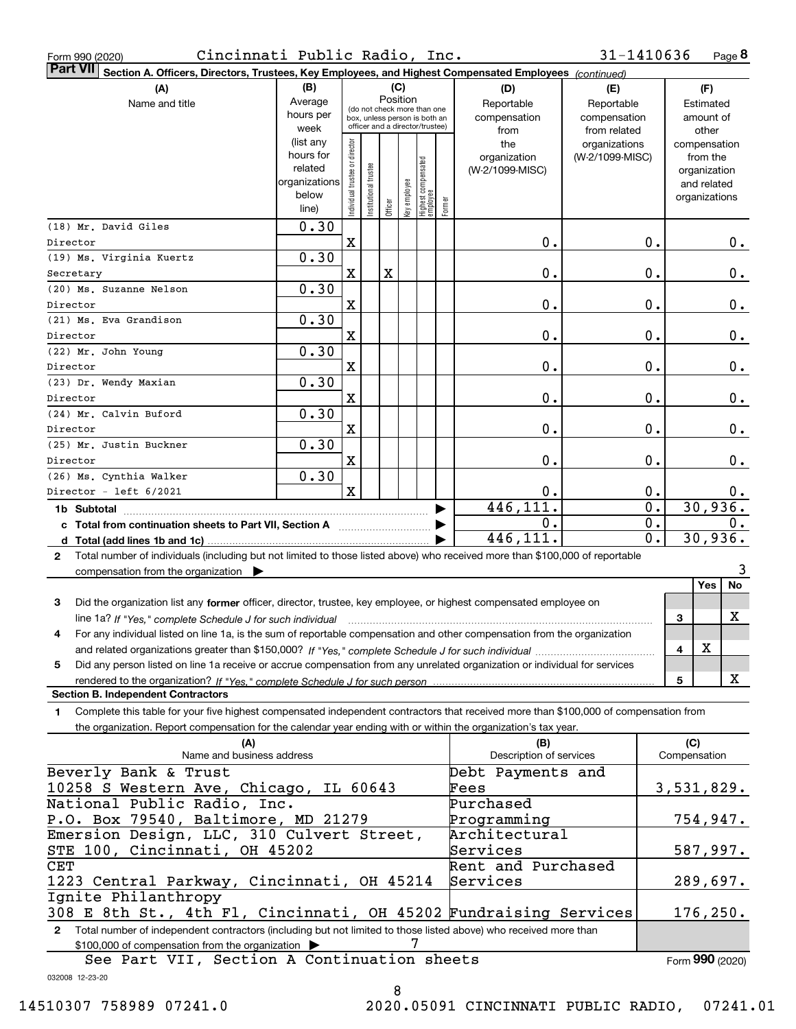| Form 990 (2020) |  |
|-----------------|--|
|                 |  |
|                 |  |

Form 990 (2020) Cincinnati Public Radio, Inc. 31-1410636 Page

**8** 31-1410636

|              | Part VII Section A. Officers, Directors, Trustees, Key Employees, and Highest Compensated Employees (continued)                      |               |                               |                 |         |          |                                                              |        |                                |                 |                  |                     |         |
|--------------|--------------------------------------------------------------------------------------------------------------------------------------|---------------|-------------------------------|-----------------|---------|----------|--------------------------------------------------------------|--------|--------------------------------|-----------------|------------------|---------------------|---------|
|              | (A)                                                                                                                                  | (B)           |                               |                 |         | (C)      |                                                              |        | (D)                            | (E)             |                  | (F)                 |         |
|              | Name and title                                                                                                                       | Average       |                               |                 |         | Position |                                                              |        | Reportable                     | Reportable      |                  | Estimated           |         |
|              |                                                                                                                                      | hours per     |                               |                 |         |          | (do not check more than one<br>box, unless person is both an |        | compensation                   | compensation    |                  | amount of           |         |
|              |                                                                                                                                      | week          |                               |                 |         |          | officer and a director/trustee)                              |        | from                           | from related    |                  | other               |         |
|              |                                                                                                                                      | (list any     |                               |                 |         |          |                                                              |        | the                            | organizations   |                  | compensation        |         |
|              |                                                                                                                                      | hours for     | ndividual trustee or director |                 |         |          |                                                              |        | organization                   | (W-2/1099-MISC) |                  | from the            |         |
|              |                                                                                                                                      | related       |                               | I trustee       |         |          |                                                              |        | (W-2/1099-MISC)                |                 |                  | organization        |         |
|              |                                                                                                                                      | organizations |                               |                 |         |          |                                                              |        |                                |                 |                  | and related         |         |
|              |                                                                                                                                      | below         |                               | Institutional t |         |          |                                                              | Former |                                |                 |                  | organizations       |         |
|              |                                                                                                                                      | line)         |                               |                 | Officer |          | Key employee<br>Highest compensated<br>employee              |        |                                |                 |                  |                     |         |
|              | (18) Mr. David Giles                                                                                                                 | 0.30          |                               |                 |         |          |                                                              |        |                                |                 |                  |                     |         |
| Director     |                                                                                                                                      |               | $\mathbf X$                   |                 |         |          |                                                              |        | 0.                             |                 | 0.               |                     | 0.      |
|              | (19) Ms. Virginia Kuertz                                                                                                             | 0.30          |                               |                 |         |          |                                                              |        |                                |                 |                  |                     |         |
| Secretary    |                                                                                                                                      |               | X                             |                 | X       |          |                                                              |        | 0.                             |                 | 0.               |                     | 0.      |
|              | (20) Ms. Suzanne Nelson                                                                                                              | 0.30          |                               |                 |         |          |                                                              |        |                                |                 |                  |                     |         |
| Director     |                                                                                                                                      |               | X                             |                 |         |          |                                                              |        | 0.                             |                 | 0.               |                     | 0.      |
|              | (21) Ms. Eva Grandison                                                                                                               | 0.30          |                               |                 |         |          |                                                              |        |                                |                 |                  |                     |         |
| Director     |                                                                                                                                      |               | X                             |                 |         |          |                                                              |        | $\mathbf 0$ .                  |                 | 0.               |                     | 0.      |
|              | (22) Mr. John Young                                                                                                                  | 0.30          |                               |                 |         |          |                                                              |        |                                |                 |                  |                     |         |
|              |                                                                                                                                      |               |                               |                 |         |          |                                                              |        |                                |                 |                  |                     |         |
| Director     |                                                                                                                                      |               | X                             |                 |         |          |                                                              |        | $\mathbf 0$ .                  |                 | 0.               |                     | 0.      |
|              | (23) Dr. Wendy Maxian                                                                                                                | 0.30          |                               |                 |         |          |                                                              |        |                                |                 |                  |                     |         |
| Director     |                                                                                                                                      |               | X                             |                 |         |          |                                                              |        | 0.                             |                 | 0.               |                     | 0.      |
|              | (24) Mr. Calvin Buford                                                                                                               | 0.30          |                               |                 |         |          |                                                              |        |                                |                 |                  |                     |         |
| Director     |                                                                                                                                      |               | X                             |                 |         |          |                                                              |        | 0.                             |                 | 0.               |                     | 0.      |
|              | (25) Mr. Justin Buckner                                                                                                              | 0.30          |                               |                 |         |          |                                                              |        |                                |                 |                  |                     |         |
| Director     |                                                                                                                                      |               | X                             |                 |         |          |                                                              |        | 0.                             |                 | 0.               |                     | 0.      |
|              | (26) Ms. Cynthia Walker                                                                                                              | 0.30          |                               |                 |         |          |                                                              |        |                                |                 |                  |                     |         |
|              | Director - left 6/2021                                                                                                               |               | $\mathbf x$                   |                 |         |          |                                                              |        | 0.                             |                 | 0.               |                     | 0.      |
|              |                                                                                                                                      |               |                               |                 |         |          |                                                              |        | 446, 111.                      |                 | $\overline{0}$ . |                     | 30,936. |
|              |                                                                                                                                      |               |                               |                 |         |          |                                                              |        | 0.                             |                 | 0.               |                     | 0.      |
|              | c Total from continuation sheets to Part VII, Section A manufactured by                                                              |               |                               |                 |         |          |                                                              |        | 446,111.                       |                 | 0.               |                     | 30,936. |
|              |                                                                                                                                      |               |                               |                 |         |          |                                                              |        |                                |                 |                  |                     |         |
| $\mathbf{2}$ | Total number of individuals (including but not limited to those listed above) who received more than \$100,000 of reportable         |               |                               |                 |         |          |                                                              |        |                                |                 |                  |                     |         |
|              | compensation from the organization $\blacktriangleright$                                                                             |               |                               |                 |         |          |                                                              |        |                                |                 |                  |                     | 3       |
|              |                                                                                                                                      |               |                               |                 |         |          |                                                              |        |                                |                 |                  | Yes                 | No      |
| 3            | Did the organization list any former officer, director, trustee, key employee, or highest compensated employee on                    |               |                               |                 |         |          |                                                              |        |                                |                 |                  |                     |         |
|              | line 1a? If "Yes," complete Schedule J for such individual manufactured contained and the Schedule Schedule J                        |               |                               |                 |         |          |                                                              |        |                                |                 |                  | 3                   | X       |
| 4            | For any individual listed on line 1a, is the sum of reportable compensation and other compensation from the organization             |               |                               |                 |         |          |                                                              |        |                                |                 |                  |                     |         |
|              |                                                                                                                                      |               |                               |                 |         |          |                                                              |        |                                |                 |                  | X<br>4              |         |
| 5            | Did any person listed on line 1a receive or accrue compensation from any unrelated organization or individual for services           |               |                               |                 |         |          |                                                              |        |                                |                 |                  |                     |         |
|              | rendered to the organization? If "Yes." complete Schedule J for such person                                                          |               |                               |                 |         |          |                                                              |        |                                |                 |                  | 5                   | X       |
|              | <b>Section B. Independent Contractors</b>                                                                                            |               |                               |                 |         |          |                                                              |        |                                |                 |                  |                     |         |
| 1.           | Complete this table for your five highest compensated independent contractors that received more than \$100,000 of compensation from |               |                               |                 |         |          |                                                              |        |                                |                 |                  |                     |         |
|              | the organization. Report compensation for the calendar year ending with or within the organization's tax year.                       |               |                               |                 |         |          |                                                              |        |                                |                 |                  |                     |         |
|              |                                                                                                                                      |               |                               |                 |         |          |                                                              |        |                                |                 |                  |                     |         |
|              | (A)<br>Name and business address                                                                                                     |               |                               |                 |         |          |                                                              |        | (B)<br>Description of services |                 |                  | (C)<br>Compensation |         |
|              |                                                                                                                                      |               |                               |                 |         |          |                                                              |        |                                |                 |                  |                     |         |
|              | Beverly Bank & Trust                                                                                                                 |               |                               |                 |         |          |                                                              |        | Debt Payments and              |                 |                  |                     |         |
|              | 10258 S Western Ave, Chicago, IL 60643                                                                                               |               |                               |                 |         |          |                                                              |        | Fees                           |                 |                  | 3,531,829.          |         |
|              | National Public Radio, Inc.                                                                                                          |               |                               |                 |         |          |                                                              |        | Purchased                      |                 |                  |                     |         |
|              | P.O. Box 79540, Baltimore, MD 21279                                                                                                  |               |                               |                 |         |          |                                                              |        | Programming                    |                 |                  | 754,947.            |         |
|              | Emersion Design, LLC, 310 Culvert Street,                                                                                            |               |                               |                 |         |          |                                                              |        | Architectural                  |                 |                  |                     |         |
|              | STE 100, Cincinnati, OH 45202                                                                                                        |               |                               |                 |         |          |                                                              |        | Services                       |                 |                  | 587,997.            |         |
| <b>CET</b>   |                                                                                                                                      |               |                               |                 |         |          |                                                              |        | Rent and Purchased             |                 |                  |                     |         |
|              | 1223 Central Parkway, Cincinnati, OH 45214                                                                                           |               |                               |                 |         |          |                                                              |        | Services                       |                 |                  | 289,697.            |         |
|              | Ignite Philanthropy                                                                                                                  |               |                               |                 |         |          |                                                              |        |                                |                 |                  |                     |         |
|              | 308 E 8th St., 4th Fl, Cincinnati, OH 45202 Fundraising Services                                                                     |               |                               |                 |         |          |                                                              |        |                                |                 |                  | 176,250.            |         |
| 2            | Total number of independent contractors (including but not limited to those listed above) who received more than                     |               |                               |                 |         |          |                                                              |        |                                |                 |                  |                     |         |
|              |                                                                                                                                      |               |                               |                 |         |          | 7                                                            |        |                                |                 |                  |                     |         |
|              | \$100,000 of compensation from the organization                                                                                      |               |                               |                 |         |          |                                                              |        |                                |                 |                  |                     |         |

032008 12-23-20 See Part VII, Section A Continuation sheets Form (2020) **990**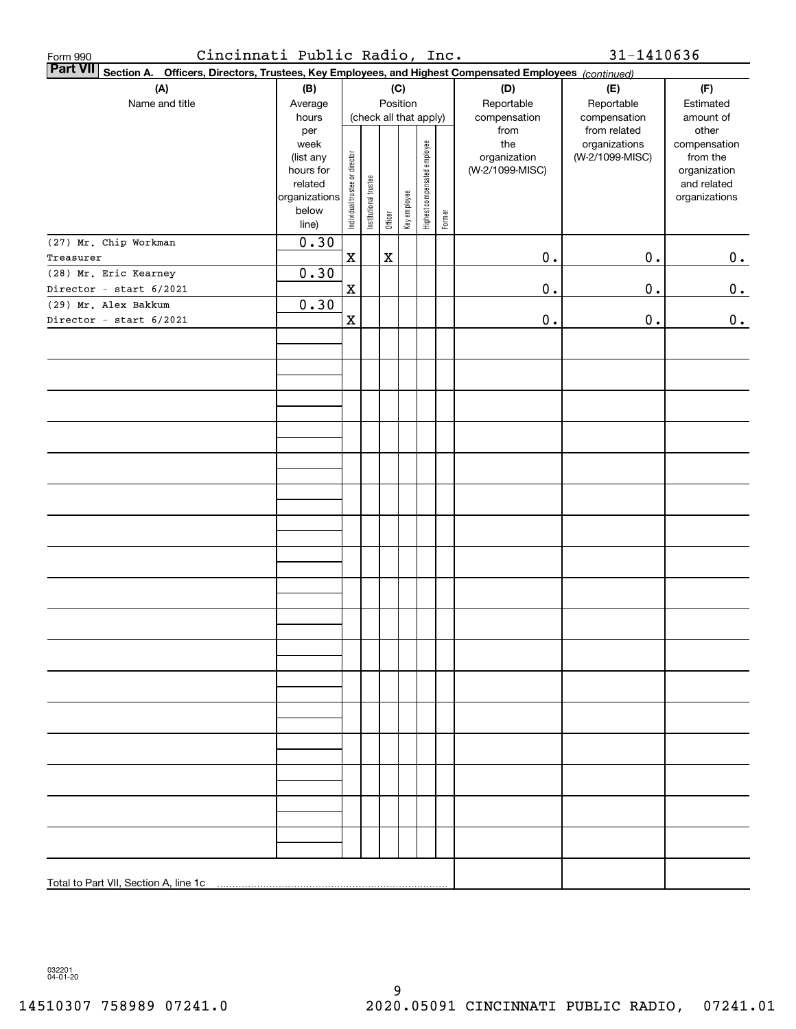| Form 990  | Cincinnati Public Radio, Inc.                                                                                   |                        |                                |                       |             |                        |                              |        |                 | 31-1410636      |                             |
|-----------|-----------------------------------------------------------------------------------------------------------------|------------------------|--------------------------------|-----------------------|-------------|------------------------|------------------------------|--------|-----------------|-----------------|-----------------------------|
|           | Part VII Section A. Officers, Directors, Trustees, Key Employees, and Highest Compensated Employees (continued) |                        |                                |                       |             |                        |                              |        |                 |                 |                             |
|           | (A)                                                                                                             | (B)                    |                                |                       |             | (C)                    |                              |        | (D)             | (E)             | (F)                         |
|           | Name and title                                                                                                  | Average                |                                |                       |             | Position               |                              |        | Reportable      | Reportable      | Estimated                   |
|           |                                                                                                                 | hours                  |                                |                       |             | (check all that apply) |                              |        | compensation    | compensation    | amount of                   |
|           |                                                                                                                 | per                    |                                |                       |             |                        |                              |        | from            | from related    | other                       |
|           |                                                                                                                 | week                   |                                |                       |             |                        |                              |        | the             | organizations   | compensation                |
|           |                                                                                                                 | (list any<br>hours for |                                |                       |             |                        |                              |        | organization    | (W-2/1099-MISC) | from the                    |
|           |                                                                                                                 | related                |                                |                       |             |                        |                              |        | (W-2/1099-MISC) |                 | organization<br>and related |
|           |                                                                                                                 | organizations          |                                |                       |             |                        |                              |        |                 |                 | organizations               |
|           |                                                                                                                 | below                  | Individual trustee or director | Institutional trustee |             |                        | Highest compensated employee |        |                 |                 |                             |
|           |                                                                                                                 | line)                  |                                |                       | Officer     | Key employee           |                              | Former |                 |                 |                             |
|           | (27) Mr. Chip Workman                                                                                           | 0.30                   |                                |                       |             |                        |                              |        |                 |                 |                             |
| Treasurer |                                                                                                                 |                        | X                              |                       | $\mathbf X$ |                        |                              |        | $\mathbf 0$ .   | $0$ .           | 0.                          |
|           | (28) Mr. Eric Kearney                                                                                           | 0.30                   |                                |                       |             |                        |                              |        |                 |                 |                             |
|           | Director - start 6/2021                                                                                         |                        | X                              |                       |             |                        |                              |        | $\mathbf 0$ .   | $0$ .           | 0.                          |
|           | (29) Mr. Alex Bakkum                                                                                            | 0.30                   |                                |                       |             |                        |                              |        |                 |                 |                             |
|           | Director - start 6/2021                                                                                         |                        | $\mathbf X$                    |                       |             |                        |                              |        | $\mathbf 0$ .   | $\mathbf 0$ .   | 0.                          |
|           |                                                                                                                 |                        |                                |                       |             |                        |                              |        |                 |                 |                             |
|           |                                                                                                                 |                        |                                |                       |             |                        |                              |        |                 |                 |                             |
|           |                                                                                                                 |                        |                                |                       |             |                        |                              |        |                 |                 |                             |
|           |                                                                                                                 |                        |                                |                       |             |                        |                              |        |                 |                 |                             |
|           |                                                                                                                 |                        |                                |                       |             |                        |                              |        |                 |                 |                             |
|           |                                                                                                                 |                        |                                |                       |             |                        |                              |        |                 |                 |                             |
|           |                                                                                                                 |                        |                                |                       |             |                        |                              |        |                 |                 |                             |
|           |                                                                                                                 |                        |                                |                       |             |                        |                              |        |                 |                 |                             |
|           |                                                                                                                 |                        |                                |                       |             |                        |                              |        |                 |                 |                             |
|           |                                                                                                                 |                        |                                |                       |             |                        |                              |        |                 |                 |                             |
|           |                                                                                                                 |                        |                                |                       |             |                        |                              |        |                 |                 |                             |
|           |                                                                                                                 |                        |                                |                       |             |                        |                              |        |                 |                 |                             |
|           |                                                                                                                 |                        |                                |                       |             |                        |                              |        |                 |                 |                             |
|           |                                                                                                                 |                        |                                |                       |             |                        |                              |        |                 |                 |                             |
|           |                                                                                                                 |                        |                                |                       |             |                        |                              |        |                 |                 |                             |
|           |                                                                                                                 |                        |                                |                       |             |                        |                              |        |                 |                 |                             |
|           |                                                                                                                 |                        |                                |                       |             |                        |                              |        |                 |                 |                             |
|           |                                                                                                                 |                        |                                |                       |             |                        |                              |        |                 |                 |                             |
|           |                                                                                                                 |                        |                                |                       |             |                        |                              |        |                 |                 |                             |
|           |                                                                                                                 |                        |                                |                       |             |                        |                              |        |                 |                 |                             |
|           |                                                                                                                 |                        |                                |                       |             |                        |                              |        |                 |                 |                             |
|           |                                                                                                                 |                        |                                |                       |             |                        |                              |        |                 |                 |                             |
|           |                                                                                                                 |                        |                                |                       |             |                        |                              |        |                 |                 |                             |
|           |                                                                                                                 |                        |                                |                       |             |                        |                              |        |                 |                 |                             |
|           |                                                                                                                 |                        |                                |                       |             |                        |                              |        |                 |                 |                             |
|           |                                                                                                                 |                        |                                |                       |             |                        |                              |        |                 |                 |                             |

032201 04-01-20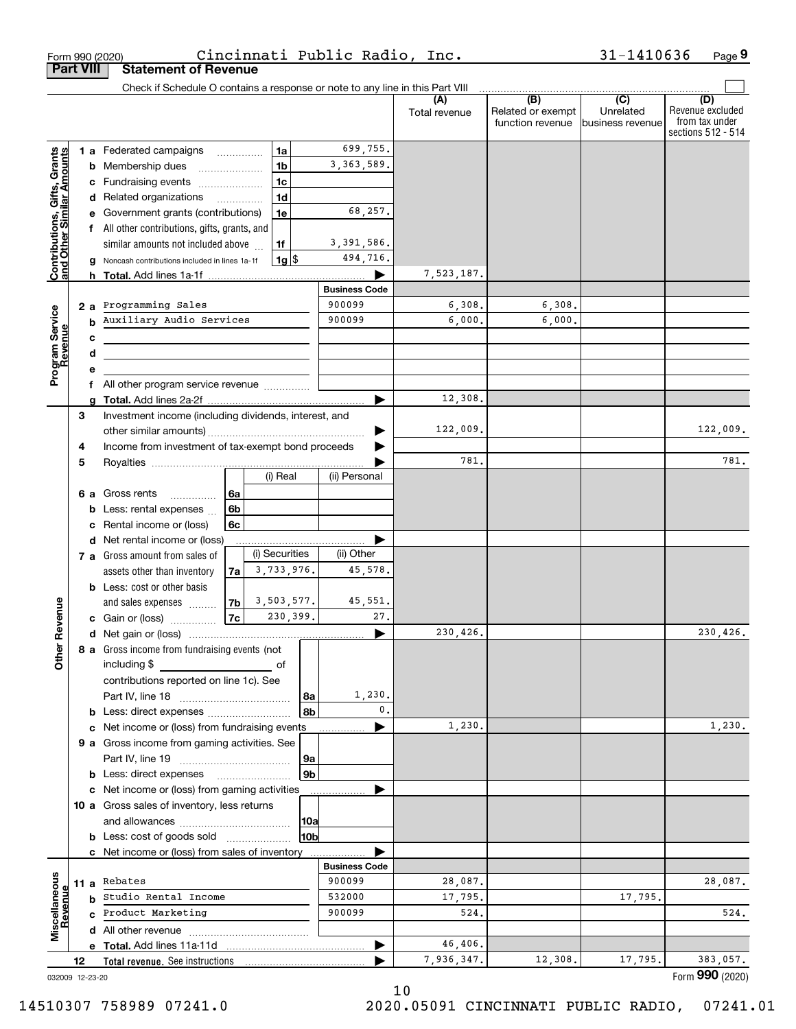| Form 990 (2020)                                           |    |   |                                                                                                                       |                                      |                |                | Cincinnati Public Radio, Inc. |                      |                                              | 31-1410636                                        | Page 9                                                          |
|-----------------------------------------------------------|----|---|-----------------------------------------------------------------------------------------------------------------------|--------------------------------------|----------------|----------------|-------------------------------|----------------------|----------------------------------------------|---------------------------------------------------|-----------------------------------------------------------------|
| <b>Part VIII</b>                                          |    |   | <b>Statement of Revenue</b>                                                                                           |                                      |                |                |                               |                      |                                              |                                                   |                                                                 |
|                                                           |    |   | Check if Schedule O contains a response or note to any line in this Part VIII                                         |                                      |                |                |                               |                      |                                              |                                                   |                                                                 |
|                                                           |    |   |                                                                                                                       |                                      |                |                |                               | (A)<br>Total revenue | (B)<br>Related or exempt<br>function revenue | $\overline{(C)}$<br>Unrelated<br>business revenue | (D)<br>Revenue excluded<br>from tax under<br>sections 512 - 514 |
|                                                           |    |   | 1 a Federated campaigns                                                                                               |                                      | 1a             |                | 699,755.                      |                      |                                              |                                                   |                                                                 |
| Contributions, Gifts, Grants<br>and Other Similar Amounts |    | b | Membership dues                                                                                                       | $\ldots \ldots \ldots \ldots \ldots$ | 1 <sub>b</sub> |                | 3, 363, 589.                  |                      |                                              |                                                   |                                                                 |
|                                                           |    |   | c Fundraising events                                                                                                  |                                      | 1 <sub>c</sub> |                |                               |                      |                                              |                                                   |                                                                 |
|                                                           |    |   | d Related organizations                                                                                               |                                      | 1 <sub>d</sub> |                |                               |                      |                                              |                                                   |                                                                 |
|                                                           |    |   | e Government grants (contributions)                                                                                   |                                      | 1e             |                | 68,257.                       |                      |                                              |                                                   |                                                                 |
|                                                           |    |   | f All other contributions, gifts, grants, and                                                                         |                                      |                |                |                               |                      |                                              |                                                   |                                                                 |
|                                                           |    |   | similar amounts not included above                                                                                    |                                      | 1f             |                | 3,391,586.                    |                      |                                              |                                                   |                                                                 |
|                                                           |    |   | Noncash contributions included in lines 1a-1f                                                                         |                                      | $1g$ \$        |                | 494,716.                      |                      |                                              |                                                   |                                                                 |
|                                                           |    | a |                                                                                                                       |                                      |                |                |                               | 7,523,187.           |                                              |                                                   |                                                                 |
|                                                           |    |   |                                                                                                                       |                                      |                |                | <b>Business Code</b>          |                      |                                              |                                                   |                                                                 |
|                                                           |    |   | Programming Sales                                                                                                     |                                      |                |                | 900099                        | 6,308.               | 6,308.                                       |                                                   |                                                                 |
|                                                           | 2a |   | Auxiliary Audio Services                                                                                              |                                      |                |                | 900099                        | 6,000.               | 6,000.                                       |                                                   |                                                                 |
|                                                           |    | b |                                                                                                                       |                                      |                |                |                               |                      |                                              |                                                   |                                                                 |
|                                                           |    | c |                                                                                                                       |                                      |                |                |                               |                      |                                              |                                                   |                                                                 |
| Program Service<br>Revenue                                |    | d | <u> 1980 - Johann Barbara, martin amerikan basar dan berasal dalam basar dalam basar dalam basar dalam basar dala</u> |                                      |                |                |                               |                      |                                              |                                                   |                                                                 |
|                                                           |    | е |                                                                                                                       |                                      |                |                |                               |                      |                                              |                                                   |                                                                 |
|                                                           |    | f | All other program service revenue                                                                                     |                                      |                |                |                               |                      |                                              |                                                   |                                                                 |
|                                                           |    | a |                                                                                                                       |                                      |                |                |                               | 12,308.              |                                              |                                                   |                                                                 |
|                                                           | 3  |   | Investment income (including dividends, interest, and                                                                 |                                      |                |                |                               |                      |                                              |                                                   |                                                                 |
|                                                           |    |   |                                                                                                                       |                                      |                |                |                               | 122,009.             |                                              |                                                   | 122,009.                                                        |
|                                                           | 4  |   | Income from investment of tax-exempt bond proceeds                                                                    |                                      |                |                |                               |                      |                                              |                                                   | 781.                                                            |
|                                                           | 5  |   |                                                                                                                       |                                      |                |                |                               | 781.                 |                                              |                                                   |                                                                 |
|                                                           |    |   |                                                                                                                       |                                      | (i) Real       |                | (ii) Personal                 |                      |                                              |                                                   |                                                                 |
|                                                           |    |   | 6 a Gross rents                                                                                                       | 6a                                   |                |                |                               |                      |                                              |                                                   |                                                                 |
|                                                           |    | b | Less: rental expenses                                                                                                 | 6b                                   |                |                |                               |                      |                                              |                                                   |                                                                 |
|                                                           |    | c | Rental income or (loss)                                                                                               | 6c                                   |                |                |                               |                      |                                              |                                                   |                                                                 |
|                                                           |    |   | d Net rental income or (loss)                                                                                         |                                      |                |                |                               |                      |                                              |                                                   |                                                                 |
|                                                           |    |   | 7 a Gross amount from sales of                                                                                        |                                      | (i) Securities |                | (ii) Other                    |                      |                                              |                                                   |                                                                 |
|                                                           |    |   | assets other than inventory                                                                                           | 7a                                   | 3,733,976.     |                | 45,578.                       |                      |                                              |                                                   |                                                                 |
|                                                           |    |   | <b>b</b> Less: cost or other basis                                                                                    |                                      |                |                |                               |                      |                                              |                                                   |                                                                 |
|                                                           |    |   | and sales expenses                                                                                                    | 7b                                   | 3,503,577.     |                | 45,551.                       |                      |                                              |                                                   |                                                                 |
| evenue                                                    |    |   | c Gain or (loss)                                                                                                      | 7c                                   | 230,399.       |                | 27.                           |                      |                                              |                                                   |                                                                 |
| œ                                                         |    |   |                                                                                                                       |                                      |                |                |                               | 230,426.             |                                              |                                                   | 230,426.                                                        |
| Other                                                     |    |   | 8 a Gross income from fundraising events (not                                                                         |                                      |                |                |                               |                      |                                              |                                                   |                                                                 |
|                                                           |    |   | including \$                                                                                                          |                                      |                |                |                               |                      |                                              |                                                   |                                                                 |
|                                                           |    |   | contributions reported on line 1c). See                                                                               |                                      |                |                |                               |                      |                                              |                                                   |                                                                 |
|                                                           |    |   |                                                                                                                       |                                      |                | 8a             | 1,230.                        |                      |                                              |                                                   |                                                                 |
|                                                           |    |   | <b>b</b> Less: direct expenses <i>manually contained</i>                                                              |                                      |                | 8b             | $\mathbf{0}$ .                |                      |                                              |                                                   |                                                                 |
|                                                           |    |   | c Net income or (loss) from fundraising events                                                                        |                                      |                |                |                               | 1,230.               |                                              |                                                   | 1,230.                                                          |
|                                                           |    |   | 9 a Gross income from gaming activities. See                                                                          |                                      |                |                |                               |                      |                                              |                                                   |                                                                 |
|                                                           |    |   |                                                                                                                       |                                      |                | 9а             |                               |                      |                                              |                                                   |                                                                 |
|                                                           |    |   |                                                                                                                       |                                      |                | 9 <sub>b</sub> |                               |                      |                                              |                                                   |                                                                 |
|                                                           |    |   | c Net income or (loss) from gaming activities                                                                         |                                      |                |                |                               |                      |                                              |                                                   |                                                                 |
|                                                           |    |   | 10 a Gross sales of inventory, less returns                                                                           |                                      |                |                |                               |                      |                                              |                                                   |                                                                 |
|                                                           |    |   |                                                                                                                       |                                      |                | 10a            |                               |                      |                                              |                                                   |                                                                 |
|                                                           |    |   | <b>b</b> Less: cost of goods sold                                                                                     |                                      |                | 10bl           |                               |                      |                                              |                                                   |                                                                 |
|                                                           |    |   | c Net income or (loss) from sales of inventory                                                                        |                                      |                |                |                               |                      |                                              |                                                   |                                                                 |
|                                                           |    |   |                                                                                                                       |                                      |                |                | <b>Business Code</b>          |                      |                                              |                                                   |                                                                 |
| Miscellaneous                                             |    |   | 11 a Rebates                                                                                                          |                                      |                |                | 900099                        | 28,087.              |                                              |                                                   | 28,087.                                                         |
| Revenue                                                   |    |   | <b>b</b> Studio Rental Income                                                                                         |                                      |                |                | 532000                        | 17,795.              |                                              | 17,795.                                           |                                                                 |
|                                                           |    |   | c Product Marketing                                                                                                   |                                      |                |                | 900099                        | 524.                 |                                              |                                                   | 524.                                                            |
|                                                           |    |   |                                                                                                                       |                                      |                |                |                               |                      |                                              |                                                   |                                                                 |
|                                                           |    |   |                                                                                                                       |                                      |                |                |                               | 46,406.              |                                              |                                                   |                                                                 |
|                                                           | 12 |   | Total revenue. See instructions                                                                                       |                                      |                |                |                               | 7,936,347.           | 12,308.                                      | 17,795.                                           | 383,057.                                                        |
| 032009 12-23-20                                           |    |   |                                                                                                                       |                                      |                |                |                               |                      |                                              |                                                   | Form 990 (2020)                                                 |

10

032009 12-23-20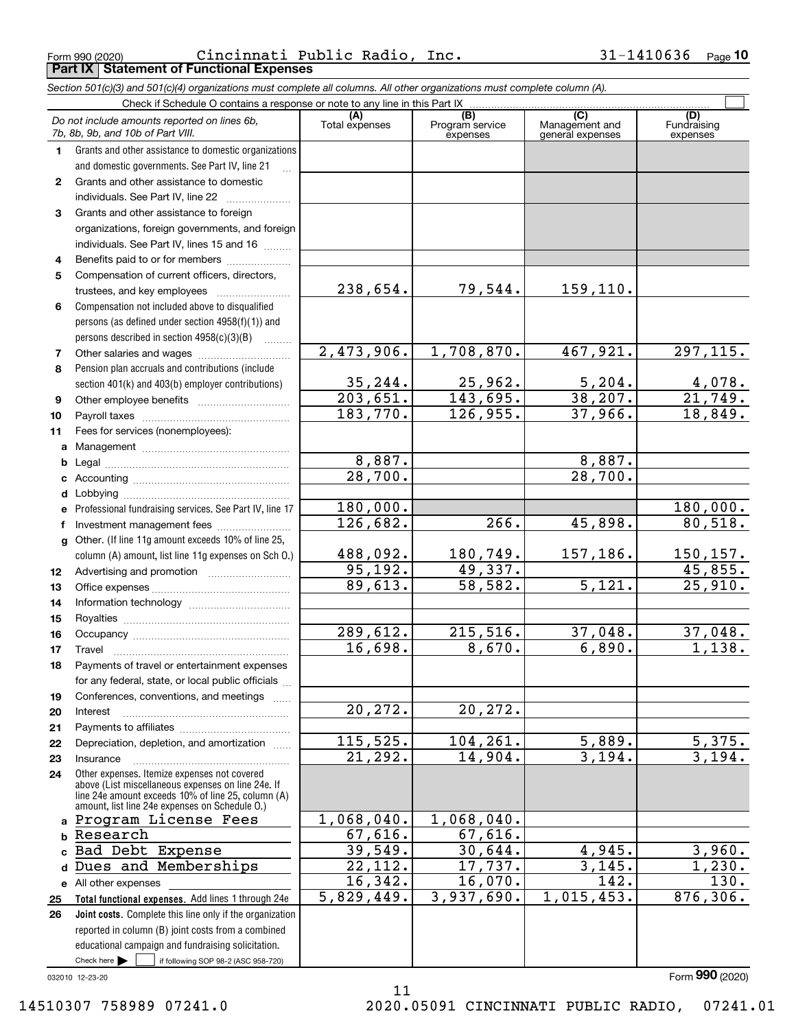Form 990 (2020) Page **10 Part IX Statement of Functional Expenses** Cincinnati Public Radio, Inc. 31-1410636

*Section 501(c)(3) and 501(c)(4) organizations must complete all columns. All other organizations must complete column (A).*

|              | Check if Schedule O contains a response or note to any line in this Part IX                                                                              |                       |                                    |                                                      |                                |
|--------------|----------------------------------------------------------------------------------------------------------------------------------------------------------|-----------------------|------------------------------------|------------------------------------------------------|--------------------------------|
|              | Do not include amounts reported on lines 6b,<br>7b, 8b, 9b, and 10b of Part VIII.                                                                        | (A)<br>Total expenses | (B)<br>Program service<br>expenses | $\overline{C}$<br>Management and<br>general expenses | (D)<br>Fundraising<br>expenses |
| 1.           | Grants and other assistance to domestic organizations                                                                                                    |                       |                                    |                                                      |                                |
|              | and domestic governments. See Part IV, line 21                                                                                                           |                       |                                    |                                                      |                                |
| $\mathbf{2}$ | Grants and other assistance to domestic                                                                                                                  |                       |                                    |                                                      |                                |
|              | individuals. See Part IV, line 22                                                                                                                        |                       |                                    |                                                      |                                |
| 3            | Grants and other assistance to foreign                                                                                                                   |                       |                                    |                                                      |                                |
|              | organizations, foreign governments, and foreign                                                                                                          |                       |                                    |                                                      |                                |
|              | individuals. See Part IV, lines 15 and 16                                                                                                                |                       |                                    |                                                      |                                |
| 4            | Benefits paid to or for members                                                                                                                          |                       |                                    |                                                      |                                |
| 5            | Compensation of current officers, directors,                                                                                                             |                       |                                    |                                                      |                                |
|              | trustees, and key employees                                                                                                                              | 238,654.              | 79,544.                            | 159,110.                                             |                                |
| 6            | Compensation not included above to disqualified                                                                                                          |                       |                                    |                                                      |                                |
|              | persons (as defined under section 4958(f)(1)) and                                                                                                        |                       |                                    |                                                      |                                |
|              | persons described in section 4958(c)(3)(B)                                                                                                               |                       |                                    |                                                      |                                |
| 7            |                                                                                                                                                          | 2,473,906.            | 1,708,870.                         | 467,921.                                             | 297, 115.                      |
| 8            | Pension plan accruals and contributions (include                                                                                                         |                       |                                    |                                                      |                                |
|              | section 401(k) and 403(b) employer contributions)                                                                                                        | 35, 244.              | 25,962.                            | 5,204.                                               | 4,078.                         |
| 9            |                                                                                                                                                          | 203,651.              | 143,695.                           | 38, 207.                                             | $\overline{21,749}$ .          |
| 10           |                                                                                                                                                          | 183,770.              | 126,955.                           | 37,966.                                              | 18,849.                        |
| 11           | Fees for services (nonemployees):                                                                                                                        |                       |                                    |                                                      |                                |
| a            |                                                                                                                                                          |                       |                                    |                                                      |                                |
| b            |                                                                                                                                                          | 8,887.                |                                    | 8,887.                                               |                                |
| c            |                                                                                                                                                          | 28,700.               |                                    | $\overline{28,700}$ .                                |                                |
| d            |                                                                                                                                                          |                       |                                    |                                                      |                                |
| e            | Professional fundraising services. See Part IV, line 17                                                                                                  | 180,000.              |                                    |                                                      | 180,000.                       |
| f            | Investment management fees                                                                                                                               | 126,682.              | 266.                               | 45,898.                                              | 80,518.                        |
| a            | Other. (If line 11g amount exceeds 10% of line 25,                                                                                                       |                       |                                    |                                                      |                                |
|              | column (A) amount, list line 11g expenses on Sch 0.)                                                                                                     | 488,092.              | 180,749.                           | 157,186.                                             | 150, 157.                      |
| 12           |                                                                                                                                                          | 95, 192.              | 49,337.                            |                                                      | 45,855.                        |
| 13           |                                                                                                                                                          | 89,613.               | 58, 582.                           | $\overline{5,121}$ .                                 | 25,910.                        |
| 14           |                                                                                                                                                          |                       |                                    |                                                      |                                |
| 15           |                                                                                                                                                          |                       |                                    |                                                      |                                |
| 16           |                                                                                                                                                          | 289,612.              | 215,516.                           | 37,048.                                              | 37,048.                        |
| 17           | Travel                                                                                                                                                   | 16,698.               | 8,670.                             | 6,890.                                               | 1,138.                         |
| 18           | Payments of travel or entertainment expenses                                                                                                             |                       |                                    |                                                      |                                |
|              | for any federal, state, or local public officials                                                                                                        |                       |                                    |                                                      |                                |
| 19           | Conferences, conventions, and meetings                                                                                                                   |                       |                                    |                                                      |                                |
| 20           | Interest                                                                                                                                                 | 20, 272.              | 20, 272.                           |                                                      |                                |
| 21           |                                                                                                                                                          |                       |                                    |                                                      |                                |
| 22           | Depreciation, depletion, and amortization                                                                                                                | 115,525.              | 104, 261.<br>14,904.               | 5,889.                                               | 5,375.                         |
| 23           | Insurance                                                                                                                                                | 21,292.               |                                    | 3,194.                                               | 3,194.                         |
| 24           | Other expenses. Itemize expenses not covered<br>above (List miscellaneous expenses on line 24e. If<br>line 24e amount exceeds 10% of line 25, column (A) |                       |                                    |                                                      |                                |
| a            | amount, list line 24e expenses on Schedule O.)<br>Program License Fees                                                                                   | 1,068,040.            | 1,068,040.                         |                                                      |                                |
| b            | Research                                                                                                                                                 | 67,616.               | 67,616.                            |                                                      |                                |
| C            | Bad Debt Expense                                                                                                                                         | 39,549.               | 30,644.                            | 4,945.                                               | 3,960.                         |
| d            | Dues and Memberships                                                                                                                                     | 22, 112.              | 17,737.                            | 3,145.                                               | 1,230.                         |
|              | e All other expenses                                                                                                                                     | 16,342.               | 16,070.                            | 142.                                                 | 130.                           |
| 25           | Total functional expenses. Add lines 1 through 24e                                                                                                       | 5,829,449.            | 3,937,690.                         | 1,015,453.                                           | 876, 306.                      |
| 26           | Joint costs. Complete this line only if the organization                                                                                                 |                       |                                    |                                                      |                                |
|              | reported in column (B) joint costs from a combined                                                                                                       |                       |                                    |                                                      |                                |
|              | educational campaign and fundraising solicitation.                                                                                                       |                       |                                    |                                                      |                                |
|              | Check here $\blacktriangleright$<br>if following SOP 98-2 (ASC 958-720)                                                                                  |                       |                                    |                                                      |                                |
|              | 032010 12-23-20                                                                                                                                          |                       |                                    |                                                      | Form 990 (2020)                |

11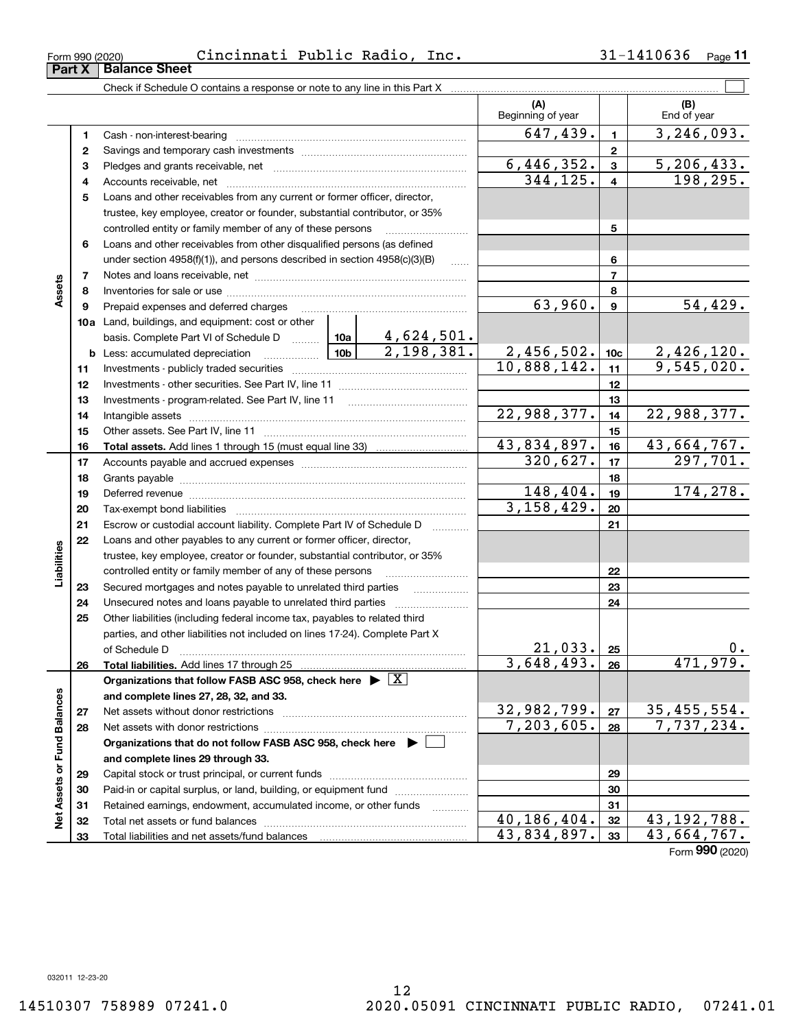**Part X Balance Sheet**<br>**Part X Balance Sheet** 

|                             |          | Check if Schedule O contains a response or note to any line in this Part X            |             |                          |                  |                                 |
|-----------------------------|----------|---------------------------------------------------------------------------------------|-------------|--------------------------|------------------|---------------------------------|
|                             |          |                                                                                       |             | (A)<br>Beginning of year |                  | (B)<br>End of year              |
|                             | 1        |                                                                                       |             | 647,439.                 | $\mathbf{1}$     | 3, 246, 093.                    |
|                             | 2        |                                                                                       |             |                          | $\mathbf{2}$     |                                 |
|                             | з        |                                                                                       |             | 6,446,352.               | $\mathbf{3}$     | 5, 206, 433.                    |
|                             | 4        |                                                                                       | 344,125.    | $\overline{\mathbf{4}}$  | 198,295.         |                                 |
|                             | 5        | Loans and other receivables from any current or former officer, director,             |             |                          |                  |                                 |
|                             |          | trustee, key employee, creator or founder, substantial contributor, or 35%            |             |                          |                  |                                 |
|                             |          | controlled entity or family member of any of these persons                            |             |                          | 5                |                                 |
|                             | 6        | Loans and other receivables from other disqualified persons (as defined               |             |                          |                  |                                 |
|                             |          | under section $4958(f)(1)$ , and persons described in section $4958(c)(3)(B)$         | $\ldots$    |                          | 6                |                                 |
|                             | 7        |                                                                                       |             |                          | $\overline{7}$   |                                 |
| Assets                      | 8        |                                                                                       |             |                          | 8                |                                 |
|                             | 9        | Prepaid expenses and deferred charges                                                 |             | 63,960.                  | $\boldsymbol{9}$ | 54,429.                         |
|                             |          | 10a Land, buildings, and equipment: cost or other                                     |             |                          |                  |                                 |
|                             |          | basis. Complete Part VI of Schedule D  10a 4, 624, 501.                               |             |                          |                  |                                 |
|                             |          | <u>  1</u> 0b  <br><b>b</b> Less: accumulated depreciation                            | 2,198,381.  | 2,456,502.               | 10 <sub>c</sub>  | $\frac{2,426,120.}{9,545,020.}$ |
|                             | 11       |                                                                                       |             | 10,888,142.              | 11               |                                 |
|                             | 12       |                                                                                       |             |                          | 12               |                                 |
|                             | 13       |                                                                                       |             | 13                       |                  |                                 |
|                             | 14       |                                                                                       | 22,988,377. | 14                       | 22,988,377.      |                                 |
|                             | 15       |                                                                                       |             | 15                       |                  |                                 |
|                             | 16       |                                                                                       |             | 43,834,897.              | 16               | 43,664,767.                     |
|                             | 17       |                                                                                       | 320,627.    | 17                       | 297,701.         |                                 |
|                             | 18       |                                                                                       |             | 18                       |                  |                                 |
|                             | 19       |                                                                                       |             | 148,404.                 | 19               | 174,278.                        |
|                             | 20       |                                                                                       |             | 3,158,429.               | 20               |                                 |
|                             | 21       | Escrow or custodial account liability. Complete Part IV of Schedule D                 |             |                          | 21               |                                 |
|                             | 22       | Loans and other payables to any current or former officer, director,                  |             |                          |                  |                                 |
|                             |          | trustee, key employee, creator or founder, substantial contributor, or 35%            |             |                          |                  |                                 |
| Liabilities                 |          | controlled entity or family member of any of these persons                            |             |                          | 22               |                                 |
|                             | 23       | Secured mortgages and notes payable to unrelated third parties                        |             |                          | 23               |                                 |
|                             | 24       |                                                                                       |             |                          | 24               |                                 |
|                             | 25       | Other liabilities (including federal income tax, payables to related third            |             |                          |                  |                                 |
|                             |          | parties, and other liabilities not included on lines 17-24). Complete Part X          |             |                          |                  |                                 |
|                             |          | of Schedule D                                                                         |             | 21,033.                  | 25               | 0.                              |
|                             | 26       | Total liabilities. Add lines 17 through 25                                            |             | 3,648,493.               | 26               | 471,979.                        |
|                             |          | Organizations that follow FASB ASC 958, check here $\triangleright \lfloor X \rfloor$ |             |                          |                  |                                 |
|                             |          | and complete lines 27, 28, 32, and 33.                                                |             | 32,982,799.              |                  | 35, 455, 554.                   |
|                             | 27       |                                                                                       |             | $\overline{7,203,605}$ . | 27               | 7,737,234.                      |
|                             | 28       |                                                                                       |             |                          | 28               |                                 |
|                             |          | Organizations that do not follow FASB ASC 958, check here $\blacktriangleright$       |             |                          |                  |                                 |
|                             |          | and complete lines 29 through 33.                                                     |             |                          | 29               |                                 |
|                             | 29       | Paid-in or capital surplus, or land, building, or equipment fund                      |             |                          | 30               |                                 |
|                             | 30<br>31 | Retained earnings, endowment, accumulated income, or other funds                      |             |                          | 31               |                                 |
| Net Assets or Fund Balances | 32       |                                                                                       |             | 40, 186, 404.            | 32               | 43, 192, 788.                   |
|                             | 33       |                                                                                       |             | 43,834,897.              | 33               | 43,664,767.                     |
|                             |          |                                                                                       |             |                          |                  |                                 |

Form (2020) **990**

032011 12-23-20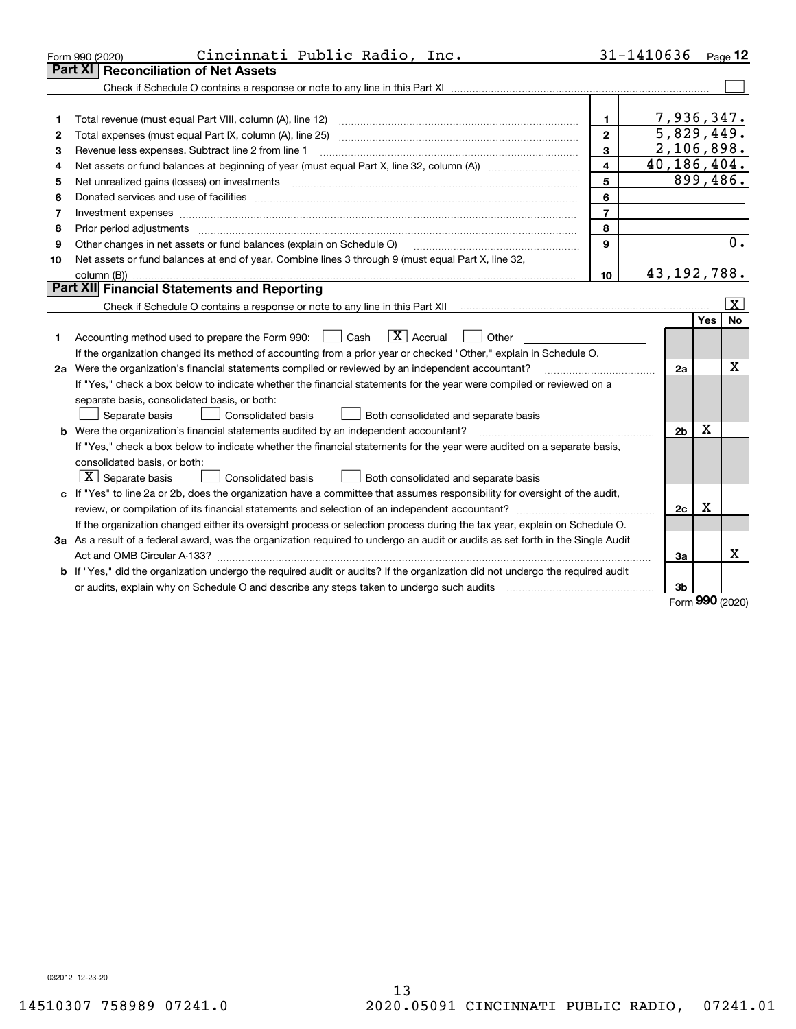|    | Cincinnati Public Radio, Inc.<br>Form 990 (2020)                                                                                                                                                                               |                | 31-1410636     |                   | Page $12$        |  |  |  |  |
|----|--------------------------------------------------------------------------------------------------------------------------------------------------------------------------------------------------------------------------------|----------------|----------------|-------------------|------------------|--|--|--|--|
|    | <b>Reconciliation of Net Assets</b><br>Part XI                                                                                                                                                                                 |                |                |                   |                  |  |  |  |  |
|    |                                                                                                                                                                                                                                |                |                |                   |                  |  |  |  |  |
|    |                                                                                                                                                                                                                                |                |                |                   |                  |  |  |  |  |
| 1  | Total revenue (must equal Part VIII, column (A), line 12)                                                                                                                                                                      | 1              |                |                   | 7,936,347.       |  |  |  |  |
| 2  | $\overline{5,829}$ , 449.<br>$\mathbf{2}$                                                                                                                                                                                      |                |                |                   |                  |  |  |  |  |
| з  | 2,106,898.<br>3<br>Revenue less expenses. Subtract line 2 from line 1                                                                                                                                                          |                |                |                   |                  |  |  |  |  |
| 4  | 40,186,404.<br>$\overline{\mathbf{4}}$                                                                                                                                                                                         |                |                |                   |                  |  |  |  |  |
| 5  | Net unrealized gains (losses) on investments [11] matter contracts and the state of the state of the state of the state of the state of the state of the state of the state of the state of the state of the state of the stat | 5              |                |                   | 899,486.         |  |  |  |  |
| 6  | Donated services and use of facilities [111] Donated and the service of facilities [11] Donated services and use of facilities [11] Donated and the service of the service of the service of the service of the service of the | 6              |                |                   |                  |  |  |  |  |
| 7  |                                                                                                                                                                                                                                | $\overline{7}$ |                |                   |                  |  |  |  |  |
| 8  | Prior period adjustments www.communication.communication.com/news/communication.com/news/communication.com/new                                                                                                                 | 8              |                |                   |                  |  |  |  |  |
| 9  | Other changes in net assets or fund balances (explain on Schedule O)                                                                                                                                                           | 9              |                |                   | $\overline{0}$ . |  |  |  |  |
| 10 | Net assets or fund balances at end of year. Combine lines 3 through 9 (must equal Part X, line 32,                                                                                                                             |                |                |                   |                  |  |  |  |  |
|    |                                                                                                                                                                                                                                | 10             |                |                   | 43, 192, 788.    |  |  |  |  |
|    | Part XII Financial Statements and Reporting                                                                                                                                                                                    |                |                |                   |                  |  |  |  |  |
|    |                                                                                                                                                                                                                                |                |                |                   | <u>  x  </u>     |  |  |  |  |
|    |                                                                                                                                                                                                                                |                |                | Yes               | <b>No</b>        |  |  |  |  |
| 1  | $\boxed{\mathbf{X}}$ Accrual<br>Accounting method used to prepare the Form 990: <u>[</u> Cash<br>Other                                                                                                                         |                |                |                   |                  |  |  |  |  |
|    | If the organization changed its method of accounting from a prior year or checked "Other," explain in Schedule O.                                                                                                              |                |                |                   |                  |  |  |  |  |
|    | 2a Were the organization's financial statements compiled or reviewed by an independent accountant?                                                                                                                             |                | 2a             |                   | х                |  |  |  |  |
|    | If "Yes," check a box below to indicate whether the financial statements for the year were compiled or reviewed on a                                                                                                           |                |                |                   |                  |  |  |  |  |
|    | separate basis, consolidated basis, or both:                                                                                                                                                                                   |                |                |                   |                  |  |  |  |  |
|    | Separate basis<br><b>Consolidated basis</b><br>Both consolidated and separate basis                                                                                                                                            |                |                |                   |                  |  |  |  |  |
|    | <b>b</b> Were the organization's financial statements audited by an independent accountant?                                                                                                                                    |                | 2 <sub>b</sub> | х                 |                  |  |  |  |  |
|    | If "Yes," check a box below to indicate whether the financial statements for the year were audited on a separate basis,                                                                                                        |                |                |                   |                  |  |  |  |  |
|    | consolidated basis, or both:                                                                                                                                                                                                   |                |                |                   |                  |  |  |  |  |
|    | $\boxed{\textbf{X}}$ Separate basis<br>Consolidated basis<br>Both consolidated and separate basis                                                                                                                              |                |                |                   |                  |  |  |  |  |
|    | c If "Yes" to line 2a or 2b, does the organization have a committee that assumes responsibility for oversight of the audit,                                                                                                    |                |                |                   |                  |  |  |  |  |
|    |                                                                                                                                                                                                                                |                |                | $\mathbf X$<br>2c |                  |  |  |  |  |
|    | If the organization changed either its oversight process or selection process during the tax year, explain on Schedule O.                                                                                                      |                |                |                   |                  |  |  |  |  |
|    | 3a As a result of a federal award, was the organization required to undergo an audit or audits as set forth in the Single Audit                                                                                                |                |                |                   |                  |  |  |  |  |
|    |                                                                                                                                                                                                                                |                | За             |                   | x                |  |  |  |  |
|    | <b>b</b> If "Yes," did the organization undergo the required audit or audits? If the organization did not undergo the required audit                                                                                           |                |                |                   |                  |  |  |  |  |
|    |                                                                                                                                                                                                                                |                | 3b             |                   | $000 -$          |  |  |  |  |
|    |                                                                                                                                                                                                                                |                |                |                   |                  |  |  |  |  |

Form (2020) **990**

032012 12-23-20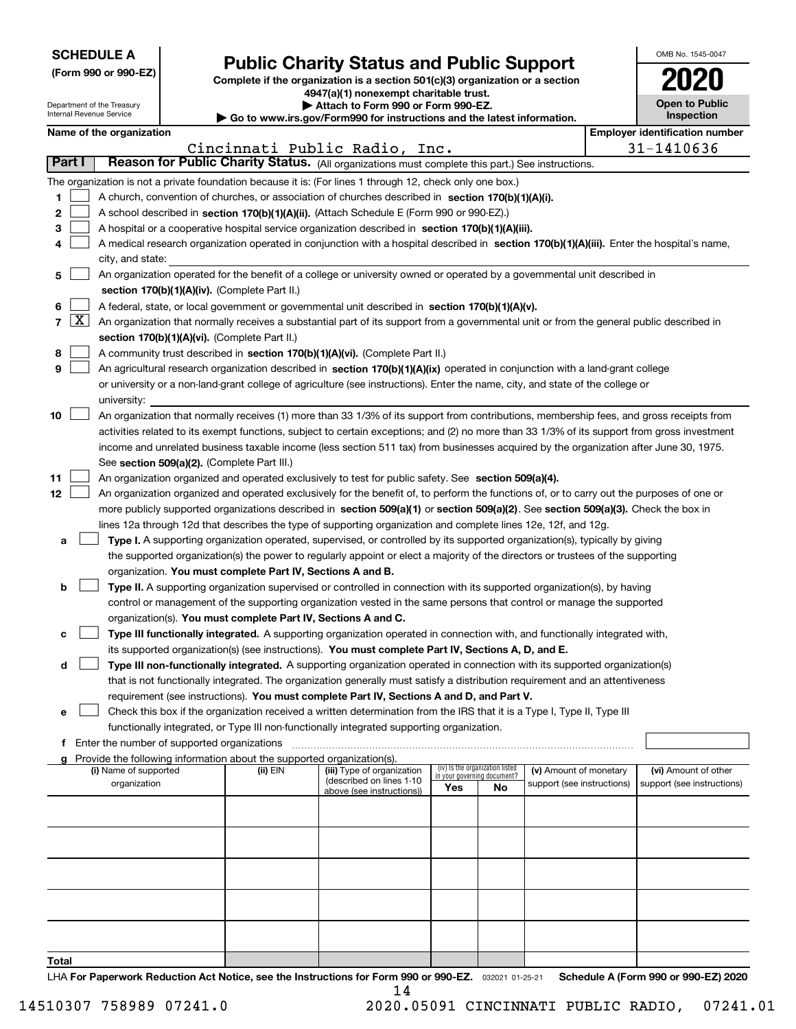| <b>SCHEDULE A</b> |
|-------------------|
|-------------------|

Department of the Treasury Internal Revenue Service

| (Form 990 or 990-EZ) |  |  |  |  |
|----------------------|--|--|--|--|
|----------------------|--|--|--|--|

### **Public Charity Status and Public Support**

**Complete if the organization is a section 501(c)(3) organization or a section 4947(a)(1) nonexempt charitable trust. | Attach to Form 990 or Form 990-EZ.** 

| ▶ Go to www.irs.gov/Form990 for instructions and the latest information |
|-------------------------------------------------------------------------|

| OMB No 1545-0047                    |
|-------------------------------------|
| 2020                                |
| <b>Open to Public</b><br>Inspection |

|  |  | Name of the organization |
|--|--|--------------------------|

|               |                     | Name of the organization                                                                                                                            |          |                                                        |                                                                |    |                            |  | <b>Employer identification number</b>              |  |  |  |
|---------------|---------------------|-----------------------------------------------------------------------------------------------------------------------------------------------------|----------|--------------------------------------------------------|----------------------------------------------------------------|----|----------------------------|--|----------------------------------------------------|--|--|--|
|               |                     |                                                                                                                                                     |          | Cincinnati Public Radio, Inc.                          |                                                                |    |                            |  | 31-1410636                                         |  |  |  |
| <b>Part I</b> |                     | Reason for Public Charity Status. (All organizations must complete this part.) See instructions.                                                    |          |                                                        |                                                                |    |                            |  |                                                    |  |  |  |
|               |                     | The organization is not a private foundation because it is: (For lines 1 through 12, check only one box.)                                           |          |                                                        |                                                                |    |                            |  |                                                    |  |  |  |
| 1             |                     | A church, convention of churches, or association of churches described in section 170(b)(1)(A)(i).                                                  |          |                                                        |                                                                |    |                            |  |                                                    |  |  |  |
| 2             |                     | A school described in section 170(b)(1)(A)(ii). (Attach Schedule E (Form 990 or 990-EZ).)                                                           |          |                                                        |                                                                |    |                            |  |                                                    |  |  |  |
| З             |                     | A hospital or a cooperative hospital service organization described in section 170(b)(1)(A)(iii).                                                   |          |                                                        |                                                                |    |                            |  |                                                    |  |  |  |
|               |                     | A medical research organization operated in conjunction with a hospital described in section 170(b)(1)(A)(iii). Enter the hospital's name,          |          |                                                        |                                                                |    |                            |  |                                                    |  |  |  |
|               |                     | city, and state:                                                                                                                                    |          |                                                        |                                                                |    |                            |  |                                                    |  |  |  |
| 5             |                     | An organization operated for the benefit of a college or university owned or operated by a governmental unit described in                           |          |                                                        |                                                                |    |                            |  |                                                    |  |  |  |
|               |                     | section 170(b)(1)(A)(iv). (Complete Part II.)                                                                                                       |          |                                                        |                                                                |    |                            |  |                                                    |  |  |  |
| 6             |                     | A federal, state, or local government or governmental unit described in section 170(b)(1)(A)(v).                                                    |          |                                                        |                                                                |    |                            |  |                                                    |  |  |  |
| 7             | $\lfloor x \rfloor$ | An organization that normally receives a substantial part of its support from a governmental unit or from the general public described in           |          |                                                        |                                                                |    |                            |  |                                                    |  |  |  |
|               |                     | section 170(b)(1)(A)(vi). (Complete Part II.)                                                                                                       |          |                                                        |                                                                |    |                            |  |                                                    |  |  |  |
| 8             |                     | A community trust described in section 170(b)(1)(A)(vi). (Complete Part II.)                                                                        |          |                                                        |                                                                |    |                            |  |                                                    |  |  |  |
| 9             |                     | An agricultural research organization described in section 170(b)(1)(A)(ix) operated in conjunction with a land-grant college                       |          |                                                        |                                                                |    |                            |  |                                                    |  |  |  |
|               |                     | or university or a non-land-grant college of agriculture (see instructions). Enter the name, city, and state of the college or                      |          |                                                        |                                                                |    |                            |  |                                                    |  |  |  |
|               |                     | university:                                                                                                                                         |          |                                                        |                                                                |    |                            |  |                                                    |  |  |  |
| 10            |                     | An organization that normally receives (1) more than 33 1/3% of its support from contributions, membership fees, and gross receipts from            |          |                                                        |                                                                |    |                            |  |                                                    |  |  |  |
|               |                     | activities related to its exempt functions, subject to certain exceptions; and (2) no more than 33 1/3% of its support from gross investment        |          |                                                        |                                                                |    |                            |  |                                                    |  |  |  |
|               |                     | income and unrelated business taxable income (less section 511 tax) from businesses acquired by the organization after June 30, 1975.               |          |                                                        |                                                                |    |                            |  |                                                    |  |  |  |
| 11            |                     | See section 509(a)(2). (Complete Part III.)<br>An organization organized and operated exclusively to test for public safety. See section 509(a)(4). |          |                                                        |                                                                |    |                            |  |                                                    |  |  |  |
| 12            |                     | An organization organized and operated exclusively for the benefit of, to perform the functions of, or to carry out the purposes of one or          |          |                                                        |                                                                |    |                            |  |                                                    |  |  |  |
|               |                     | more publicly supported organizations described in section 509(a)(1) or section 509(a)(2). See section 509(a)(3). Check the box in                  |          |                                                        |                                                                |    |                            |  |                                                    |  |  |  |
|               |                     | lines 12a through 12d that describes the type of supporting organization and complete lines 12e, 12f, and 12g.                                      |          |                                                        |                                                                |    |                            |  |                                                    |  |  |  |
| а             |                     | Type I. A supporting organization operated, supervised, or controlled by its supported organization(s), typically by giving                         |          |                                                        |                                                                |    |                            |  |                                                    |  |  |  |
|               |                     | the supported organization(s) the power to regularly appoint or elect a majority of the directors or trustees of the supporting                     |          |                                                        |                                                                |    |                            |  |                                                    |  |  |  |
|               |                     | organization. You must complete Part IV, Sections A and B.                                                                                          |          |                                                        |                                                                |    |                            |  |                                                    |  |  |  |
| b             |                     | Type II. A supporting organization supervised or controlled in connection with its supported organization(s), by having                             |          |                                                        |                                                                |    |                            |  |                                                    |  |  |  |
|               |                     | control or management of the supporting organization vested in the same persons that control or manage the supported                                |          |                                                        |                                                                |    |                            |  |                                                    |  |  |  |
|               |                     | organization(s). You must complete Part IV, Sections A and C.                                                                                       |          |                                                        |                                                                |    |                            |  |                                                    |  |  |  |
| c             |                     | Type III functionally integrated. A supporting organization operated in connection with, and functionally integrated with,                          |          |                                                        |                                                                |    |                            |  |                                                    |  |  |  |
|               |                     | its supported organization(s) (see instructions). You must complete Part IV, Sections A, D, and E.                                                  |          |                                                        |                                                                |    |                            |  |                                                    |  |  |  |
| d             |                     | Type III non-functionally integrated. A supporting organization operated in connection with its supported organization(s)                           |          |                                                        |                                                                |    |                            |  |                                                    |  |  |  |
|               |                     | that is not functionally integrated. The organization generally must satisfy a distribution requirement and an attentiveness                        |          |                                                        |                                                                |    |                            |  |                                                    |  |  |  |
|               |                     | requirement (see instructions). You must complete Part IV, Sections A and D, and Part V.                                                            |          |                                                        |                                                                |    |                            |  |                                                    |  |  |  |
| е             |                     | Check this box if the organization received a written determination from the IRS that it is a Type I, Type II, Type III                             |          |                                                        |                                                                |    |                            |  |                                                    |  |  |  |
|               |                     | functionally integrated, or Type III non-functionally integrated supporting organization.                                                           |          |                                                        |                                                                |    |                            |  |                                                    |  |  |  |
|               |                     | f Enter the number of supported organizations                                                                                                       |          |                                                        |                                                                |    |                            |  |                                                    |  |  |  |
|               |                     | g Provide the following information about the supported organization(s).<br>(i) Name of supported                                                   |          |                                                        |                                                                |    | (v) Amount of monetary     |  |                                                    |  |  |  |
|               |                     | organization                                                                                                                                        | (ii) EIN | (iii) Type of organization<br>(described on lines 1-10 | (iv) Is the organization listed<br>in your governing document? |    | support (see instructions) |  | (vi) Amount of other<br>support (see instructions) |  |  |  |
|               |                     |                                                                                                                                                     |          | above (see instructions))                              | Yes                                                            | No |                            |  |                                                    |  |  |  |
|               |                     |                                                                                                                                                     |          |                                                        |                                                                |    |                            |  |                                                    |  |  |  |
|               |                     |                                                                                                                                                     |          |                                                        |                                                                |    |                            |  |                                                    |  |  |  |
|               |                     |                                                                                                                                                     |          |                                                        |                                                                |    |                            |  |                                                    |  |  |  |
|               |                     |                                                                                                                                                     |          |                                                        |                                                                |    |                            |  |                                                    |  |  |  |
|               |                     |                                                                                                                                                     |          |                                                        |                                                                |    |                            |  |                                                    |  |  |  |
|               |                     |                                                                                                                                                     |          |                                                        |                                                                |    |                            |  |                                                    |  |  |  |
|               |                     |                                                                                                                                                     |          |                                                        |                                                                |    |                            |  |                                                    |  |  |  |
|               |                     |                                                                                                                                                     |          |                                                        |                                                                |    |                            |  |                                                    |  |  |  |
|               |                     |                                                                                                                                                     |          |                                                        |                                                                |    |                            |  |                                                    |  |  |  |
| Total         |                     |                                                                                                                                                     |          |                                                        |                                                                |    |                            |  |                                                    |  |  |  |

LHA For Paperwork Reduction Act Notice, see the Instructions for Form 990 or 990-EZ. <sub>032021</sub> o1-25-21 Schedule A (Form 990 or 990-EZ) 2020 14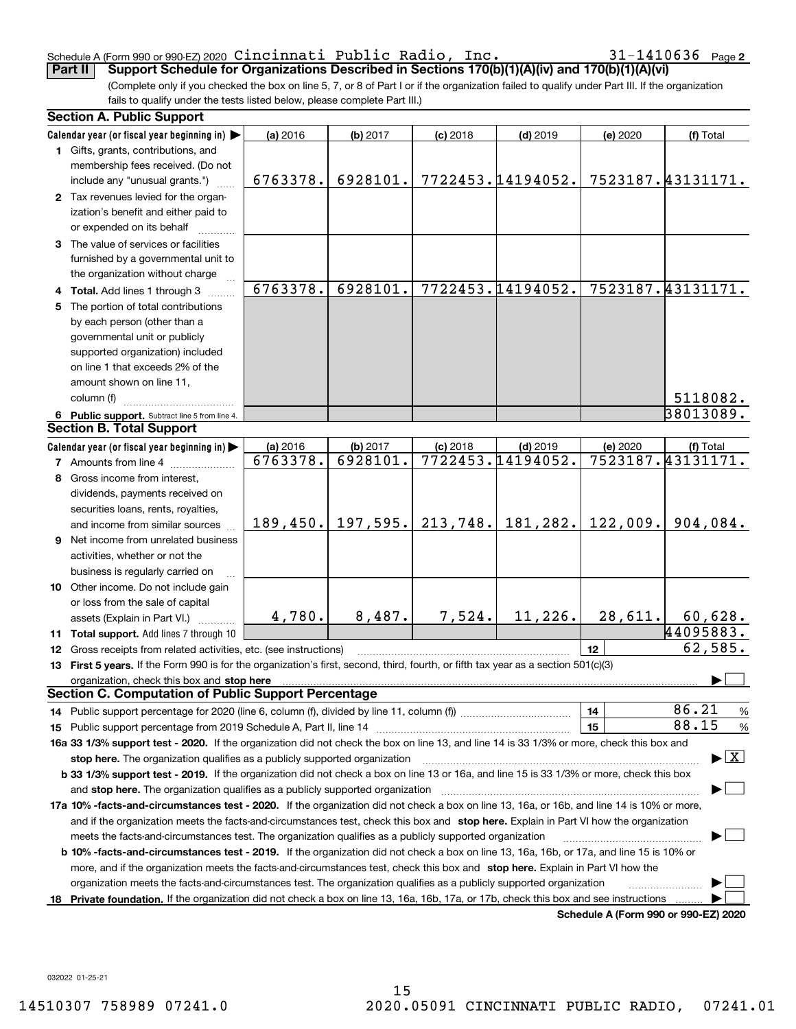#### Schedule A (Form 990 or 990-EZ) 2020 <code>Clnclnnati Public</code> <code>Radio, lnc.</code>  $\blacksquare$   $\blacksquare$   $\blacksquare$   $\blacksquare$   $\blacksquare$   $\blacksquare$   $\blacksquare$   $\blacksquare$   $\blacksquare$   $\blacksquare$   $\blacksquare$   $\blacksquare$   $\blacksquare$   $\blacksquare$   $\blacksquare$   $\blacksquare$   $\blacksquare$   $\blacksquare$   $\blacksquare$   $\blacksquare$   $\blacksquare$   $\blacks$ Cincinnati Public Radio, Inc. 31-1410636

31-1410636 Page 2

(Complete only if you checked the box on line 5, 7, or 8 of Part I or if the organization failed to qualify under Part III. If the organization fails to qualify under the tests listed below, please complete Part III.) **Part II Support Schedule for Organizations Described in Sections 170(b)(1)(A)(iv) and 170(b)(1)(A)(vi)**

|    | <b>Section A. Public Support</b>                                                                                                                                                                                                                           |                                                                                                                                                |          |            |                   |          |                                          |  |  |
|----|------------------------------------------------------------------------------------------------------------------------------------------------------------------------------------------------------------------------------------------------------------|------------------------------------------------------------------------------------------------------------------------------------------------|----------|------------|-------------------|----------|------------------------------------------|--|--|
|    | Calendar year (or fiscal year beginning in)                                                                                                                                                                                                                | (a) 2016                                                                                                                                       | (b) 2017 | $(c)$ 2018 | $(d)$ 2019        | (e) 2020 | (f) Total                                |  |  |
|    | 1 Gifts, grants, contributions, and                                                                                                                                                                                                                        |                                                                                                                                                |          |            |                   |          |                                          |  |  |
|    | membership fees received. (Do not                                                                                                                                                                                                                          |                                                                                                                                                |          |            |                   |          |                                          |  |  |
|    | include any "unusual grants.")                                                                                                                                                                                                                             | 6763378.                                                                                                                                       | 6928101. |            | 7722453.14194052. |          | 7523187.43131171.                        |  |  |
|    | 2 Tax revenues levied for the organ-                                                                                                                                                                                                                       |                                                                                                                                                |          |            |                   |          |                                          |  |  |
|    | ization's benefit and either paid to                                                                                                                                                                                                                       |                                                                                                                                                |          |            |                   |          |                                          |  |  |
|    | or expended on its behalf                                                                                                                                                                                                                                  |                                                                                                                                                |          |            |                   |          |                                          |  |  |
|    | 3 The value of services or facilities                                                                                                                                                                                                                      |                                                                                                                                                |          |            |                   |          |                                          |  |  |
|    | furnished by a governmental unit to                                                                                                                                                                                                                        |                                                                                                                                                |          |            |                   |          |                                          |  |  |
|    | the organization without charge                                                                                                                                                                                                                            |                                                                                                                                                |          |            |                   |          |                                          |  |  |
|    | 4 Total. Add lines 1 through 3                                                                                                                                                                                                                             | 6763378.                                                                                                                                       | 6928101. |            | 7722453.14194052. |          | 7523187.43131171.                        |  |  |
|    | 5 The portion of total contributions                                                                                                                                                                                                                       |                                                                                                                                                |          |            |                   |          |                                          |  |  |
|    | by each person (other than a                                                                                                                                                                                                                               |                                                                                                                                                |          |            |                   |          |                                          |  |  |
|    | governmental unit or publicly                                                                                                                                                                                                                              |                                                                                                                                                |          |            |                   |          |                                          |  |  |
|    | supported organization) included                                                                                                                                                                                                                           |                                                                                                                                                |          |            |                   |          |                                          |  |  |
|    | on line 1 that exceeds 2% of the                                                                                                                                                                                                                           |                                                                                                                                                |          |            |                   |          |                                          |  |  |
|    | amount shown on line 11,                                                                                                                                                                                                                                   |                                                                                                                                                |          |            |                   |          |                                          |  |  |
|    | column (f)                                                                                                                                                                                                                                                 |                                                                                                                                                |          |            |                   |          | 5118082.                                 |  |  |
|    | 6 Public support. Subtract line 5 from line 4.                                                                                                                                                                                                             |                                                                                                                                                |          |            |                   |          | 38013089.                                |  |  |
|    | <b>Section B. Total Support</b>                                                                                                                                                                                                                            |                                                                                                                                                |          |            |                   |          |                                          |  |  |
|    | Calendar year (or fiscal year beginning in)                                                                                                                                                                                                                | (a) 2016                                                                                                                                       | (b) 2017 | $(c)$ 2018 | $(d)$ 2019        | (e) 2020 | (f) Total                                |  |  |
|    | <b>7</b> Amounts from line 4                                                                                                                                                                                                                               | 6763378.                                                                                                                                       | 6928101. |            | 7722453.14194052. |          | 7523187.43131171.                        |  |  |
| 8  | Gross income from interest,                                                                                                                                                                                                                                |                                                                                                                                                |          |            |                   |          |                                          |  |  |
|    | dividends, payments received on                                                                                                                                                                                                                            |                                                                                                                                                |          |            |                   |          |                                          |  |  |
|    | securities loans, rents, royalties,                                                                                                                                                                                                                        |                                                                                                                                                |          |            |                   |          |                                          |  |  |
|    | and income from similar sources                                                                                                                                                                                                                            | 189, 450.                                                                                                                                      | 197,595. | 213,748.   | 181,282.          | 122,009. | 904,084.                                 |  |  |
|    | <b>9</b> Net income from unrelated business                                                                                                                                                                                                                |                                                                                                                                                |          |            |                   |          |                                          |  |  |
|    | activities, whether or not the                                                                                                                                                                                                                             |                                                                                                                                                |          |            |                   |          |                                          |  |  |
|    | business is regularly carried on                                                                                                                                                                                                                           |                                                                                                                                                |          |            |                   |          |                                          |  |  |
|    | 10 Other income. Do not include gain                                                                                                                                                                                                                       |                                                                                                                                                |          |            |                   |          |                                          |  |  |
|    | or loss from the sale of capital                                                                                                                                                                                                                           |                                                                                                                                                |          |            |                   |          |                                          |  |  |
|    | assets (Explain in Part VI.)                                                                                                                                                                                                                               | 4,780.                                                                                                                                         | 8,487.   | 7,524.     | 11,226.           | 28,611.  | 60,628.                                  |  |  |
|    | 11 Total support. Add lines 7 through 10                                                                                                                                                                                                                   |                                                                                                                                                |          |            |                   |          | 44095883.                                |  |  |
|    | 12 Gross receipts from related activities, etc. (see instructions)                                                                                                                                                                                         |                                                                                                                                                |          |            |                   | 12       | 62,585.                                  |  |  |
|    | 13 First 5 years. If the Form 990 is for the organization's first, second, third, fourth, or fifth tax year as a section 501(c)(3)                                                                                                                         |                                                                                                                                                |          |            |                   |          |                                          |  |  |
|    | organization, check this box and stop here manufactured and according to the state of the state of the state of the state of the state of the state of the state of the state of the state of the state of the state of the st                             |                                                                                                                                                |          |            |                   |          |                                          |  |  |
|    | <b>Section C. Computation of Public Support Percentage</b>                                                                                                                                                                                                 |                                                                                                                                                |          |            |                   |          |                                          |  |  |
|    |                                                                                                                                                                                                                                                            |                                                                                                                                                |          |            |                   | 14       | 86.21<br>$\frac{9}{6}$                   |  |  |
|    |                                                                                                                                                                                                                                                            |                                                                                                                                                |          |            |                   | 15       | 88.15<br>%                               |  |  |
|    | 16a 33 1/3% support test - 2020. If the organization did not check the box on line 13, and line 14 is 33 1/3% or more, check this box and                                                                                                                  |                                                                                                                                                |          |            |                   |          |                                          |  |  |
|    | stop here. The organization qualifies as a publicly supported organization                                                                                                                                                                                 |                                                                                                                                                |          |            |                   |          | $\blacktriangleright$ $\boxed{\text{X}}$ |  |  |
|    | b 33 1/3% support test - 2019. If the organization did not check a box on line 13 or 16a, and line 15 is 33 1/3% or more, check this box                                                                                                                   |                                                                                                                                                |          |            |                   |          |                                          |  |  |
|    | and stop here. The organization qualifies as a publicly supported organization                                                                                                                                                                             |                                                                                                                                                |          |            |                   |          |                                          |  |  |
|    | 17a 10% -facts-and-circumstances test - 2020. If the organization did not check a box on line 13, 16a, or 16b, and line 14 is 10% or more,                                                                                                                 |                                                                                                                                                |          |            |                   |          |                                          |  |  |
|    | and if the organization meets the facts-and-circumstances test, check this box and stop here. Explain in Part VI how the organization                                                                                                                      |                                                                                                                                                |          |            |                   |          |                                          |  |  |
|    | meets the facts-and-circumstances test. The organization qualifies as a publicly supported organization                                                                                                                                                    |                                                                                                                                                |          |            |                   |          |                                          |  |  |
|    |                                                                                                                                                                                                                                                            | <b>b 10% -facts-and-circumstances test - 2019.</b> If the organization did not check a box on line 13, 16a, 16b, or 17a, and line 15 is 10% or |          |            |                   |          |                                          |  |  |
|    |                                                                                                                                                                                                                                                            |                                                                                                                                                |          |            |                   |          |                                          |  |  |
|    | more, and if the organization meets the facts-and-circumstances test, check this box and stop here. Explain in Part VI how the                                                                                                                             |                                                                                                                                                |          |            |                   |          |                                          |  |  |
| 18 | organization meets the facts-and-circumstances test. The organization qualifies as a publicly supported organization<br>Private foundation. If the organization did not check a box on line 13, 16a, 16b, 17a, or 17b, check this box and see instructions |                                                                                                                                                |          |            |                   |          |                                          |  |  |

**Schedule A (Form 990 or 990-EZ) 2020**

032022 01-25-21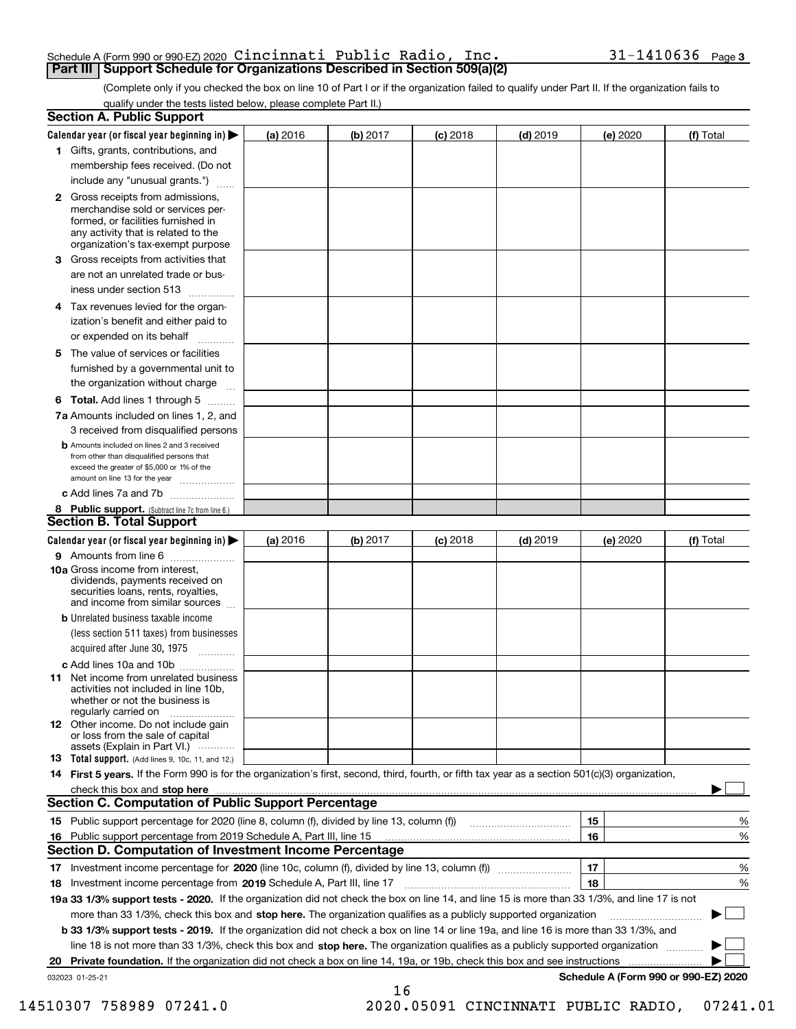#### Schedule A (Form 990 or 990-EZ) 2020  $\verb|Cincinnati|$   $\verb|Public Radio|$  ,  $\verb|Inc.|$   $\verb|30|$   $\verb|31-1410636$   $\verb|Page|$ **Part III | Support Schedule for Organizations Described in Section 509(a)(2)**

(Complete only if you checked the box on line 10 of Part I or if the organization failed to qualify under Part II. If the organization fails to qualify under the tests listed below, please complete Part II.)

|    | <b>Section A. Public Support</b>                                                                                                                                                         |          |          |            |            |          |                                      |
|----|------------------------------------------------------------------------------------------------------------------------------------------------------------------------------------------|----------|----------|------------|------------|----------|--------------------------------------|
|    | Calendar year (or fiscal year beginning in) $\blacktriangleright$                                                                                                                        | (a) 2016 | (b) 2017 | $(c)$ 2018 | $(d)$ 2019 | (e) 2020 | (f) Total                            |
|    | 1 Gifts, grants, contributions, and                                                                                                                                                      |          |          |            |            |          |                                      |
|    | membership fees received. (Do not                                                                                                                                                        |          |          |            |            |          |                                      |
|    | include any "unusual grants.")                                                                                                                                                           |          |          |            |            |          |                                      |
|    | 2 Gross receipts from admissions,<br>merchandise sold or services per-<br>formed, or facilities furnished in<br>any activity that is related to the<br>organization's tax-exempt purpose |          |          |            |            |          |                                      |
|    | 3 Gross receipts from activities that<br>are not an unrelated trade or bus-                                                                                                              |          |          |            |            |          |                                      |
|    | iness under section 513                                                                                                                                                                  |          |          |            |            |          |                                      |
|    | 4 Tax revenues levied for the organ-<br>ization's benefit and either paid to                                                                                                             |          |          |            |            |          |                                      |
|    | or expended on its behalf                                                                                                                                                                |          |          |            |            |          |                                      |
|    | 5 The value of services or facilities<br>furnished by a governmental unit to                                                                                                             |          |          |            |            |          |                                      |
|    | the organization without charge                                                                                                                                                          |          |          |            |            |          |                                      |
|    | <b>6 Total.</b> Add lines 1 through 5 $\dots$                                                                                                                                            |          |          |            |            |          |                                      |
|    | 7a Amounts included on lines 1, 2, and<br>3 received from disqualified persons                                                                                                           |          |          |            |            |          |                                      |
|    | <b>b</b> Amounts included on lines 2 and 3 received<br>from other than disqualified persons that<br>exceed the greater of \$5,000 or 1% of the<br>amount on line 13 for the year         |          |          |            |            |          |                                      |
|    | c Add lines 7a and 7b                                                                                                                                                                    |          |          |            |            |          |                                      |
|    | 8 Public support. (Subtract line 7c from line 6.)<br><b>Section B. Total Support</b>                                                                                                     |          |          |            |            |          |                                      |
|    | Calendar year (or fiscal year beginning in)                                                                                                                                              | (a) 2016 | (b) 2017 | $(c)$ 2018 | $(d)$ 2019 | (e) 2020 | (f) Total                            |
|    | 9 Amounts from line 6                                                                                                                                                                    |          |          |            |            |          |                                      |
|    | 10a Gross income from interest,<br>dividends, payments received on<br>securities loans, rents, royalties,<br>and income from similar sources                                             |          |          |            |            |          |                                      |
|    | <b>b</b> Unrelated business taxable income                                                                                                                                               |          |          |            |            |          |                                      |
|    | (less section 511 taxes) from businesses<br>acquired after June 30, 1975                                                                                                                 |          |          |            |            |          |                                      |
|    | c Add lines 10a and 10b                                                                                                                                                                  |          |          |            |            |          |                                      |
|    | <b>11</b> Net income from unrelated business<br>activities not included in line 10b,<br>whether or not the business is<br>regularly carried on                                           |          |          |            |            |          |                                      |
|    | <b>12</b> Other income. Do not include gain<br>or loss from the sale of capital<br>assets (Explain in Part VI.)                                                                          |          |          |            |            |          |                                      |
|    | 13 Total support. (Add lines 9, 10c, 11, and 12.)                                                                                                                                        |          |          |            |            |          |                                      |
|    | 14 First 5 years. If the Form 990 is for the organization's first, second, third, fourth, or fifth tax year as a section 501(c)(3) organization,                                         |          |          |            |            |          |                                      |
|    | check this box and stop here manufactured and state of the state of the state of the state of the state of the<br><b>Section C. Computation of Public Support Percentage</b>             |          |          |            |            |          |                                      |
|    |                                                                                                                                                                                          |          |          |            |            | 15       | %                                    |
|    | 16 Public support percentage from 2019 Schedule A, Part III, line 15                                                                                                                     |          |          |            |            | 16       | %                                    |
|    | Section D. Computation of Investment Income Percentage                                                                                                                                   |          |          |            |            |          |                                      |
|    |                                                                                                                                                                                          |          |          |            |            | 17       | %                                    |
|    | 18 Investment income percentage from 2019 Schedule A, Part III, line 17                                                                                                                  |          |          |            |            | 18       | %                                    |
|    | 19a 33 1/3% support tests - 2020. If the organization did not check the box on line 14, and line 15 is more than 33 1/3%, and line 17 is not                                             |          |          |            |            |          |                                      |
|    | more than 33 1/3%, check this box and stop here. The organization qualifies as a publicly supported organization                                                                         |          |          |            |            |          |                                      |
|    | b 33 1/3% support tests - 2019. If the organization did not check a box on line 14 or line 19a, and line 16 is more than 33 1/3%, and                                                    |          |          |            |            |          |                                      |
|    | line 18 is not more than 33 1/3%, check this box and stop here. The organization qualifies as a publicly supported organization                                                          |          |          |            |            |          |                                      |
| 20 |                                                                                                                                                                                          |          |          |            |            |          |                                      |
|    | 032023 01-25-21                                                                                                                                                                          |          |          |            |            |          | Schedule A (Form 990 or 990-EZ) 2020 |
|    |                                                                                                                                                                                          |          | 16       |            |            |          |                                      |

 <sup>14510307 758989 07241.0 2020.05091</sup> CINCINNATI PUBLIC RADIO, 07241.01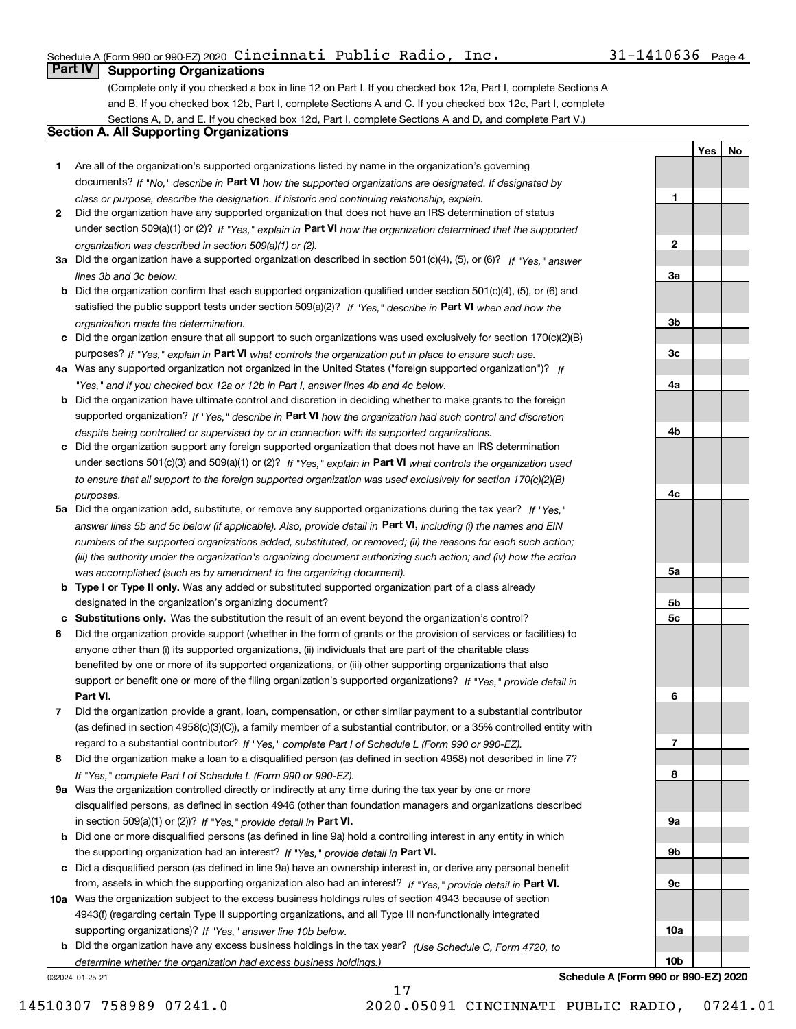### Schedule A (Form 990 or 990-EZ) 2020  $\verb|Cincinnati|$   $\verb|Public Radio|$  ,  $\verb|Inc.|$   $\verb|30|$   $\verb|31-1410636$   $\verb|Page|$

### **Part IV Supporting Organizations**

(Complete only if you checked a box in line 12 on Part I. If you checked box 12a, Part I, complete Sections A and B. If you checked box 12b, Part I, complete Sections A and C. If you checked box 12c, Part I, complete Sections A, D, and E. If you checked box 12d, Part I, complete Sections A and D, and complete Part V.)

### **Section A. All Supporting Organizations**

- **1** Are all of the organization's supported organizations listed by name in the organization's governing documents? If "No," describe in **Part VI** how the supported organizations are designated. If designated by *class or purpose, describe the designation. If historic and continuing relationship, explain.*
- **2** Did the organization have any supported organization that does not have an IRS determination of status under section 509(a)(1) or (2)? If "Yes," explain in Part VI how the organization determined that the supported *organization was described in section 509(a)(1) or (2).*
- **3a** Did the organization have a supported organization described in section 501(c)(4), (5), or (6)? If "Yes," answer *lines 3b and 3c below.*
- **b** Did the organization confirm that each supported organization qualified under section 501(c)(4), (5), or (6) and satisfied the public support tests under section 509(a)(2)? If "Yes," describe in **Part VI** when and how the *organization made the determination.*
- **c**Did the organization ensure that all support to such organizations was used exclusively for section 170(c)(2)(B) purposes? If "Yes," explain in **Part VI** what controls the organization put in place to ensure such use.
- **4a***If* Was any supported organization not organized in the United States ("foreign supported organization")? *"Yes," and if you checked box 12a or 12b in Part I, answer lines 4b and 4c below.*
- **b** Did the organization have ultimate control and discretion in deciding whether to make grants to the foreign supported organization? If "Yes," describe in **Part VI** how the organization had such control and discretion *despite being controlled or supervised by or in connection with its supported organizations.*
- **c** Did the organization support any foreign supported organization that does not have an IRS determination under sections 501(c)(3) and 509(a)(1) or (2)? If "Yes," explain in **Part VI** what controls the organization used *to ensure that all support to the foreign supported organization was used exclusively for section 170(c)(2)(B) purposes.*
- **5a** Did the organization add, substitute, or remove any supported organizations during the tax year? If "Yes," answer lines 5b and 5c below (if applicable). Also, provide detail in **Part VI,** including (i) the names and EIN *numbers of the supported organizations added, substituted, or removed; (ii) the reasons for each such action; (iii) the authority under the organization's organizing document authorizing such action; and (iv) how the action was accomplished (such as by amendment to the organizing document).*
- **b** Type I or Type II only. Was any added or substituted supported organization part of a class already designated in the organization's organizing document?
- **cSubstitutions only.**  Was the substitution the result of an event beyond the organization's control?
- **6** Did the organization provide support (whether in the form of grants or the provision of services or facilities) to **Part VI.** *If "Yes," provide detail in* support or benefit one or more of the filing organization's supported organizations? anyone other than (i) its supported organizations, (ii) individuals that are part of the charitable class benefited by one or more of its supported organizations, or (iii) other supporting organizations that also
- **7**Did the organization provide a grant, loan, compensation, or other similar payment to a substantial contributor *If "Yes," complete Part I of Schedule L (Form 990 or 990-EZ).* regard to a substantial contributor? (as defined in section 4958(c)(3)(C)), a family member of a substantial contributor, or a 35% controlled entity with
- **8** Did the organization make a loan to a disqualified person (as defined in section 4958) not described in line 7? *If "Yes," complete Part I of Schedule L (Form 990 or 990-EZ).*
- **9a** Was the organization controlled directly or indirectly at any time during the tax year by one or more in section 509(a)(1) or (2))? If "Yes," *provide detail in* <code>Part VI.</code> disqualified persons, as defined in section 4946 (other than foundation managers and organizations described
- **b** Did one or more disqualified persons (as defined in line 9a) hold a controlling interest in any entity in which the supporting organization had an interest? If "Yes," provide detail in P**art VI**.
- **c**Did a disqualified person (as defined in line 9a) have an ownership interest in, or derive any personal benefit from, assets in which the supporting organization also had an interest? If "Yes," provide detail in P**art VI.**
- **10a** Was the organization subject to the excess business holdings rules of section 4943 because of section supporting organizations)? If "Yes," answer line 10b below. 4943(f) (regarding certain Type II supporting organizations, and all Type III non-functionally integrated
- **b** Did the organization have any excess business holdings in the tax year? (Use Schedule C, Form 4720, to *determine whether the organization had excess business holdings.)*

032024 01-25-21

**10bSchedule A (Form 990 or 990-EZ) 2020**

**10a**

17

**1**

**YesNo**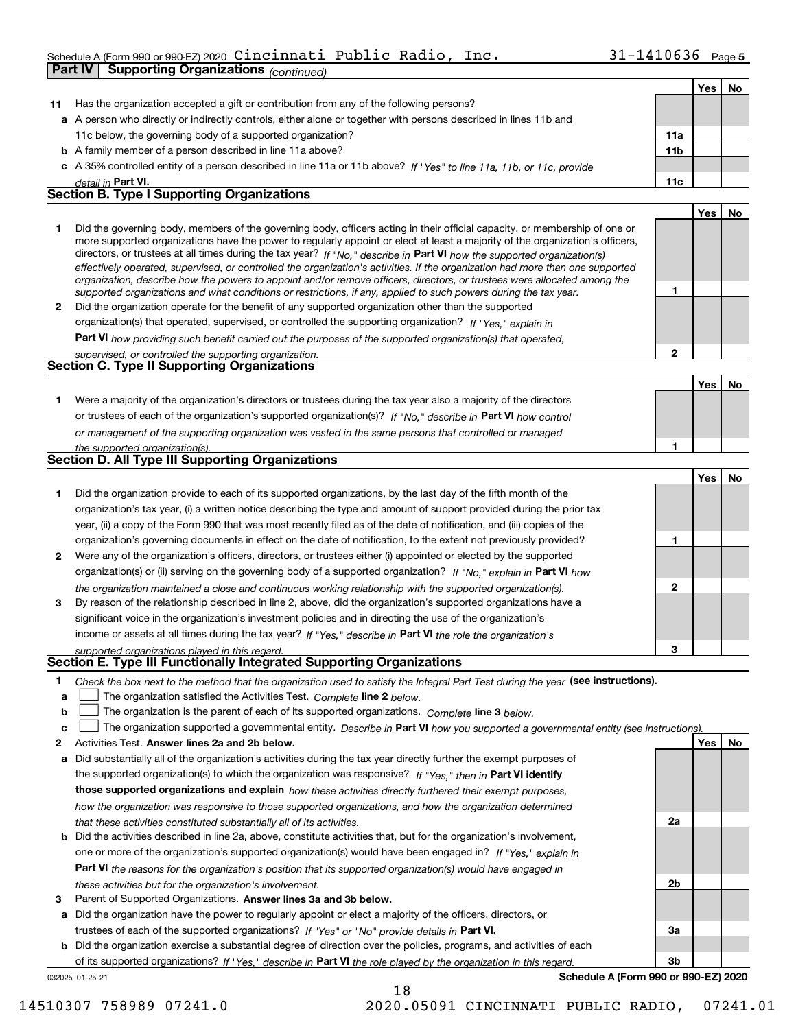### Schedule A (Form 990 or 990-EZ) 2020  $\verb|Cincinnati|$   $\verb|Public Radio|$  ,  $\verb|Inc.|$   $\verb|30|$   $\verb|31-1410636$   $\verb|Page|$

|    | Scriedrie A (Form 990 or 990-EZ) 2020 CIIICIHIR CI I QDIIC NGCIIO,                                                                                                                  | ᆂᆂᆇᇦᇰᇰ          |     | Page <b>o</b> |
|----|-------------------------------------------------------------------------------------------------------------------------------------------------------------------------------------|-----------------|-----|---------------|
|    | Part IV<br><b>Supporting Organizations (continued)</b>                                                                                                                              |                 |     |               |
|    |                                                                                                                                                                                     |                 | Yes | No            |
| 11 | Has the organization accepted a gift or contribution from any of the following persons?                                                                                             |                 |     |               |
|    | a A person who directly or indirectly controls, either alone or together with persons described in lines 11b and                                                                    |                 |     |               |
|    | 11c below, the governing body of a supported organization?                                                                                                                          | 11a             |     |               |
|    | <b>b</b> A family member of a person described in line 11a above?                                                                                                                   | 11 <sub>b</sub> |     |               |
|    | c A 35% controlled entity of a person described in line 11a or 11b above? If "Yes" to line 11a, 11b, or 11c, provide                                                                |                 |     |               |
|    | detail in <b>Part VI.</b>                                                                                                                                                           | 11c             |     |               |
|    | <b>Section B. Type I Supporting Organizations</b>                                                                                                                                   |                 |     |               |
|    |                                                                                                                                                                                     |                 | Yes | No            |
| 1. | Did the governing body, members of the governing body, officers acting in their official capacity, or membership of one or                                                          |                 |     |               |
|    | more supported organizations have the power to regularly appoint or elect at least a majority of the organization's officers,                                                       |                 |     |               |
|    | directors, or trustees at all times during the tax year? If "No," describe in Part VI how the supported organization(s)                                                             |                 |     |               |
|    | effectively operated, supervised, or controlled the organization's activities. If the organization had more than one supported                                                      |                 |     |               |
|    | organization, describe how the powers to appoint and/or remove officers, directors, or trustees were allocated among the                                                            |                 |     |               |
|    | supported organizations and what conditions or restrictions, if any, applied to such powers during the tax year.                                                                    | 1               |     |               |
| 2  | Did the organization operate for the benefit of any supported organization other than the supported                                                                                 |                 |     |               |
|    | organization(s) that operated, supervised, or controlled the supporting organization? If "Yes," explain in                                                                          |                 |     |               |
|    | Part VI how providing such benefit carried out the purposes of the supported organization(s) that operated,                                                                         |                 |     |               |
|    | supervised, or controlled the supporting organization.                                                                                                                              | $\overline{2}$  |     |               |
|    | Section C. Type II Supporting Organizations                                                                                                                                         |                 |     |               |
|    |                                                                                                                                                                                     |                 | Yes | No            |
| 1. | Were a majority of the organization's directors or trustees during the tax year also a majority of the directors                                                                    |                 |     |               |
|    | or trustees of each of the organization's supported organization(s)? If "No," describe in Part VI how control                                                                       |                 |     |               |
|    | or management of the supporting organization was vested in the same persons that controlled or managed                                                                              |                 |     |               |
|    | the supported organization(s).                                                                                                                                                      | 1               |     |               |
|    | Section D. All Type III Supporting Organizations                                                                                                                                    |                 |     |               |
|    |                                                                                                                                                                                     |                 | Yes | No            |
| 1. | Did the organization provide to each of its supported organizations, by the last day of the fifth month of the                                                                      |                 |     |               |
|    |                                                                                                                                                                                     |                 |     |               |
|    |                                                                                                                                                                                     |                 |     |               |
|    | organization's tax year, (i) a written notice describing the type and amount of support provided during the prior tax                                                               |                 |     |               |
|    | year, (ii) a copy of the Form 990 that was most recently filed as of the date of notification, and (iii) copies of the                                                              |                 |     |               |
|    | organization's governing documents in effect on the date of notification, to the extent not previously provided?                                                                    | 1               |     |               |
| 2  | Were any of the organization's officers, directors, or trustees either (i) appointed or elected by the supported                                                                    |                 |     |               |
|    | organization(s) or (ii) serving on the governing body of a supported organization? If "No, " explain in Part VI how                                                                 |                 |     |               |
|    | the organization maintained a close and continuous working relationship with the supported organization(s).                                                                         | 2               |     |               |
| 3  | By reason of the relationship described in line 2, above, did the organization's supported organizations have a                                                                     |                 |     |               |
|    | significant voice in the organization's investment policies and in directing the use of the organization's                                                                          |                 |     |               |
|    | income or assets at all times during the tax year? If "Yes," describe in Part VI the role the organization's                                                                        |                 |     |               |
|    | supported organizations played in this regard.                                                                                                                                      | 3               |     |               |
|    | Section E. Type III Functionally Integrated Supporting Organizations                                                                                                                |                 |     |               |
| 1  | Check the box next to the method that the organization used to satisfy the Integral Part Test during the year (see instructions).                                                   |                 |     |               |
| a  | The organization satisfied the Activities Test. Complete line 2 below.                                                                                                              |                 |     |               |
| b  | The organization is the parent of each of its supported organizations. Complete line 3 below.                                                                                       |                 |     |               |
| c  |                                                                                                                                                                                     |                 |     |               |
| 2  | The organization supported a governmental entity. Describe in Part VI how you supported a governmental entity (see instructions).<br>Activities Test. Answer lines 2a and 2b below. |                 | Yes | No            |
| а  | Did substantially all of the organization's activities during the tax year directly further the exempt purposes of                                                                  |                 |     |               |
|    |                                                                                                                                                                                     |                 |     |               |
|    | the supported organization(s) to which the organization was responsive? If "Yes," then in Part VI identify                                                                          |                 |     |               |
|    | those supported organizations and explain how these activities directly furthered their exempt purposes,                                                                            |                 |     |               |
|    | how the organization was responsive to those supported organizations, and how the organization determined<br>that these activities constituted substantially all of its activities. | 2a              |     |               |

- **b** Did the activities described in line 2a, above, constitute activities that, but for the organization's involvement, **Part VI**  *the reasons for the organization's position that its supported organization(s) would have engaged in* one or more of the organization's supported organization(s) would have been engaged in? If "Yes," e*xplain in these activities but for the organization's involvement.*
- **3** Parent of Supported Organizations. Answer lines 3a and 3b below.

**a** Did the organization have the power to regularly appoint or elect a majority of the officers, directors, or trustees of each of the supported organizations? If "Yes" or "No" provide details in **Part VI.** 

032025 01-25-21 **b** Did the organization exercise a substantial degree of direction over the policies, programs, and activities of each of its supported organizations? If "Yes," describe in Part VI the role played by the organization in this regard.

18

**Schedule A (Form 990 or 990-EZ) 2020**

**2b**

**3a**

**3b**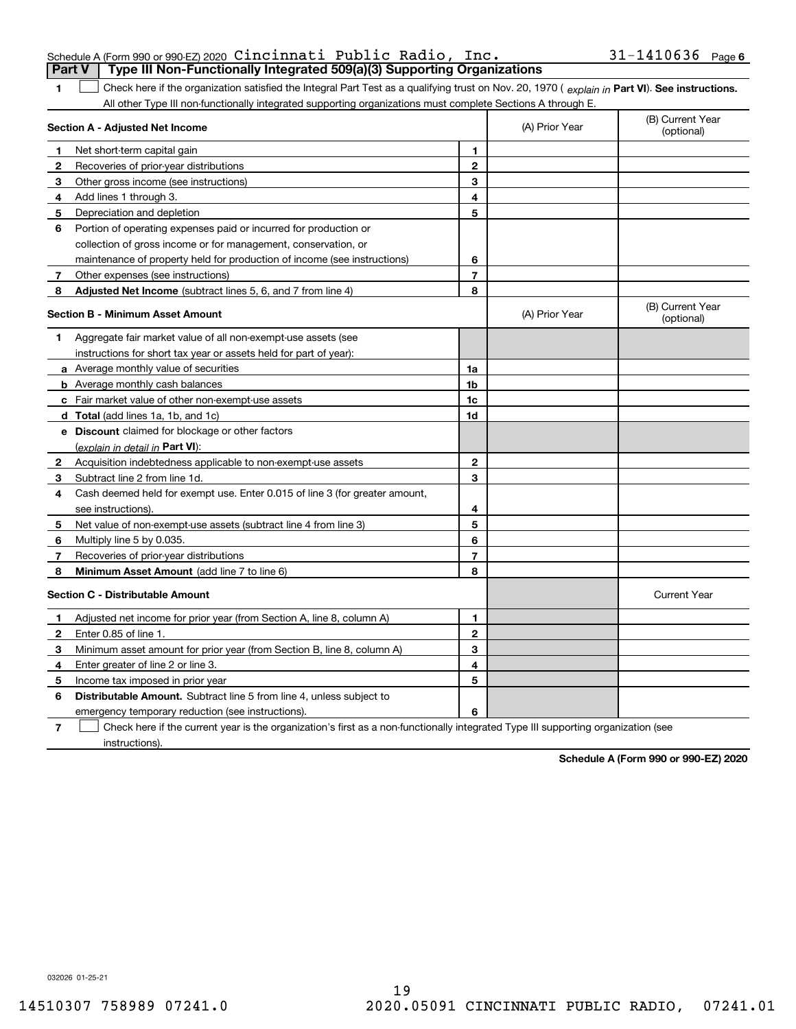|  | Schedule A (Form 990 or 990-EZ) 2020 Cincinnati Public Radio, $Inc.$                  |  | $31 - 1410636$ Page 6 |  |
|--|---------------------------------------------------------------------------------------|--|-----------------------|--|
|  | <b>Part V</b> Type III Non-Functionally Integrated 509(a)(3) Supporting Organizations |  |                       |  |

1 Check here if the organization satisfied the Integral Part Test as a qualifying trust on Nov. 20, 1970 (explain in Part VI). See instructions. All other Type III non-functionally integrated supporting organizations must complete Sections A through E.

|              | Section A - Adjusted Net Income                                                                                                   |                | (A) Prior Year | (B) Current Year<br>(optional) |
|--------------|-----------------------------------------------------------------------------------------------------------------------------------|----------------|----------------|--------------------------------|
| 1.           | Net short-term capital gain                                                                                                       | 1              |                |                                |
| $\mathbf{2}$ | Recoveries of prior-year distributions                                                                                            | $\mathbf{2}$   |                |                                |
| 3            | Other gross income (see instructions)                                                                                             | 3              |                |                                |
| 4            | Add lines 1 through 3.                                                                                                            | 4              |                |                                |
| 5            | Depreciation and depletion                                                                                                        | 5              |                |                                |
| 6            | Portion of operating expenses paid or incurred for production or                                                                  |                |                |                                |
|              | collection of gross income or for management, conservation, or                                                                    |                |                |                                |
|              | maintenance of property held for production of income (see instructions)                                                          | 6              |                |                                |
| 7            | Other expenses (see instructions)                                                                                                 | $\overline{7}$ |                |                                |
| 8            | Adjusted Net Income (subtract lines 5, 6, and 7 from line 4)                                                                      | 8              |                |                                |
|              | <b>Section B - Minimum Asset Amount</b>                                                                                           |                | (A) Prior Year | (B) Current Year<br>(optional) |
| 1            | Aggregate fair market value of all non-exempt-use assets (see                                                                     |                |                |                                |
|              | instructions for short tax year or assets held for part of year):                                                                 |                |                |                                |
|              | <b>a</b> Average monthly value of securities                                                                                      | 1a             |                |                                |
|              | <b>b</b> Average monthly cash balances                                                                                            | 1b             |                |                                |
|              | c Fair market value of other non-exempt-use assets                                                                                | 1c             |                |                                |
|              | d Total (add lines 1a, 1b, and 1c)                                                                                                | 1d             |                |                                |
|              | e Discount claimed for blockage or other factors                                                                                  |                |                |                                |
|              | (explain in detail in Part VI):                                                                                                   |                |                |                                |
| $\mathbf{2}$ | Acquisition indebtedness applicable to non-exempt-use assets                                                                      | $\mathbf{2}$   |                |                                |
| 3            | Subtract line 2 from line 1d.                                                                                                     | 3              |                |                                |
| 4            | Cash deemed held for exempt use. Enter 0.015 of line 3 (for greater amount,                                                       |                |                |                                |
|              | see instructions)                                                                                                                 | 4              |                |                                |
| 5            | Net value of non-exempt-use assets (subtract line 4 from line 3)                                                                  | 5              |                |                                |
| 6            | Multiply line 5 by 0.035.                                                                                                         | 6              |                |                                |
| 7            | Recoveries of prior-year distributions                                                                                            | $\overline{7}$ |                |                                |
| 8            | Minimum Asset Amount (add line 7 to line 6)                                                                                       | 8              |                |                                |
|              | <b>Section C - Distributable Amount</b>                                                                                           |                |                | <b>Current Year</b>            |
| 1            | Adjusted net income for prior year (from Section A, line 8, column A)                                                             | 1              |                |                                |
| 2            | Enter 0.85 of line 1.                                                                                                             | $\overline{2}$ |                |                                |
| 3            | Minimum asset amount for prior year (from Section B, line 8, column A)                                                            | 3              |                |                                |
| 4            | Enter greater of line 2 or line 3.                                                                                                | 4              |                |                                |
| 5            | Income tax imposed in prior year                                                                                                  | 5              |                |                                |
| 6            | <b>Distributable Amount.</b> Subtract line 5 from line 4, unless subject to                                                       |                |                |                                |
|              | emergency temporary reduction (see instructions).                                                                                 | 6              |                |                                |
| 7            | Check here if the current year is the organization's first as a non-functionally integrated Type III supporting organization (see |                |                |                                |

instructions).

**1**

**Schedule A (Form 990 or 990-EZ) 2020**

032026 01-25-21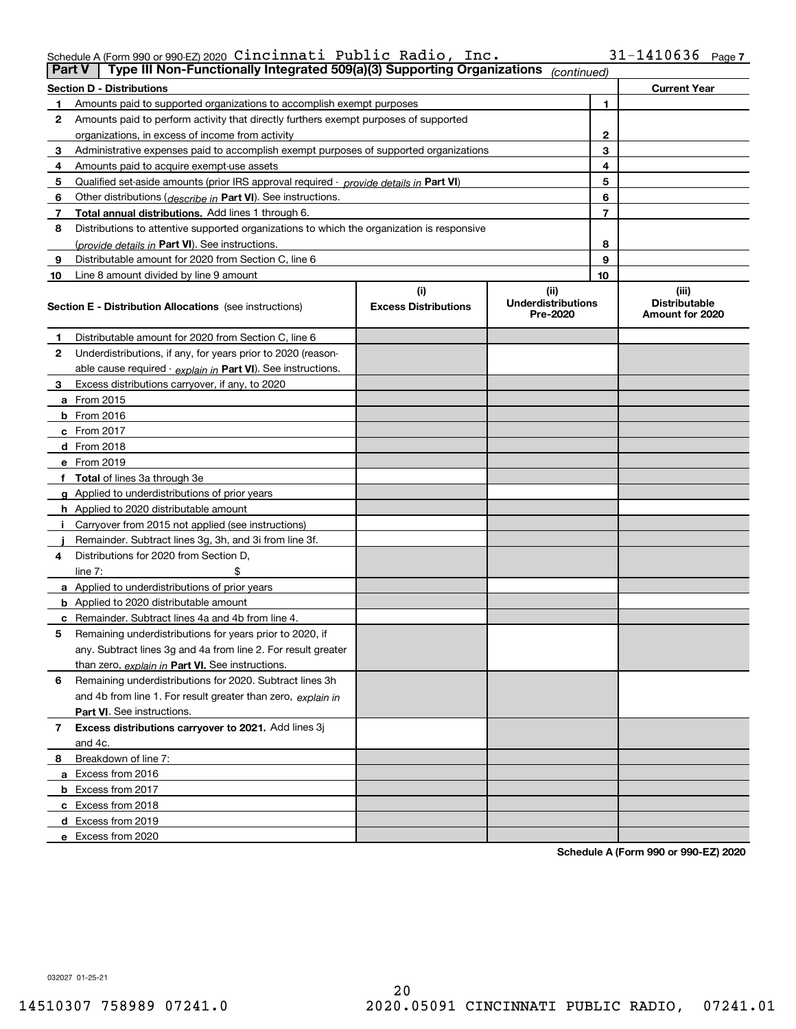| Schedule A (Form 990 or 990 EZ) 2020 $\,$ <code>Cincinnati Public Radio, Inc.</code> |  |  | $31 - 1410636$ Page 7 |  |
|--------------------------------------------------------------------------------------|--|--|-----------------------|--|
|                                                                                      |  |  |                       |  |

| Part V | Type III Non-Functionally Integrated 509(a)(3) Supporting Organizations                    |                             | (continued)                           |                                         |
|--------|--------------------------------------------------------------------------------------------|-----------------------------|---------------------------------------|-----------------------------------------|
|        | <b>Section D - Distributions</b>                                                           |                             |                                       | <b>Current Year</b>                     |
|        | Amounts paid to supported organizations to accomplish exempt purposes                      |                             | 1                                     |                                         |
| 2      | Amounts paid to perform activity that directly furthers exempt purposes of supported       |                             |                                       |                                         |
|        | organizations, in excess of income from activity                                           | 2                           |                                       |                                         |
| 3      | Administrative expenses paid to accomplish exempt purposes of supported organizations      |                             | 3                                     |                                         |
| 4      | Amounts paid to acquire exempt-use assets                                                  |                             | 4                                     |                                         |
| 5      | Qualified set aside amounts (prior IRS approval required - provide details in Part VI)     |                             | 5                                     |                                         |
| 6      | Other distributions ( <i>describe in</i> Part VI). See instructions.                       |                             | 6                                     |                                         |
| 7      | Total annual distributions. Add lines 1 through 6.                                         |                             | 7                                     |                                         |
| 8      | Distributions to attentive supported organizations to which the organization is responsive |                             |                                       |                                         |
|        | (provide details in Part VI). See instructions.                                            |                             | 8                                     |                                         |
| 9      | Distributable amount for 2020 from Section C, line 6                                       |                             | 9                                     |                                         |
| 10     | Line 8 amount divided by line 9 amount                                                     |                             | 10                                    |                                         |
|        |                                                                                            | (i)                         | (ii)                                  | (iii)                                   |
|        | <b>Section E - Distribution Allocations</b> (see instructions)                             | <b>Excess Distributions</b> | <b>Underdistributions</b><br>Pre-2020 | <b>Distributable</b><br>Amount for 2020 |
| 1      | Distributable amount for 2020 from Section C, line 6                                       |                             |                                       |                                         |
| 2      | Underdistributions, if any, for years prior to 2020 (reason-                               |                             |                                       |                                         |
|        | able cause required - explain in Part VI). See instructions.                               |                             |                                       |                                         |
| 3      | Excess distributions carryover, if any, to 2020                                            |                             |                                       |                                         |
|        | a From 2015                                                                                |                             |                                       |                                         |
|        | $b$ From 2016                                                                              |                             |                                       |                                         |
|        | $c$ From 2017                                                                              |                             |                                       |                                         |
|        | <b>d</b> From 2018                                                                         |                             |                                       |                                         |
|        | e From 2019                                                                                |                             |                                       |                                         |
|        | f Total of lines 3a through 3e                                                             |                             |                                       |                                         |
|        | g Applied to underdistributions of prior years                                             |                             |                                       |                                         |
|        | <b>h</b> Applied to 2020 distributable amount                                              |                             |                                       |                                         |
|        | Carryover from 2015 not applied (see instructions)                                         |                             |                                       |                                         |
|        | Remainder. Subtract lines 3g, 3h, and 3i from line 3f.                                     |                             |                                       |                                         |
| 4      | Distributions for 2020 from Section D.                                                     |                             |                                       |                                         |
|        | line $7:$                                                                                  |                             |                                       |                                         |
|        | a Applied to underdistributions of prior years                                             |                             |                                       |                                         |
|        | <b>b</b> Applied to 2020 distributable amount                                              |                             |                                       |                                         |
|        | <b>c</b> Remainder. Subtract lines 4a and 4b from line 4.                                  |                             |                                       |                                         |
| 5      | Remaining underdistributions for years prior to 2020, if                                   |                             |                                       |                                         |
|        | any. Subtract lines 3g and 4a from line 2. For result greater                              |                             |                                       |                                         |
|        | than zero, explain in Part VI. See instructions.                                           |                             |                                       |                                         |
| 6      | Remaining underdistributions for 2020. Subtract lines 3h                                   |                             |                                       |                                         |
|        | and 4b from line 1. For result greater than zero, explain in                               |                             |                                       |                                         |
|        | <b>Part VI.</b> See instructions.                                                          |                             |                                       |                                         |
| 7      | Excess distributions carryover to 2021. Add lines 3j                                       |                             |                                       |                                         |
|        | and 4c.                                                                                    |                             |                                       |                                         |
| 8      | Breakdown of line 7:                                                                       |                             |                                       |                                         |
|        | a Excess from 2016                                                                         |                             |                                       |                                         |
|        | <b>b</b> Excess from 2017                                                                  |                             |                                       |                                         |
|        | c Excess from 2018                                                                         |                             |                                       |                                         |
|        | d Excess from 2019                                                                         |                             |                                       |                                         |
|        | e Excess from 2020                                                                         |                             |                                       |                                         |

**Schedule A (Form 990 or 990-EZ) 2020**

032027 01-25-21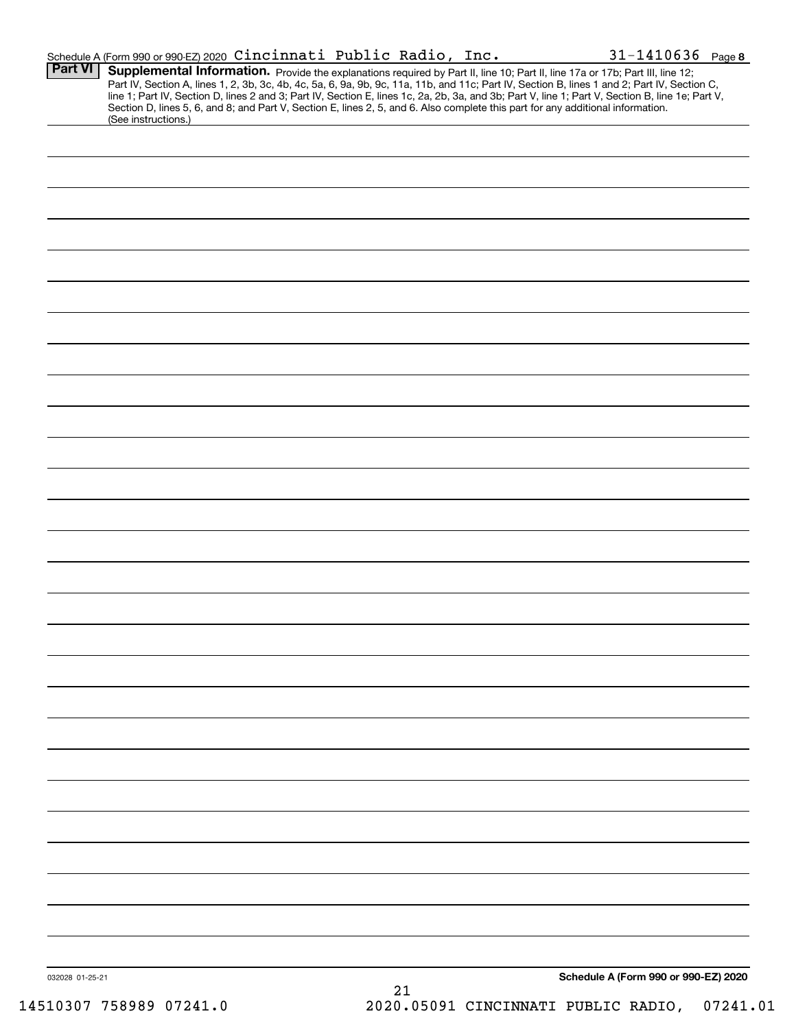|                 | Schedule A (Form 990 or 990-EZ) 2020 Cincinnati Public Radio, Inc.                                                                                     |  |    | $31 - 1410636$ Page 8                                                                                                                                                                                                                                                                                                                                                                                                             |  |
|-----------------|--------------------------------------------------------------------------------------------------------------------------------------------------------|--|----|-----------------------------------------------------------------------------------------------------------------------------------------------------------------------------------------------------------------------------------------------------------------------------------------------------------------------------------------------------------------------------------------------------------------------------------|--|
| Part VI         | Section D, lines 5, 6, and 8; and Part V, Section E, lines 2, 5, and 6. Also complete this part for any additional information.<br>(See instructions.) |  |    | Supplemental Information. Provide the explanations required by Part II, line 10; Part II, line 17a or 17b; Part III, line 12;<br>Part IV, Section A, lines 1, 2, 3b, 3c, 4b, 4c, 5a, 6, 9a, 9b, 9c, 11a, 11b, and 11c; Part IV, Section B, lines 1 and 2; Part IV, Section C,<br>line 1; Part IV, Section D, lines 2 and 3; Part IV, Section E, lines 1c, 2a, 2b, 3a, and 3b; Part V, line 1; Part V, Section B, line 1e; Part V, |  |
|                 |                                                                                                                                                        |  |    |                                                                                                                                                                                                                                                                                                                                                                                                                                   |  |
|                 |                                                                                                                                                        |  |    |                                                                                                                                                                                                                                                                                                                                                                                                                                   |  |
|                 |                                                                                                                                                        |  |    |                                                                                                                                                                                                                                                                                                                                                                                                                                   |  |
|                 |                                                                                                                                                        |  |    |                                                                                                                                                                                                                                                                                                                                                                                                                                   |  |
|                 |                                                                                                                                                        |  |    |                                                                                                                                                                                                                                                                                                                                                                                                                                   |  |
|                 |                                                                                                                                                        |  |    |                                                                                                                                                                                                                                                                                                                                                                                                                                   |  |
|                 |                                                                                                                                                        |  |    |                                                                                                                                                                                                                                                                                                                                                                                                                                   |  |
|                 |                                                                                                                                                        |  |    |                                                                                                                                                                                                                                                                                                                                                                                                                                   |  |
|                 |                                                                                                                                                        |  |    |                                                                                                                                                                                                                                                                                                                                                                                                                                   |  |
|                 |                                                                                                                                                        |  |    |                                                                                                                                                                                                                                                                                                                                                                                                                                   |  |
|                 |                                                                                                                                                        |  |    |                                                                                                                                                                                                                                                                                                                                                                                                                                   |  |
|                 |                                                                                                                                                        |  |    |                                                                                                                                                                                                                                                                                                                                                                                                                                   |  |
|                 |                                                                                                                                                        |  |    |                                                                                                                                                                                                                                                                                                                                                                                                                                   |  |
|                 |                                                                                                                                                        |  |    |                                                                                                                                                                                                                                                                                                                                                                                                                                   |  |
|                 |                                                                                                                                                        |  |    |                                                                                                                                                                                                                                                                                                                                                                                                                                   |  |
|                 |                                                                                                                                                        |  |    |                                                                                                                                                                                                                                                                                                                                                                                                                                   |  |
|                 |                                                                                                                                                        |  |    |                                                                                                                                                                                                                                                                                                                                                                                                                                   |  |
|                 |                                                                                                                                                        |  |    |                                                                                                                                                                                                                                                                                                                                                                                                                                   |  |
|                 |                                                                                                                                                        |  |    |                                                                                                                                                                                                                                                                                                                                                                                                                                   |  |
|                 |                                                                                                                                                        |  |    |                                                                                                                                                                                                                                                                                                                                                                                                                                   |  |
|                 |                                                                                                                                                        |  |    |                                                                                                                                                                                                                                                                                                                                                                                                                                   |  |
|                 |                                                                                                                                                        |  |    |                                                                                                                                                                                                                                                                                                                                                                                                                                   |  |
|                 |                                                                                                                                                        |  |    |                                                                                                                                                                                                                                                                                                                                                                                                                                   |  |
|                 |                                                                                                                                                        |  |    |                                                                                                                                                                                                                                                                                                                                                                                                                                   |  |
|                 |                                                                                                                                                        |  |    |                                                                                                                                                                                                                                                                                                                                                                                                                                   |  |
|                 |                                                                                                                                                        |  |    |                                                                                                                                                                                                                                                                                                                                                                                                                                   |  |
|                 |                                                                                                                                                        |  |    |                                                                                                                                                                                                                                                                                                                                                                                                                                   |  |
|                 |                                                                                                                                                        |  |    |                                                                                                                                                                                                                                                                                                                                                                                                                                   |  |
|                 |                                                                                                                                                        |  |    |                                                                                                                                                                                                                                                                                                                                                                                                                                   |  |
|                 |                                                                                                                                                        |  |    |                                                                                                                                                                                                                                                                                                                                                                                                                                   |  |
|                 |                                                                                                                                                        |  |    |                                                                                                                                                                                                                                                                                                                                                                                                                                   |  |
|                 |                                                                                                                                                        |  |    |                                                                                                                                                                                                                                                                                                                                                                                                                                   |  |
|                 |                                                                                                                                                        |  |    |                                                                                                                                                                                                                                                                                                                                                                                                                                   |  |
| 032028 01-25-21 |                                                                                                                                                        |  |    | Schedule A (Form 990 or 990-EZ) 2020                                                                                                                                                                                                                                                                                                                                                                                              |  |
|                 |                                                                                                                                                        |  | 21 |                                                                                                                                                                                                                                                                                                                                                                                                                                   |  |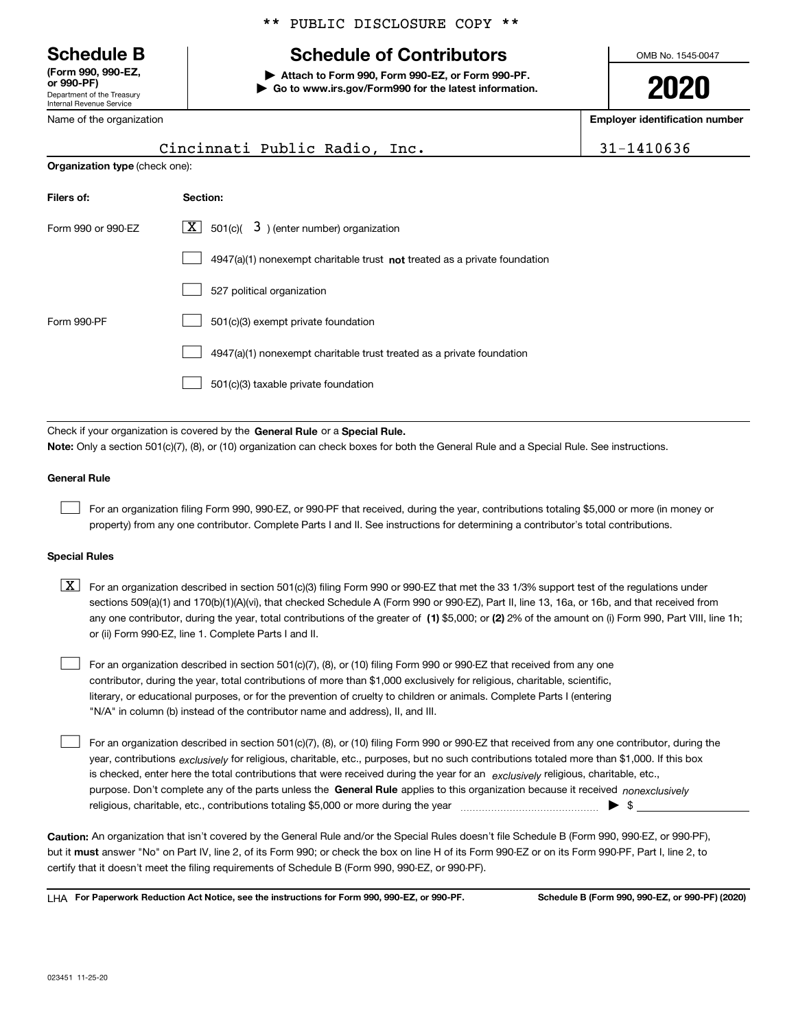Department of the Treasury Internal Revenue Service **(Form 990, 990-EZ, or 990-PF)**

Name of the organization

### \*\* PUBLIC DISCLOSURE COPY \*\*

### **Schedule B Schedule of Contributors**

**| Attach to Form 990, Form 990-EZ, or Form 990-PF. | Go to www.irs.gov/Form990 for the latest information.** OMB No. 1545-0047

**2020**

**Employer identification number**

|                                |                                                                           | ---, -- ----------- |
|--------------------------------|---------------------------------------------------------------------------|---------------------|
|                                | Cincinnati Public Radio, Inc.                                             | 31-1410636          |
| Organization type (check one): |                                                                           |                     |
| Filers of:                     | Section:                                                                  |                     |
| Form 990 or 990-EZ             | $\boxed{\textbf{X}}$ 501(c)( 3) (enter number) organization               |                     |
|                                | 4947(a)(1) nonexempt charitable trust not treated as a private foundation |                     |
|                                | 527 political organization                                                |                     |
| Form 990-PF                    | 501(c)(3) exempt private foundation                                       |                     |
|                                | 4947(a)(1) nonexempt charitable trust treated as a private foundation     |                     |
|                                | 501(c)(3) taxable private foundation                                      |                     |
|                                |                                                                           |                     |

Check if your organization is covered by the **General Rule** or a **Special Rule. Note:**  Only a section 501(c)(7), (8), or (10) organization can check boxes for both the General Rule and a Special Rule. See instructions.

#### **General Rule**

 $\mathcal{L}^{\text{max}}$ 

For an organization filing Form 990, 990-EZ, or 990-PF that received, during the year, contributions totaling \$5,000 or more (in money or property) from any one contributor. Complete Parts I and II. See instructions for determining a contributor's total contributions.

#### **Special Rules**

any one contributor, during the year, total contributions of the greater of  $\,$  (1) \$5,000; or **(2)** 2% of the amount on (i) Form 990, Part VIII, line 1h;  $\boxed{\textbf{X}}$  For an organization described in section 501(c)(3) filing Form 990 or 990-EZ that met the 33 1/3% support test of the regulations under sections 509(a)(1) and 170(b)(1)(A)(vi), that checked Schedule A (Form 990 or 990-EZ), Part II, line 13, 16a, or 16b, and that received from or (ii) Form 990-EZ, line 1. Complete Parts I and II.

For an organization described in section 501(c)(7), (8), or (10) filing Form 990 or 990-EZ that received from any one contributor, during the year, total contributions of more than \$1,000 exclusively for religious, charitable, scientific, literary, or educational purposes, or for the prevention of cruelty to children or animals. Complete Parts I (entering "N/A" in column (b) instead of the contributor name and address), II, and III.  $\mathcal{L}^{\text{max}}$ 

purpose. Don't complete any of the parts unless the **General Rule** applies to this organization because it received *nonexclusively* year, contributions <sub>exclusively</sub> for religious, charitable, etc., purposes, but no such contributions totaled more than \$1,000. If this box is checked, enter here the total contributions that were received during the year for an  $\;$ exclusively religious, charitable, etc., For an organization described in section 501(c)(7), (8), or (10) filing Form 990 or 990-EZ that received from any one contributor, during the religious, charitable, etc., contributions totaling \$5,000 or more during the year  $\Box$ — $\Box$   $\Box$  $\mathcal{L}^{\text{max}}$ 

**Caution:**  An organization that isn't covered by the General Rule and/or the Special Rules doesn't file Schedule B (Form 990, 990-EZ, or 990-PF),  **must** but it answer "No" on Part IV, line 2, of its Form 990; or check the box on line H of its Form 990-EZ or on its Form 990-PF, Part I, line 2, to certify that it doesn't meet the filing requirements of Schedule B (Form 990, 990-EZ, or 990-PF).

**For Paperwork Reduction Act Notice, see the instructions for Form 990, 990-EZ, or 990-PF. Schedule B (Form 990, 990-EZ, or 990-PF) (2020)** LHA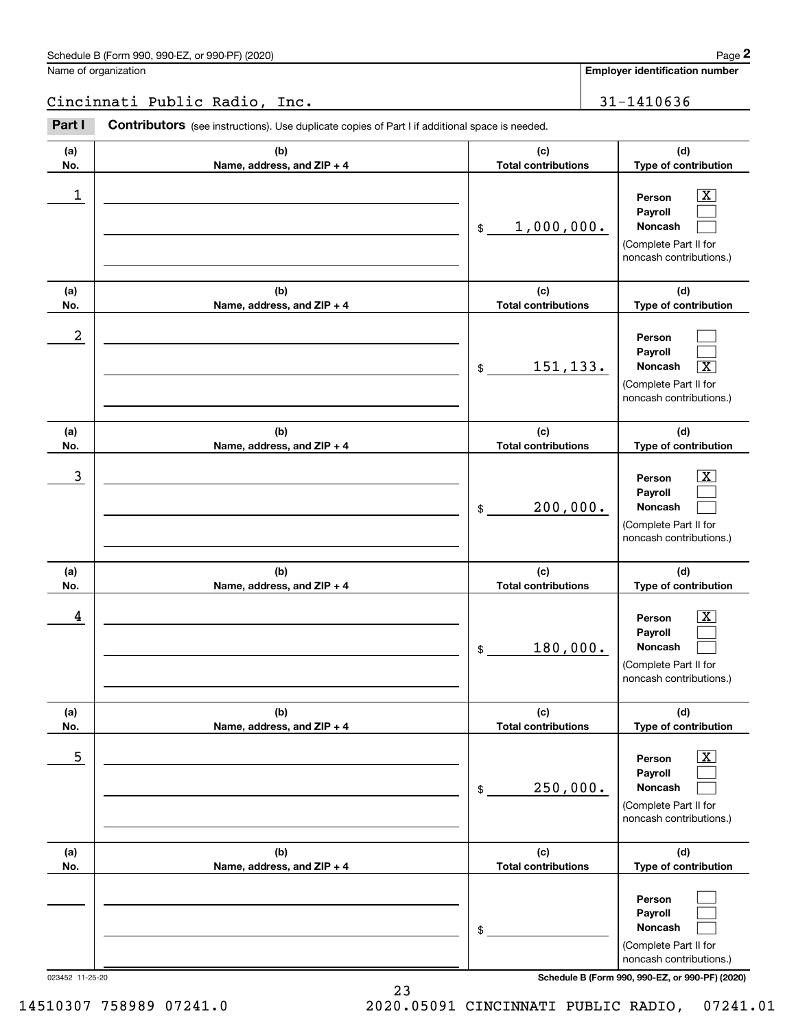Name of organization

**Employer identification number**

Cincinnati Public Radio, Inc. 31-1410636

**(a)No.(b)Name, address, and ZIP + 4 (c)Total contributions (d)Type of contribution PersonPayrollNoncash (a)No.(b)Name, address, and ZIP + 4 (c)Total contributions (d)Type of contribution PersonPayrollNoncash (a)No.(b)Name, address, and ZIP + 4 (c)Total contributions (d)Type of contribution PersonPayrollNoncash (a) No.(b)Name, address, and ZIP + 4 (c) Total contributions (d) Type of contribution PersonPayrollNoncash (a) No.(b)Name, address, and ZIP + 4 (c) Total contributions (d) Type of contribution PersonPayrollNoncash (a) No.(b)Name, address, and ZIP + 4 (c) Total contributions (d)Type of contribution PersonPayrollNoncash Contributors** (see instructions). Use duplicate copies of Part I if additional space is needed. \$(Complete Part II for noncash contributions.) \$(Complete Part II for noncash contributions.) \$(Complete Part II for noncash contributions.) \$(Complete Part II for noncash contributions.) \$(Complete Part II for noncash contributions.) \$(Complete Part II for noncash contributions.) Employer identification Page 2<br>
lame of organization<br> **2 Part I 2 Contributors** (see instructions). Use duplicate copies of Part I if additional space is needed.<br>
2 **Part I Contributors** (see instructions). Use duplica  $|X|$  $\mathcal{L}^{\text{max}}$  $\mathcal{L}^{\text{max}}$  $\mathcal{L}^{\text{max}}$  $\mathcal{L}^{\text{max}}$  $\overline{\mathbf{X}}$  $|X|$  $\mathcal{L}^{\text{max}}$  $\mathcal{L}^{\text{max}}$  $|X|$  $\mathcal{L}^{\text{max}}$  $\mathcal{L}^{\text{max}}$  $\boxed{\text{X}}$  $\mathcal{L}^{\text{max}}$  $\mathcal{L}^{\text{max}}$  $\mathcal{L}^{\text{max}}$  $\mathcal{L}^{\text{max}}$  $\mathcal{L}^{\text{max}}$  $\begin{array}{c|c|c|c|c|c} 1 & \hspace{1.5cm} & \hspace{1.5cm} & \hspace{1.5cm} & \hspace{1.5cm} & \hspace{1.5cm} & \hspace{1.5cm} & \hspace{1.5cm} & \hspace{1.5cm} & \hspace{1.5cm} & \hspace{1.5cm} & \hspace{1.5cm} & \hspace{1.5cm} & \hspace{1.5cm} & \hspace{1.5cm} & \hspace{1.5cm} & \hspace{1.5cm} & \hspace{1.5cm} & \hspace{1.5cm} & \hspace{1.5cm} & \hspace{1.5cm} &$ 1,000,000. 2 151,133. X  $\overline{3}$  | Person  $\overline{X}$ 200,000.  $4$  | Person  $\overline{\text{X}}$ 180,000.  $\sim$  5 | Person X 250,000.

023452 11-25-20 **Schedule B (Form 990, 990-EZ, or 990-PF) (2020)**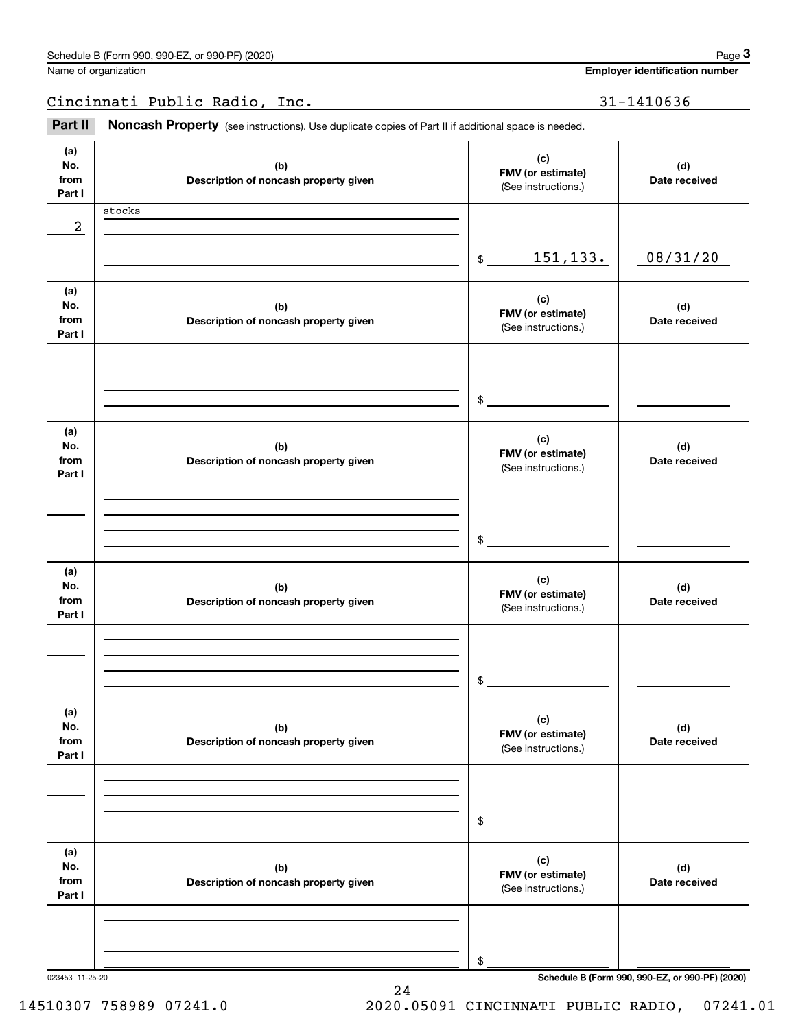| Schedule B (Form 990, 990-EZ, or 990-PF) (2020) | Page |
|-------------------------------------------------|------|
|-------------------------------------------------|------|

| Name of organization |  |  |
|----------------------|--|--|
|                      |  |  |

**Employer identification number**

Cincinnati Public Radio, Inc. 31-1410636

(see instructions). Use duplicate copies of Part II if additional space is needed.<br> **2009** Iame of organization<br> **Part II Noncash Property** (see instructions). Use duplicate copies of Part II if additional space is neede

| (a)<br>No.<br>from | (b)<br>Description of noncash property given | (c)<br>FMV (or estimate)<br>(See instructions.) | (d)<br>Date received                            |
|--------------------|----------------------------------------------|-------------------------------------------------|-------------------------------------------------|
| Part I             |                                              |                                                 |                                                 |
|                    | stocks                                       |                                                 |                                                 |
| 2                  |                                              |                                                 |                                                 |
|                    |                                              | 151,133.                                        | 08/31/20                                        |
|                    |                                              | \$                                              |                                                 |
| (a)                |                                              |                                                 |                                                 |
| No.                | (b)                                          | (c)                                             | (d)                                             |
| from               | Description of noncash property given        | FMV (or estimate)                               | Date received                                   |
| Part I             |                                              | (See instructions.)                             |                                                 |
|                    |                                              |                                                 |                                                 |
|                    |                                              |                                                 |                                                 |
|                    |                                              |                                                 |                                                 |
|                    |                                              | $\frac{1}{2}$                                   |                                                 |
|                    |                                              |                                                 |                                                 |
| (a)                |                                              |                                                 |                                                 |
| No.                | (b)                                          | (c)<br>FMV (or estimate)                        | (d)                                             |
| from               | Description of noncash property given        | (See instructions.)                             | Date received                                   |
| Part I             |                                              |                                                 |                                                 |
|                    |                                              |                                                 |                                                 |
|                    |                                              |                                                 |                                                 |
|                    |                                              |                                                 |                                                 |
|                    |                                              | $\frac{1}{2}$                                   |                                                 |
|                    |                                              |                                                 |                                                 |
| (a)                |                                              | (c)                                             |                                                 |
| No.<br>from        | (b)<br>Description of noncash property given | FMV (or estimate)                               | (d)<br>Date received                            |
| Part I             |                                              | (See instructions.)                             |                                                 |
|                    |                                              |                                                 |                                                 |
|                    |                                              |                                                 |                                                 |
|                    |                                              |                                                 |                                                 |
|                    |                                              | $\mathsf{\$}$                                   |                                                 |
|                    |                                              |                                                 |                                                 |
| (a)                |                                              |                                                 |                                                 |
| No.                | (b)                                          | (c)                                             | (d)                                             |
| from               | Description of noncash property given        | FMV (or estimate)<br>(See instructions.)        | Date received                                   |
| Part I             |                                              |                                                 |                                                 |
|                    |                                              |                                                 |                                                 |
|                    |                                              |                                                 |                                                 |
|                    |                                              |                                                 |                                                 |
|                    |                                              | \$                                              |                                                 |
|                    |                                              |                                                 |                                                 |
| (a)                |                                              | (c)                                             |                                                 |
| No.                | (b)                                          | FMV (or estimate)                               | (d)                                             |
| from<br>Part I     | Description of noncash property given        | (See instructions.)                             | Date received                                   |
|                    |                                              |                                                 |                                                 |
|                    |                                              |                                                 |                                                 |
|                    |                                              |                                                 |                                                 |
|                    |                                              | \$                                              |                                                 |
| 023453 11-25-20    |                                              |                                                 | Schedule B (Form 990, 990-EZ, or 990-PF) (2020) |

24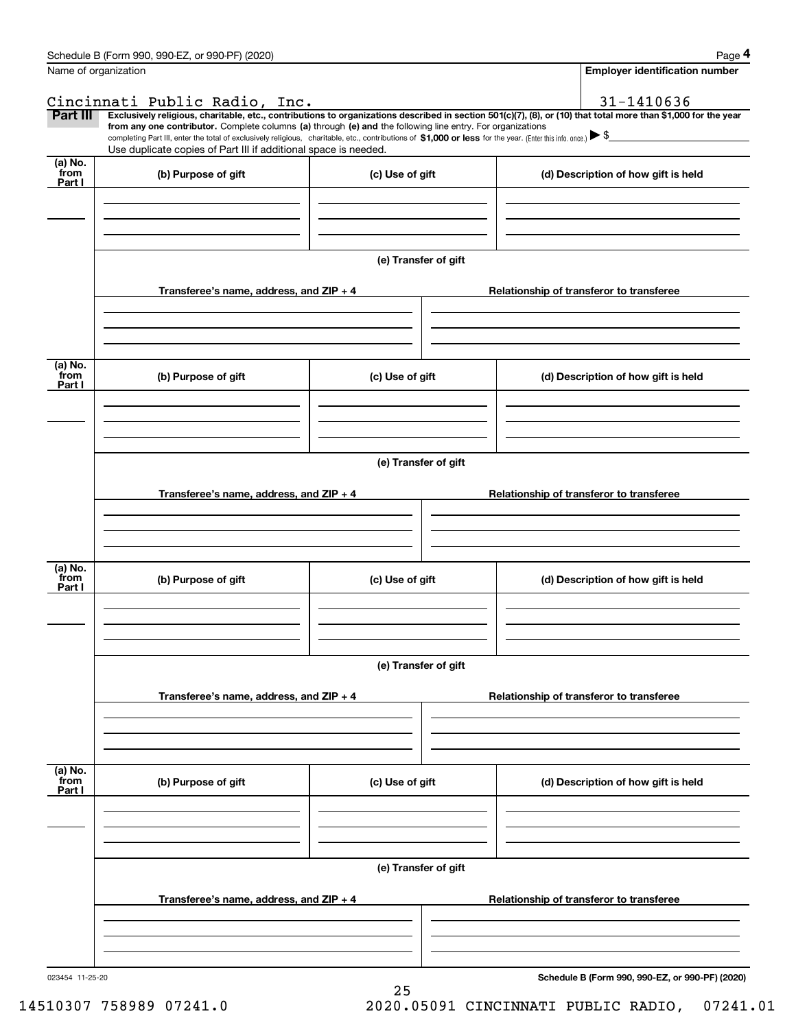|                 | Schedule B (Form 990, 990-EZ, or 990-PF) (2020)                                                                                                                                                                                                                              |                      |  | Page 4                                   |
|-----------------|------------------------------------------------------------------------------------------------------------------------------------------------------------------------------------------------------------------------------------------------------------------------------|----------------------|--|------------------------------------------|
|                 | Name of organization                                                                                                                                                                                                                                                         |                      |  | <b>Employer identification number</b>    |
|                 | Cincinnati Public Radio, Inc.                                                                                                                                                                                                                                                |                      |  | 31-1410636                               |
| <b>Part III</b> | Exclusively religious, charitable, etc., contributions to organizations described in section 501(c)(7), (8), or (10) that total more than \$1,000 for the year<br>from any one contributor. Complete columns (a) through (e) and the following line entry. For organizations |                      |  |                                          |
|                 | completing Part III, enter the total of exclusively religious, charitable, etc., contributions of \$1,000 or less for the year. (Enter this info. once.) $\blacktriangleright$ \$<br>Use duplicate copies of Part III if additional space is needed.                         |                      |  |                                          |
| (a) No.<br>from |                                                                                                                                                                                                                                                                              |                      |  |                                          |
| Part I          | (b) Purpose of gift                                                                                                                                                                                                                                                          | (c) Use of gift      |  | (d) Description of how gift is held      |
|                 |                                                                                                                                                                                                                                                                              |                      |  |                                          |
|                 |                                                                                                                                                                                                                                                                              |                      |  |                                          |
|                 |                                                                                                                                                                                                                                                                              |                      |  |                                          |
|                 |                                                                                                                                                                                                                                                                              | (e) Transfer of gift |  |                                          |
|                 |                                                                                                                                                                                                                                                                              |                      |  |                                          |
|                 | Transferee's name, address, and ZIP + 4                                                                                                                                                                                                                                      |                      |  | Relationship of transferor to transferee |
|                 |                                                                                                                                                                                                                                                                              |                      |  |                                          |
|                 |                                                                                                                                                                                                                                                                              |                      |  |                                          |
|                 |                                                                                                                                                                                                                                                                              |                      |  |                                          |
| (a) No.<br>from |                                                                                                                                                                                                                                                                              |                      |  |                                          |
| Part I          | (b) Purpose of gift                                                                                                                                                                                                                                                          | (c) Use of gift      |  | (d) Description of how gift is held      |
|                 |                                                                                                                                                                                                                                                                              |                      |  |                                          |
|                 |                                                                                                                                                                                                                                                                              |                      |  |                                          |
|                 |                                                                                                                                                                                                                                                                              |                      |  |                                          |
|                 |                                                                                                                                                                                                                                                                              | (e) Transfer of gift |  |                                          |
|                 |                                                                                                                                                                                                                                                                              |                      |  |                                          |
|                 | Transferee's name, address, and ZIP + 4                                                                                                                                                                                                                                      |                      |  | Relationship of transferor to transferee |
|                 |                                                                                                                                                                                                                                                                              |                      |  |                                          |
|                 |                                                                                                                                                                                                                                                                              |                      |  |                                          |
|                 |                                                                                                                                                                                                                                                                              |                      |  |                                          |
| (a) No.<br>from |                                                                                                                                                                                                                                                                              |                      |  |                                          |
| Part I          | (b) Purpose of gift                                                                                                                                                                                                                                                          | (c) Use of gift      |  | (d) Description of how gift is held      |
|                 |                                                                                                                                                                                                                                                                              |                      |  |                                          |
|                 |                                                                                                                                                                                                                                                                              |                      |  |                                          |
|                 |                                                                                                                                                                                                                                                                              |                      |  |                                          |
|                 |                                                                                                                                                                                                                                                                              | (e) Transfer of gift |  |                                          |
|                 |                                                                                                                                                                                                                                                                              |                      |  |                                          |
|                 | Transferee's name, address, and ZIP + 4                                                                                                                                                                                                                                      |                      |  | Relationship of transferor to transferee |
|                 |                                                                                                                                                                                                                                                                              |                      |  |                                          |
|                 |                                                                                                                                                                                                                                                                              |                      |  |                                          |
|                 |                                                                                                                                                                                                                                                                              |                      |  |                                          |
| (a) No.<br>from | (b) Purpose of gift                                                                                                                                                                                                                                                          | (c) Use of gift      |  | (d) Description of how gift is held      |
| Part I          |                                                                                                                                                                                                                                                                              |                      |  |                                          |
|                 |                                                                                                                                                                                                                                                                              |                      |  |                                          |
|                 |                                                                                                                                                                                                                                                                              |                      |  |                                          |
|                 |                                                                                                                                                                                                                                                                              |                      |  |                                          |
|                 |                                                                                                                                                                                                                                                                              | (e) Transfer of gift |  |                                          |
|                 |                                                                                                                                                                                                                                                                              |                      |  |                                          |
|                 | Transferee's name, address, and $ZIP + 4$                                                                                                                                                                                                                                    |                      |  | Relationship of transferor to transferee |
|                 |                                                                                                                                                                                                                                                                              |                      |  |                                          |
|                 |                                                                                                                                                                                                                                                                              |                      |  |                                          |
|                 |                                                                                                                                                                                                                                                                              |                      |  |                                          |

25

**Schedule B (Form 990, 990-EZ, or 990-PF) (2020)**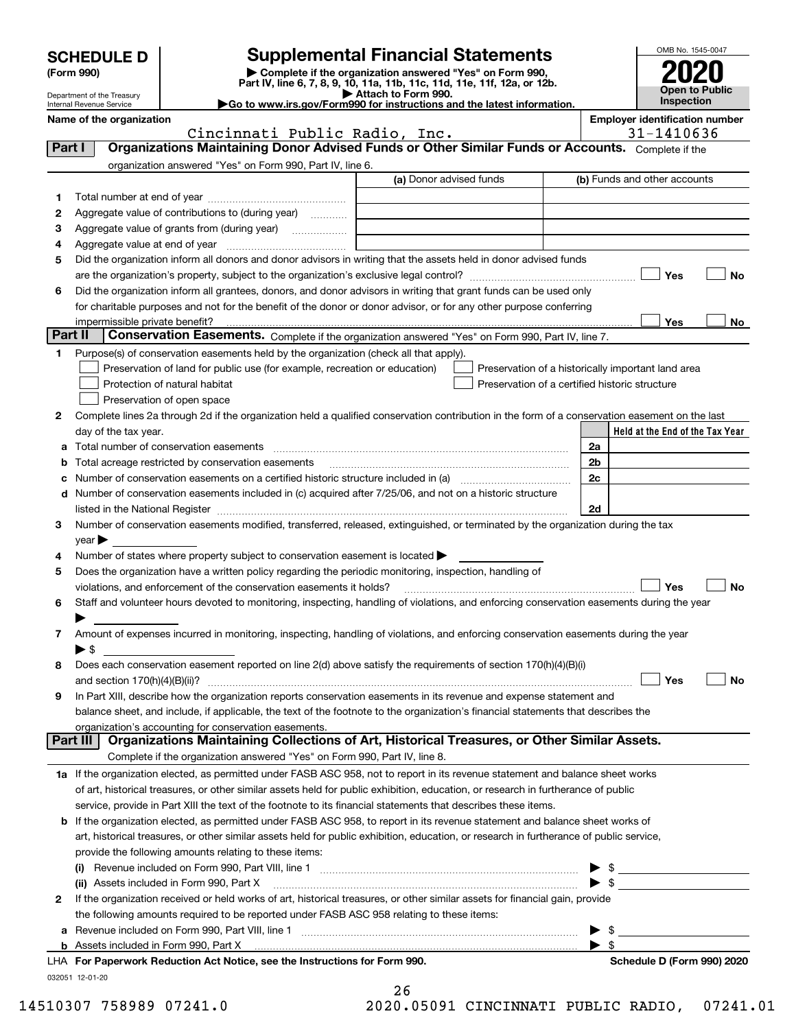| <b>SCHEDULE D</b> |  |
|-------------------|--|
|-------------------|--|

Department of the Treasury Internal Revenue Service

| (Form 990) |  |  |
|------------|--|--|
|------------|--|--|

### **SCHEDULE D Supplemental Financial Statements**

(Form 990)<br>
Pepartment of the Treasury<br>
Department of the Treasury<br>
Department of the Treasury<br>
Department of the Treasury<br> **Co to www.irs.gov/Form990 for instructions and the latest information.**<br> **Co to www.irs.gov/Form9** 



| Name of the organization |  |  |  |
|--------------------------|--|--|--|

**Name of the orientation Employer identification number**  $\vert$  **Employer identification number** 

|        | Cincinnati Public Radio, Inc.                                                                                                                                                                                                 | 31-1410636                                         |  |  |  |  |  |
|--------|-------------------------------------------------------------------------------------------------------------------------------------------------------------------------------------------------------------------------------|----------------------------------------------------|--|--|--|--|--|
| Part I | Organizations Maintaining Donor Advised Funds or Other Similar Funds or Accounts. Complete if the                                                                                                                             |                                                    |  |  |  |  |  |
|        | organization answered "Yes" on Form 990, Part IV, line 6.                                                                                                                                                                     |                                                    |  |  |  |  |  |
|        | (a) Donor advised funds                                                                                                                                                                                                       | (b) Funds and other accounts                       |  |  |  |  |  |
| 1.     |                                                                                                                                                                                                                               |                                                    |  |  |  |  |  |
| 2      | Aggregate value of contributions to (during year)                                                                                                                                                                             |                                                    |  |  |  |  |  |
| з      | Aggregate value of grants from (during year)                                                                                                                                                                                  |                                                    |  |  |  |  |  |
| 4      |                                                                                                                                                                                                                               |                                                    |  |  |  |  |  |
| 5      | Did the organization inform all donors and donor advisors in writing that the assets held in donor advised funds                                                                                                              |                                                    |  |  |  |  |  |
|        |                                                                                                                                                                                                                               | Yes<br>No                                          |  |  |  |  |  |
| 6      | Did the organization inform all grantees, donors, and donor advisors in writing that grant funds can be used only                                                                                                             |                                                    |  |  |  |  |  |
|        | for charitable purposes and not for the benefit of the donor or donor advisor, or for any other purpose conferring                                                                                                            |                                                    |  |  |  |  |  |
|        |                                                                                                                                                                                                                               | Yes<br>No                                          |  |  |  |  |  |
|        | Part II<br>Conservation Easements. Complete if the organization answered "Yes" on Form 990, Part IV, line 7.                                                                                                                  |                                                    |  |  |  |  |  |
| 1.     | Purpose(s) of conservation easements held by the organization (check all that apply).                                                                                                                                         |                                                    |  |  |  |  |  |
|        | Preservation of land for public use (for example, recreation or education)                                                                                                                                                    | Preservation of a historically important land area |  |  |  |  |  |
|        | Protection of natural habitat                                                                                                                                                                                                 | Preservation of a certified historic structure     |  |  |  |  |  |
|        | Preservation of open space                                                                                                                                                                                                    |                                                    |  |  |  |  |  |
| 2      | Complete lines 2a through 2d if the organization held a qualified conservation contribution in the form of a conservation easement on the last                                                                                |                                                    |  |  |  |  |  |
|        | day of the tax year.                                                                                                                                                                                                          | Held at the End of the Tax Year                    |  |  |  |  |  |
| а      | Total number of conservation easements                                                                                                                                                                                        | 2a                                                 |  |  |  |  |  |
| b      | Total acreage restricted by conservation easements                                                                                                                                                                            | 2 <sub>b</sub>                                     |  |  |  |  |  |
| c      |                                                                                                                                                                                                                               | 2c                                                 |  |  |  |  |  |
| d      | Number of conservation easements included in (c) acquired after 7/25/06, and not on a historic structure                                                                                                                      |                                                    |  |  |  |  |  |
|        | listed in the National Register [111] Marshall Register [11] Marshall Register [11] Marshall Register [11] Marshall Register [11] Marshall Register [11] Marshall Register [11] Marshall Register [11] Marshall Register [11] | 2d                                                 |  |  |  |  |  |
| З.     | Number of conservation easements modified, transferred, released, extinguished, or terminated by the organization during the tax                                                                                              |                                                    |  |  |  |  |  |
|        | year                                                                                                                                                                                                                          |                                                    |  |  |  |  |  |
| 4      | Number of states where property subject to conservation easement is located >                                                                                                                                                 |                                                    |  |  |  |  |  |
| 5      | Does the organization have a written policy regarding the periodic monitoring, inspection, handling of                                                                                                                        |                                                    |  |  |  |  |  |
|        | violations, and enforcement of the conservation easements it holds?                                                                                                                                                           | Yes<br>No                                          |  |  |  |  |  |
| 6      | Staff and volunteer hours devoted to monitoring, inspecting, handling of violations, and enforcing conservation easements during the year                                                                                     |                                                    |  |  |  |  |  |
|        |                                                                                                                                                                                                                               |                                                    |  |  |  |  |  |
| 7      | Amount of expenses incurred in monitoring, inspecting, handling of violations, and enforcing conservation easements during the year                                                                                           |                                                    |  |  |  |  |  |
|        | $\blacktriangleright$ s                                                                                                                                                                                                       |                                                    |  |  |  |  |  |
| 8      | Does each conservation easement reported on line 2(d) above satisfy the requirements of section 170(h)(4)(B)(i)                                                                                                               |                                                    |  |  |  |  |  |
|        | and section $170(h)(4)(B)(ii)?$                                                                                                                                                                                               | Yes<br>No                                          |  |  |  |  |  |
| 9      | In Part XIII, describe how the organization reports conservation easements in its revenue and expense statement and                                                                                                           |                                                    |  |  |  |  |  |
|        | balance sheet, and include, if applicable, the text of the footnote to the organization's financial statements that describes the                                                                                             |                                                    |  |  |  |  |  |
|        | organization's accounting for conservation easements.                                                                                                                                                                         |                                                    |  |  |  |  |  |
|        | Organizations Maintaining Collections of Art, Historical Treasures, or Other Similar Assets.<br>Part III                                                                                                                      |                                                    |  |  |  |  |  |
|        | Complete if the organization answered "Yes" on Form 990, Part IV, line 8.                                                                                                                                                     |                                                    |  |  |  |  |  |
|        | 1a If the organization elected, as permitted under FASB ASC 958, not to report in its revenue statement and balance sheet works                                                                                               |                                                    |  |  |  |  |  |
|        | of art, historical treasures, or other similar assets held for public exhibition, education, or research in furtherance of public                                                                                             |                                                    |  |  |  |  |  |
|        | service, provide in Part XIII the text of the footnote to its financial statements that describes these items.                                                                                                                |                                                    |  |  |  |  |  |
| b      | If the organization elected, as permitted under FASB ASC 958, to report in its revenue statement and balance sheet works of                                                                                                   |                                                    |  |  |  |  |  |
|        | art, historical treasures, or other similar assets held for public exhibition, education, or research in furtherance of public service,                                                                                       |                                                    |  |  |  |  |  |
|        | provide the following amounts relating to these items:                                                                                                                                                                        |                                                    |  |  |  |  |  |
|        |                                                                                                                                                                                                                               | \$                                                 |  |  |  |  |  |
|        | (ii) Assets included in Form 990, Part X                                                                                                                                                                                      | $\mathfrak{s}$                                     |  |  |  |  |  |
| 2      | If the organization received or held works of art, historical treasures, or other similar assets for financial gain, provide                                                                                                  |                                                    |  |  |  |  |  |
|        | the following amounts required to be reported under FASB ASC 958 relating to these items:                                                                                                                                     |                                                    |  |  |  |  |  |
| а      |                                                                                                                                                                                                                               | $\blacktriangleright$ \$                           |  |  |  |  |  |

**b**Assets included in Form 990, Part X LHA

| LHA For Paperwork Reduction Act Notice, see the Instructions for Form 990. | Schedule D (Form 990) 2020 |
|----------------------------------------------------------------------------|----------------------------|
| 032051 12-01-20                                                            |                            |

| 26 |         |                             |
|----|---------|-----------------------------|
|    | n nangi | $\sim$ $\sim$ $\sim$ $\sim$ |

 $\blacktriangleright$  \$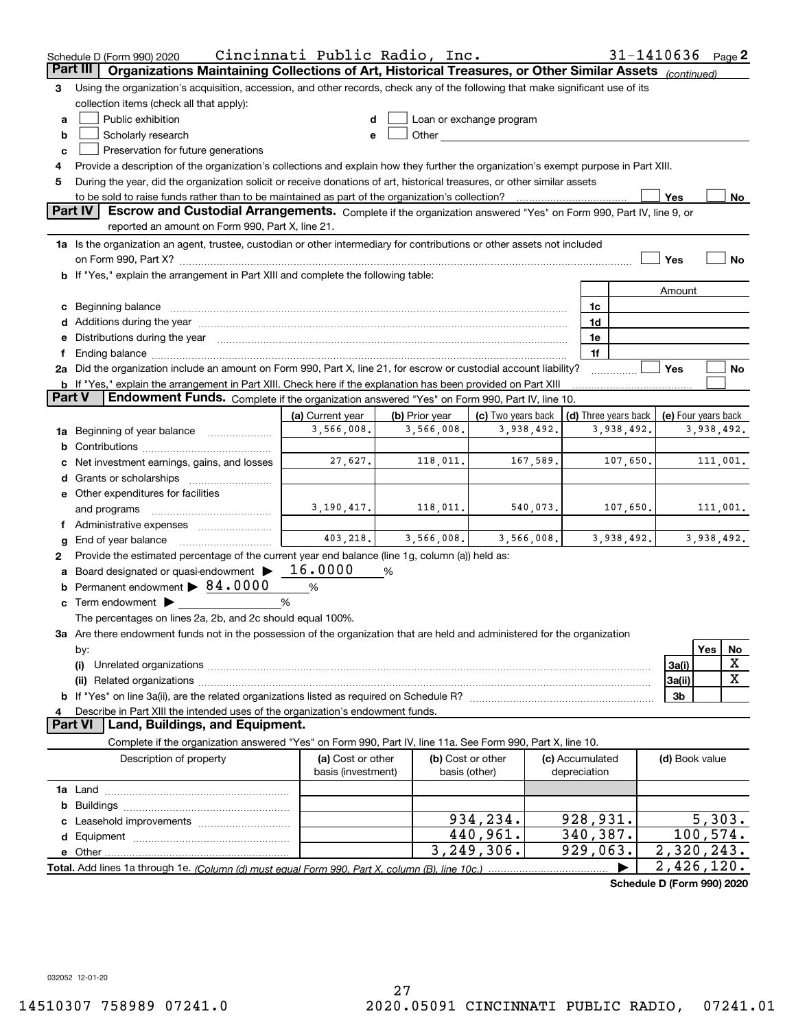|                 | Cincinnati Public Radio, Inc.<br>$31 - 1410636$ Page 2<br>Schedule D (Form 990) 2020                                                                                                                                                                     |                                         |                |                                    |          |                                 |                      |                            |            |             |
|-----------------|----------------------------------------------------------------------------------------------------------------------------------------------------------------------------------------------------------------------------------------------------------|-----------------------------------------|----------------|------------------------------------|----------|---------------------------------|----------------------|----------------------------|------------|-------------|
| <b>Part III</b> | Organizations Maintaining Collections of Art, Historical Treasures, or Other Similar Assets (continued)                                                                                                                                                  |                                         |                |                                    |          |                                 |                      |                            |            |             |
| 3               | Using the organization's acquisition, accession, and other records, check any of the following that make significant use of its                                                                                                                          |                                         |                |                                    |          |                                 |                      |                            |            |             |
|                 | collection items (check all that apply):                                                                                                                                                                                                                 |                                         |                |                                    |          |                                 |                      |                            |            |             |
| a               | Public exhibition                                                                                                                                                                                                                                        |                                         |                | Loan or exchange program           |          |                                 |                      |                            |            |             |
| b               | Other and the contract of the contract of the contract of the contract of the contract of the contract of the contract of the contract of the contract of the contract of the contract of the contract of the contract of the<br>Scholarly research<br>е |                                         |                |                                    |          |                                 |                      |                            |            |             |
| c               | Preservation for future generations                                                                                                                                                                                                                      |                                         |                |                                    |          |                                 |                      |                            |            |             |
|                 | Provide a description of the organization's collections and explain how they further the organization's exempt purpose in Part XIII.                                                                                                                     |                                         |                |                                    |          |                                 |                      |                            |            |             |
| 5               | During the year, did the organization solicit or receive donations of art, historical treasures, or other similar assets                                                                                                                                 |                                         |                |                                    |          |                                 |                      |                            |            |             |
|                 | to be sold to raise funds rather than to be maintained as part of the organization's collection?                                                                                                                                                         |                                         |                |                                    |          |                                 |                      | Yes                        |            | <u>No</u>   |
|                 | <b>Part IV</b><br>Escrow and Custodial Arrangements. Complete if the organization answered "Yes" on Form 990, Part IV, line 9, or                                                                                                                        |                                         |                |                                    |          |                                 |                      |                            |            |             |
|                 | reported an amount on Form 990, Part X, line 21.                                                                                                                                                                                                         |                                         |                |                                    |          |                                 |                      |                            |            |             |
|                 | 1a Is the organization an agent, trustee, custodian or other intermediary for contributions or other assets not included                                                                                                                                 |                                         |                |                                    |          |                                 |                      |                            |            |             |
|                 |                                                                                                                                                                                                                                                          |                                         |                |                                    |          |                                 |                      | Yes                        |            | No          |
|                 | b If "Yes," explain the arrangement in Part XIII and complete the following table:                                                                                                                                                                       |                                         |                |                                    |          |                                 |                      |                            |            |             |
|                 |                                                                                                                                                                                                                                                          |                                         |                |                                    |          |                                 |                      | Amount                     |            |             |
|                 | c Beginning balance                                                                                                                                                                                                                                      |                                         |                |                                    |          | 1c                              |                      |                            |            |             |
|                 |                                                                                                                                                                                                                                                          |                                         |                |                                    |          | 1d                              |                      |                            |            |             |
|                 | e Distributions during the year manufactured and contained and contained and contained and contained and contained and contained and contained and contained and contained and contained and contained and contained and conta                           |                                         |                |                                    |          | 1e                              |                      |                            |            |             |
|                 | 2a Did the organization include an amount on Form 990, Part X, line 21, for escrow or custodial account liability?                                                                                                                                       |                                         |                |                                    |          | 1f                              |                      | Yes                        |            | No          |
|                 | <b>b</b> If "Yes," explain the arrangement in Part XIII. Check here if the explanation has been provided on Part XIII                                                                                                                                    |                                         |                |                                    |          |                                 |                      |                            |            |             |
| <b>Part V</b>   | Endowment Funds. Complete if the organization answered "Yes" on Form 990, Part IV, line 10.                                                                                                                                                              |                                         |                |                                    |          |                                 |                      |                            |            |             |
|                 |                                                                                                                                                                                                                                                          | (a) Current year                        | (b) Prior year | (c) Two years back                 |          |                                 | (d) Three years back | (e) Four years back        |            |             |
| 1a              | Beginning of year balance                                                                                                                                                                                                                                | 3,566,008.                              | 3,566,008.     | 3,938,492.                         |          |                                 | 3,938,492.           |                            | 3,938,492. |             |
|                 |                                                                                                                                                                                                                                                          |                                         |                |                                    |          |                                 |                      |                            |            |             |
|                 | Net investment earnings, gains, and losses                                                                                                                                                                                                               | 27,627.                                 | 118,011.       | 167,589.                           |          |                                 | 107,650.             |                            | 111,001.   |             |
|                 | Grants or scholarships                                                                                                                                                                                                                                   |                                         |                |                                    |          |                                 |                      |                            |            |             |
|                 | e Other expenditures for facilities                                                                                                                                                                                                                      |                                         |                |                                    |          |                                 |                      |                            |            |             |
|                 | and programs                                                                                                                                                                                                                                             | 3,190,417.                              | 118,011.       |                                    | 540,073. |                                 | 107,650.             |                            | 111,001.   |             |
|                 |                                                                                                                                                                                                                                                          |                                         |                |                                    |          |                                 |                      |                            |            |             |
|                 | End of year balance                                                                                                                                                                                                                                      | 403,218.                                | 3,566,008.     | 3,566,008.                         |          |                                 | 3,938,492.           |                            |            | 3,938,492.  |
| 2               | Provide the estimated percentage of the current year end balance (line 1g, column (a)) held as:                                                                                                                                                          |                                         |                |                                    |          |                                 |                      |                            |            |             |
|                 | Board designated or quasi-endowment                                                                                                                                                                                                                      | 16.0000                                 | %              |                                    |          |                                 |                      |                            |            |             |
| b               | Permanent endowment > 84.0000                                                                                                                                                                                                                            | %                                       |                |                                    |          |                                 |                      |                            |            |             |
| c               | Term endowment $\blacktriangleright$                                                                                                                                                                                                                     | %                                       |                |                                    |          |                                 |                      |                            |            |             |
|                 | The percentages on lines 2a, 2b, and 2c should equal 100%.                                                                                                                                                                                               |                                         |                |                                    |          |                                 |                      |                            |            |             |
|                 | <b>3a</b> Are there endowment funds not in the possession of the organization that are held and administered for the organization                                                                                                                        |                                         |                |                                    |          |                                 |                      |                            |            |             |
|                 | by:                                                                                                                                                                                                                                                      |                                         |                |                                    |          |                                 |                      |                            | Yes        | No          |
|                 | (i)                                                                                                                                                                                                                                                      |                                         |                |                                    |          |                                 |                      | 3a(i)                      |            | X           |
|                 | (ii)                                                                                                                                                                                                                                                     |                                         |                |                                    |          |                                 |                      | 3a(ii)                     |            | $\mathbf X$ |
|                 |                                                                                                                                                                                                                                                          |                                         |                |                                    |          |                                 |                      | 3b                         |            |             |
|                 | Describe in Part XIII the intended uses of the organization's endowment funds.                                                                                                                                                                           |                                         |                |                                    |          |                                 |                      |                            |            |             |
|                 | Land, Buildings, and Equipment.<br><b>Part VI</b>                                                                                                                                                                                                        |                                         |                |                                    |          |                                 |                      |                            |            |             |
|                 | Complete if the organization answered "Yes" on Form 990, Part IV, line 11a. See Form 990, Part X, line 10.                                                                                                                                               |                                         |                |                                    |          |                                 |                      |                            |            |             |
|                 | Description of property                                                                                                                                                                                                                                  | (a) Cost or other<br>basis (investment) |                | (b) Cost or other<br>basis (other) |          | (c) Accumulated<br>depreciation |                      | (d) Book value             |            |             |
|                 |                                                                                                                                                                                                                                                          |                                         |                |                                    |          |                                 |                      |                            |            |             |
| b               |                                                                                                                                                                                                                                                          |                                         |                |                                    |          |                                 |                      |                            |            |             |
|                 |                                                                                                                                                                                                                                                          |                                         |                | 934,234.                           |          | 928,931.                        |                      |                            |            | 5,303.      |
|                 |                                                                                                                                                                                                                                                          |                                         |                | 440,961.                           |          | 340,387.                        |                      | 100, 574.                  |            |             |
|                 |                                                                                                                                                                                                                                                          |                                         |                | 3,249,306.                         |          | 929,063.                        |                      | 2,320,243.                 |            |             |
|                 |                                                                                                                                                                                                                                                          |                                         |                |                                    |          |                                 |                      | $\overline{2}$ , 426, 120. |            |             |

**Schedule D (Form 990) 2020**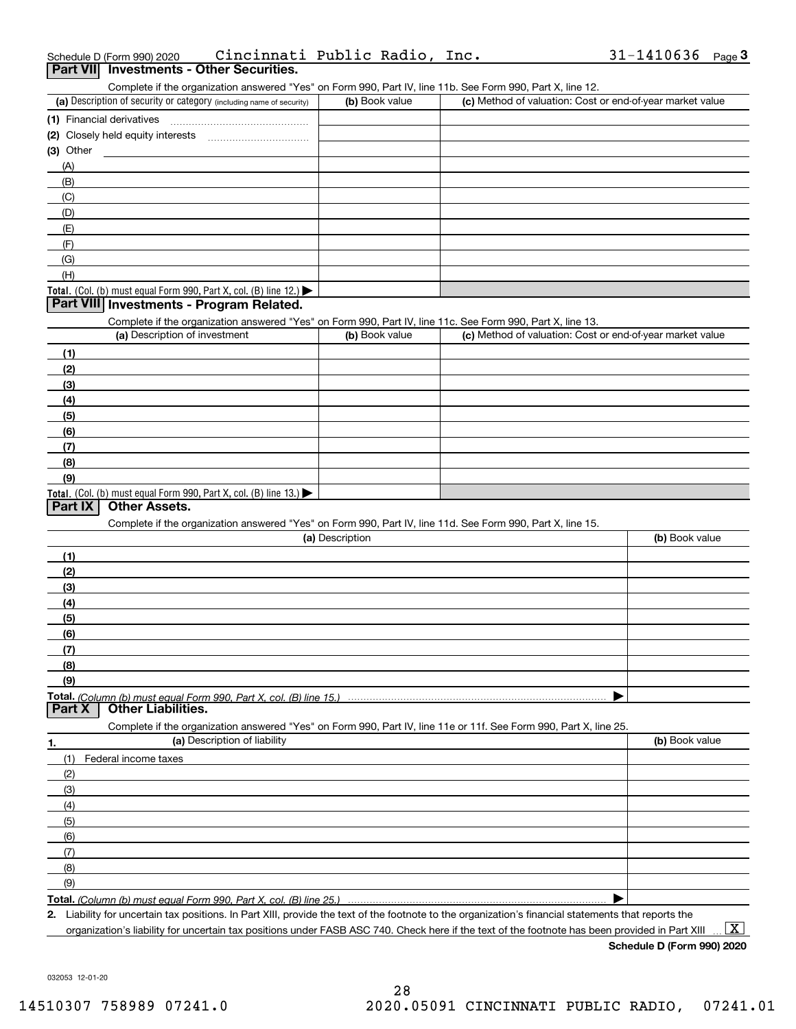| Schedule D (Form 990) 2020 | Cincinnati Public Radio, Inc.            |  | $31 - 1410636$ Page 3 |  |
|----------------------------|------------------------------------------|--|-----------------------|--|
|                            | Part VII Investments - Other Securities. |  |                       |  |

| art VII Investments - Other Securities. |
|-----------------------------------------|

Complete if the organization answered "Yes" on Form 990, Part IV, line 11b. See Form 990, Part X, line 12.

| (a) Description of security or category (including name of security)                          | (b) Book value | (c) Method of valuation: Cost or end-of-year market value |
|-----------------------------------------------------------------------------------------------|----------------|-----------------------------------------------------------|
| (1) Financial derivatives                                                                     |                |                                                           |
| (2) Closely held equity interests                                                             |                |                                                           |
| $(3)$ Other                                                                                   |                |                                                           |
| (A)                                                                                           |                |                                                           |
| (B)                                                                                           |                |                                                           |
| (C)                                                                                           |                |                                                           |
| (D)                                                                                           |                |                                                           |
| (E)                                                                                           |                |                                                           |
| (F)                                                                                           |                |                                                           |
| (G)                                                                                           |                |                                                           |
| (H)                                                                                           |                |                                                           |
| <b>Total.</b> (Col. (b) must equal Form 990, Part X, col. (B) line 12.) $\blacktriangleright$ |                |                                                           |

#### **Part VIII Investments - Program Related.**

Complete if the organization answered "Yes" on Form 990, Part IV, line 11c. See Form 990, Part X, line 13.

| (a) Description of investment                                                          | (b) Book value | (c) Method of valuation: Cost or end-of-year market value |
|----------------------------------------------------------------------------------------|----------------|-----------------------------------------------------------|
| (1)                                                                                    |                |                                                           |
| (2)                                                                                    |                |                                                           |
| $\frac{1}{2}$                                                                          |                |                                                           |
| (4)                                                                                    |                |                                                           |
| (5)                                                                                    |                |                                                           |
| (6)                                                                                    |                |                                                           |
| (7)                                                                                    |                |                                                           |
| (8)                                                                                    |                |                                                           |
| (9)                                                                                    |                |                                                           |
| Total. (Col. (b) must equal Form 990, Part X, col. (B) line 13.) $\blacktriangleright$ |                |                                                           |

### **Part IX Other Assets.**

Complete if the organization answered "Yes" on Form 990, Part IV, line 11d. See Form 990, Part X, line 15.

| (a) Description                                                                                                   | (b) Book value |
|-------------------------------------------------------------------------------------------------------------------|----------------|
| (1)                                                                                                               |                |
| (2)                                                                                                               |                |
| (3)                                                                                                               |                |
| (4)                                                                                                               |                |
| (5)                                                                                                               |                |
| (6)                                                                                                               |                |
| (7)                                                                                                               |                |
| (8)                                                                                                               |                |
| (9)                                                                                                               |                |
|                                                                                                                   |                |
| Part X<br><b>Other Liabilities.</b>                                                                               |                |
| Complete if the organization answered "Yes" on Form 990, Part IV, line 11e or 11f. See Form 990, Part X, line 25. |                |

| 1.                  | (a) Description of liability | (b) Book value |
|---------------------|------------------------------|----------------|
|                     | (1) Federal income taxes     |                |
| (2)                 |                              |                |
| $\qquad \qquad (3)$ |                              |                |
| (4)                 |                              |                |
| $\frac{1}{2}$ (5)   |                              |                |
| (6)                 |                              |                |
| (7)                 |                              |                |
| (8)                 |                              |                |
| (9)                 |                              |                |
|                     |                              |                |

**Total.**  *(Column (b) must equal Form 990, Part X, col. (B) line 25.)* 

**2.**Liability for uncertain tax positions. In Part XIII, provide the text of the footnote to the organization's financial statements that reports the organization's liability for uncertain tax positions under FASB ASC 740. Check here if the text of the footnote has been provided in Part XIII

 $\boxed{\text{X}}$ 

**Schedule D (Form 990) 2020**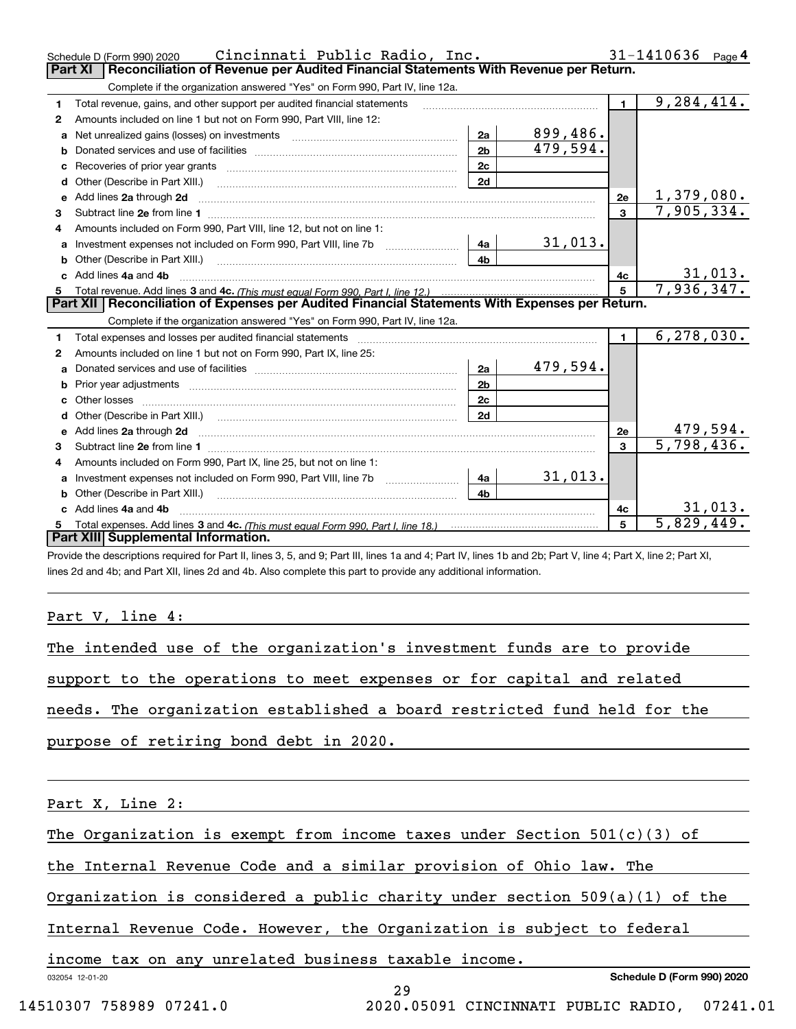|              | Cincinnati Public Radio, Inc.<br>Schedule D (Form 990) 2020                                                                                                                                                                         |                |                 |                | $31 - 1410636$ Page 4        |
|--------------|-------------------------------------------------------------------------------------------------------------------------------------------------------------------------------------------------------------------------------------|----------------|-----------------|----------------|------------------------------|
|              | Reconciliation of Revenue per Audited Financial Statements With Revenue per Return.<br><b>Part XI</b>                                                                                                                               |                |                 |                |                              |
|              | Complete if the organization answered "Yes" on Form 990, Part IV, line 12a.                                                                                                                                                         |                |                 |                |                              |
| 1            | Total revenue, gains, and other support per audited financial statements                                                                                                                                                            |                |                 | $\blacksquare$ | 9, 284, 414.                 |
| $\mathbf{2}$ | Amounts included on line 1 but not on Form 990, Part VIII, line 12:                                                                                                                                                                 |                |                 |                |                              |
| a            |                                                                                                                                                                                                                                     | 2a             | <u>899,486.</u> |                |                              |
| b            |                                                                                                                                                                                                                                     | 2 <sub>b</sub> | 479,594.        |                |                              |
| c            | Recoveries of prior year grants [11] Recoveries of prior year grants [11] Recoveries of prior year grants                                                                                                                           | 2c             |                 |                |                              |
| d            | Other (Describe in Part XIII.)                                                                                                                                                                                                      | 2d             |                 |                |                              |
| е            | Add lines 2a through 2d                                                                                                                                                                                                             |                |                 | 2e             | 1,379,080.                   |
| З.           |                                                                                                                                                                                                                                     |                |                 | $\mathbf{3}$   | 7,905,334.                   |
|              | Amounts included on Form 990, Part VIII, line 12, but not on line 1:                                                                                                                                                                |                |                 |                |                              |
| a            |                                                                                                                                                                                                                                     | 4a             | 31,013.         |                |                              |
| b            |                                                                                                                                                                                                                                     | 4b             |                 |                |                              |
|              | Add lines 4a and 4b                                                                                                                                                                                                                 |                |                 | 4с             | $\frac{31,013.}{7,936,347.}$ |
| 5.           |                                                                                                                                                                                                                                     |                |                 | 5              |                              |
|              |                                                                                                                                                                                                                                     |                |                 |                |                              |
|              | Part XII   Reconciliation of Expenses per Audited Financial Statements With Expenses per Return.                                                                                                                                    |                |                 |                |                              |
|              | Complete if the organization answered "Yes" on Form 990, Part IV, line 12a.                                                                                                                                                         |                |                 |                |                              |
| 1            | Total expenses and losses per audited financial statements [11, 11] manuscription control expenses and losses per audited financial statements [11] manuscription of the statements and the statements and the statements and       |                |                 | $\blacksquare$ | 6, 278, 030.                 |
| 2            | Amounts included on line 1 but not on Form 990, Part IX, line 25:                                                                                                                                                                   |                |                 |                |                              |
| a            |                                                                                                                                                                                                                                     | 2a             | 479,594.        |                |                              |
| b            |                                                                                                                                                                                                                                     | 2 <sub>b</sub> |                 |                |                              |
|              |                                                                                                                                                                                                                                     | 2c             |                 |                |                              |
|              |                                                                                                                                                                                                                                     | 2d             |                 |                |                              |
|              | e Add lines 2a through 2d <b>continuum contract and all and all and a</b> contract a temperature and a contract a contract a contract a contract a contract a contract a contract a contract a contract a contract a contract a con |                |                 | 2e             | 479,594.                     |
| З.           |                                                                                                                                                                                                                                     |                |                 | $\mathbf{3}$   | 5,798,436.                   |
| 4            | Amounts included on Form 990, Part IX, line 25, but not on line 1:                                                                                                                                                                  |                |                 |                |                              |
| a            | Investment expenses not included on Form 990, Part VIII, line 7b [1000000000000000000000000000000000                                                                                                                                | 4a             | 31,013.         |                |                              |
|              |                                                                                                                                                                                                                                     | 4b             |                 |                |                              |
|              | Add lines 4a and 4b                                                                                                                                                                                                                 |                |                 | 4c             | 31,013.                      |
|              | Part XIII Supplemental Information.                                                                                                                                                                                                 |                |                 | 5              | $\overline{5,829,449}$       |

Provide the descriptions required for Part II, lines 3, 5, and 9; Part III, lines 1a and 4; Part IV, lines 1b and 2b; Part V, line 4; Part X, line 2; Part XI, lines 2d and 4b; and Part XII, lines 2d and 4b. Also complete this part to provide any additional information.

Part V, line 4:

| support to the operations to meet expenses or for capital and related    |  |  | The intended use of the organization's investment funds are to provide |
|--------------------------------------------------------------------------|--|--|------------------------------------------------------------------------|
|                                                                          |  |  |                                                                        |
| needs. The organization established a board restricted fund held for the |  |  |                                                                        |
| purpose of retiring bond debt in 2020.                                   |  |  |                                                                        |

Part X, Line 2:

The Organization is exempt from income taxes under Section  $501(c)(3)$  of

the Internal Revenue Code and a similar provision of Ohio law. The

Organization is considered a public charity under section 509(a)(1) of the

Internal Revenue Code. However, the Organization is subject to federal

income tax on any unrelated business taxable income.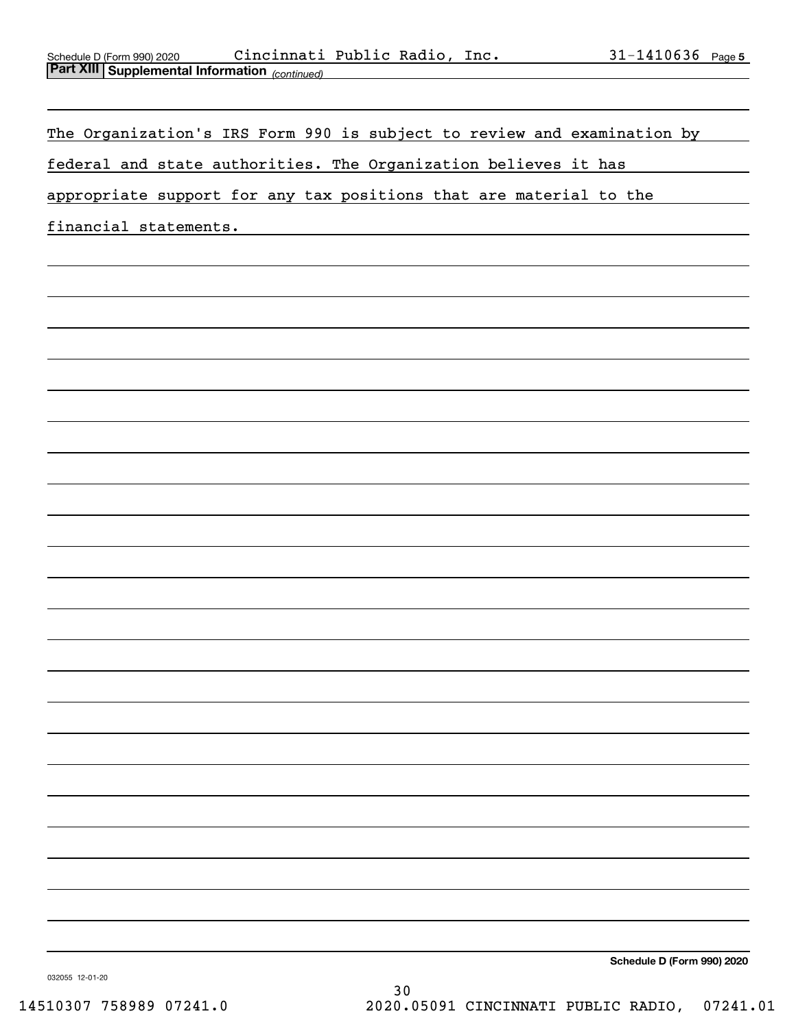| Schedule D (Form 990) 2020                     | Cincinnati Public Radio, |  | Inc. | 1410636 | Page 5 |
|------------------------------------------------|--------------------------|--|------|---------|--------|
| Part XIII Supplemental Information (continued) |                          |  |      |         |        |

The Organization's IRS Form 990 is subject to review and examination by

federal and state authorities. The Organization believes it has

appropriate support for any tax positions that are material to the

financial statements.

**Schedule D (Form 990) 2020**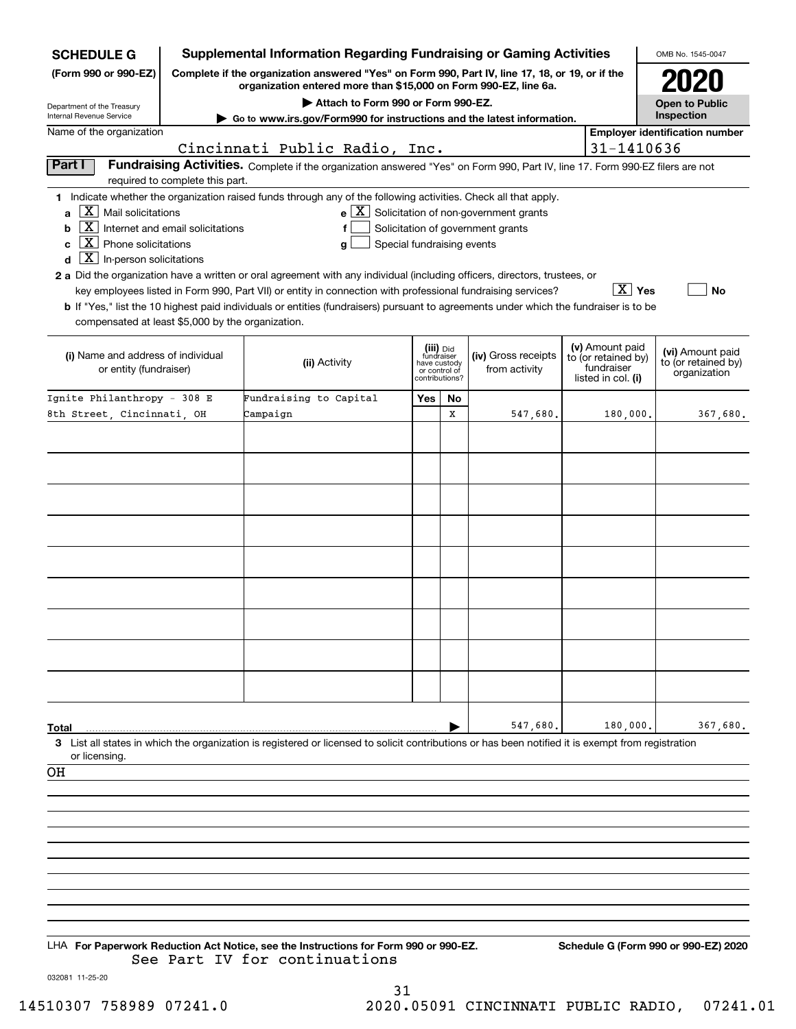| <b>Supplemental Information Regarding Fundraising or Gaming Activities</b><br><b>SCHEDULE G</b>                                                                                             |                                  |                                                                                                                                                                                                                                                                                  |                                                                            |    |                                                                                                   |  | OMB No. 1545-0047                                                          |                                                         |
|---------------------------------------------------------------------------------------------------------------------------------------------------------------------------------------------|----------------------------------|----------------------------------------------------------------------------------------------------------------------------------------------------------------------------------------------------------------------------------------------------------------------------------|----------------------------------------------------------------------------|----|---------------------------------------------------------------------------------------------------|--|----------------------------------------------------------------------------|---------------------------------------------------------|
| Complete if the organization answered "Yes" on Form 990, Part IV, line 17, 18, or 19, or if the<br>(Form 990 or 990-EZ)<br>organization entered more than \$15,000 on Form 990-EZ, line 6a. |                                  |                                                                                                                                                                                                                                                                                  |                                                                            |    |                                                                                                   |  |                                                                            |                                                         |
|                                                                                                                                                                                             |                                  | <b>Open to Public</b>                                                                                                                                                                                                                                                            |                                                                            |    |                                                                                                   |  |                                                                            |                                                         |
| Department of the Treasury<br>Internal Revenue Service                                                                                                                                      |                                  | Attach to Form 990 or Form 990-EZ.<br>Go to www.irs.gov/Form990 for instructions and the latest information.                                                                                                                                                                     |                                                                            |    |                                                                                                   |  |                                                                            | Inspection                                              |
| Name of the organization                                                                                                                                                                    |                                  | Cincinnati Public Radio, Inc.                                                                                                                                                                                                                                                    |                                                                            |    |                                                                                                   |  | 31-1410636                                                                 | <b>Employer identification number</b>                   |
| Part I                                                                                                                                                                                      |                                  | Fundraising Activities. Complete if the organization answered "Yes" on Form 990, Part IV, line 17. Form 990-EZ filers are not                                                                                                                                                    |                                                                            |    |                                                                                                   |  |                                                                            |                                                         |
|                                                                                                                                                                                             | required to complete this part.  |                                                                                                                                                                                                                                                                                  |                                                                            |    |                                                                                                   |  |                                                                            |                                                         |
| $\boxed{\text{X}}$ Mail solicitations<br>a<br>  X  <br>b<br>$\boxed{\textbf{X}}$ Phone solicitations<br>C<br>$\boxed{\textbf{X}}$ In-person solicitations<br>d                              | Internet and email solicitations | 1 Indicate whether the organization raised funds through any of the following activities. Check all that apply.<br>Special fundraising events<br>g<br>2 a Did the organization have a written or oral agreement with any individual (including officers, directors, trustees, or |                                                                            |    | $e$ $\boxed{\text{X}}$ Solicitation of non-government grants<br>Solicitation of government grants |  |                                                                            |                                                         |
|                                                                                                                                                                                             |                                  | key employees listed in Form 990, Part VII) or entity in connection with professional fundraising services?<br><b>b</b> If "Yes," list the 10 highest paid individuals or entities (fundraisers) pursuant to agreements under which the fundraiser is to be                      |                                                                            |    |                                                                                                   |  | $\boxed{\text{X}}$ Yes                                                     | <b>No</b>                                               |
| compensated at least \$5,000 by the organization.                                                                                                                                           |                                  |                                                                                                                                                                                                                                                                                  |                                                                            |    |                                                                                                   |  |                                                                            |                                                         |
| (i) Name and address of individual<br>or entity (fundraiser)                                                                                                                                |                                  | (ii) Activity                                                                                                                                                                                                                                                                    | (iii) Did<br>fundraiser<br>have custody<br>or control of<br>contributions? |    | (iv) Gross receipts<br>from activity                                                              |  | (v) Amount paid<br>to (or retained by)<br>fundraiser<br>listed in col. (i) | (vi) Amount paid<br>to (or retained by)<br>organization |
| Ignite Philanthropy - 308 E                                                                                                                                                                 |                                  | Fundraising to Capital                                                                                                                                                                                                                                                           | Yes                                                                        | No |                                                                                                   |  |                                                                            |                                                         |
| 8th Street, Cincinnati, OH                                                                                                                                                                  |                                  | Campaign                                                                                                                                                                                                                                                                         |                                                                            | X  | 547,680.                                                                                          |  | 180,000.                                                                   | 367,680.                                                |
|                                                                                                                                                                                             |                                  |                                                                                                                                                                                                                                                                                  |                                                                            |    |                                                                                                   |  |                                                                            |                                                         |
|                                                                                                                                                                                             |                                  |                                                                                                                                                                                                                                                                                  |                                                                            |    |                                                                                                   |  |                                                                            |                                                         |
|                                                                                                                                                                                             |                                  |                                                                                                                                                                                                                                                                                  |                                                                            |    |                                                                                                   |  |                                                                            |                                                         |
|                                                                                                                                                                                             |                                  |                                                                                                                                                                                                                                                                                  |                                                                            |    |                                                                                                   |  |                                                                            |                                                         |
|                                                                                                                                                                                             |                                  |                                                                                                                                                                                                                                                                                  |                                                                            |    |                                                                                                   |  |                                                                            |                                                         |
|                                                                                                                                                                                             |                                  |                                                                                                                                                                                                                                                                                  |                                                                            |    |                                                                                                   |  |                                                                            |                                                         |
|                                                                                                                                                                                             |                                  |                                                                                                                                                                                                                                                                                  |                                                                            |    |                                                                                                   |  |                                                                            |                                                         |
|                                                                                                                                                                                             |                                  |                                                                                                                                                                                                                                                                                  |                                                                            |    |                                                                                                   |  |                                                                            |                                                         |
|                                                                                                                                                                                             |                                  |                                                                                                                                                                                                                                                                                  |                                                                            |    |                                                                                                   |  |                                                                            |                                                         |
|                                                                                                                                                                                             |                                  |                                                                                                                                                                                                                                                                                  |                                                                            |    |                                                                                                   |  |                                                                            |                                                         |
|                                                                                                                                                                                             |                                  |                                                                                                                                                                                                                                                                                  |                                                                            |    |                                                                                                   |  |                                                                            |                                                         |
|                                                                                                                                                                                             |                                  |                                                                                                                                                                                                                                                                                  |                                                                            |    |                                                                                                   |  |                                                                            |                                                         |
|                                                                                                                                                                                             |                                  |                                                                                                                                                                                                                                                                                  |                                                                            |    |                                                                                                   |  |                                                                            |                                                         |
|                                                                                                                                                                                             |                                  |                                                                                                                                                                                                                                                                                  |                                                                            |    |                                                                                                   |  |                                                                            |                                                         |
| Total                                                                                                                                                                                       |                                  |                                                                                                                                                                                                                                                                                  |                                                                            |    | 547,680.                                                                                          |  | 180,000.                                                                   | 367,680.                                                |
| or licensing.                                                                                                                                                                               |                                  | 3 List all states in which the organization is registered or licensed to solicit contributions or has been notified it is exempt from registration                                                                                                                               |                                                                            |    |                                                                                                   |  |                                                                            |                                                         |
| OН                                                                                                                                                                                          |                                  |                                                                                                                                                                                                                                                                                  |                                                                            |    |                                                                                                   |  |                                                                            |                                                         |
|                                                                                                                                                                                             |                                  |                                                                                                                                                                                                                                                                                  |                                                                            |    |                                                                                                   |  |                                                                            |                                                         |
|                                                                                                                                                                                             |                                  |                                                                                                                                                                                                                                                                                  |                                                                            |    |                                                                                                   |  |                                                                            |                                                         |
|                                                                                                                                                                                             |                                  |                                                                                                                                                                                                                                                                                  |                                                                            |    |                                                                                                   |  |                                                                            |                                                         |
|                                                                                                                                                                                             |                                  |                                                                                                                                                                                                                                                                                  |                                                                            |    |                                                                                                   |  |                                                                            |                                                         |
|                                                                                                                                                                                             |                                  |                                                                                                                                                                                                                                                                                  |                                                                            |    |                                                                                                   |  |                                                                            |                                                         |
|                                                                                                                                                                                             |                                  |                                                                                                                                                                                                                                                                                  |                                                                            |    |                                                                                                   |  |                                                                            |                                                         |
|                                                                                                                                                                                             |                                  |                                                                                                                                                                                                                                                                                  |                                                                            |    |                                                                                                   |  |                                                                            |                                                         |
|                                                                                                                                                                                             |                                  |                                                                                                                                                                                                                                                                                  |                                                                            |    |                                                                                                   |  |                                                                            |                                                         |
|                                                                                                                                                                                             |                                  | LHA For Paperwork Reduction Act Notice, see the Instructions for Form 990 or 990-EZ.<br>See Part IV for continuations                                                                                                                                                            |                                                                            |    |                                                                                                   |  |                                                                            | Schedule G (Form 990 or 990-EZ) 2020                    |

032081 11-25-20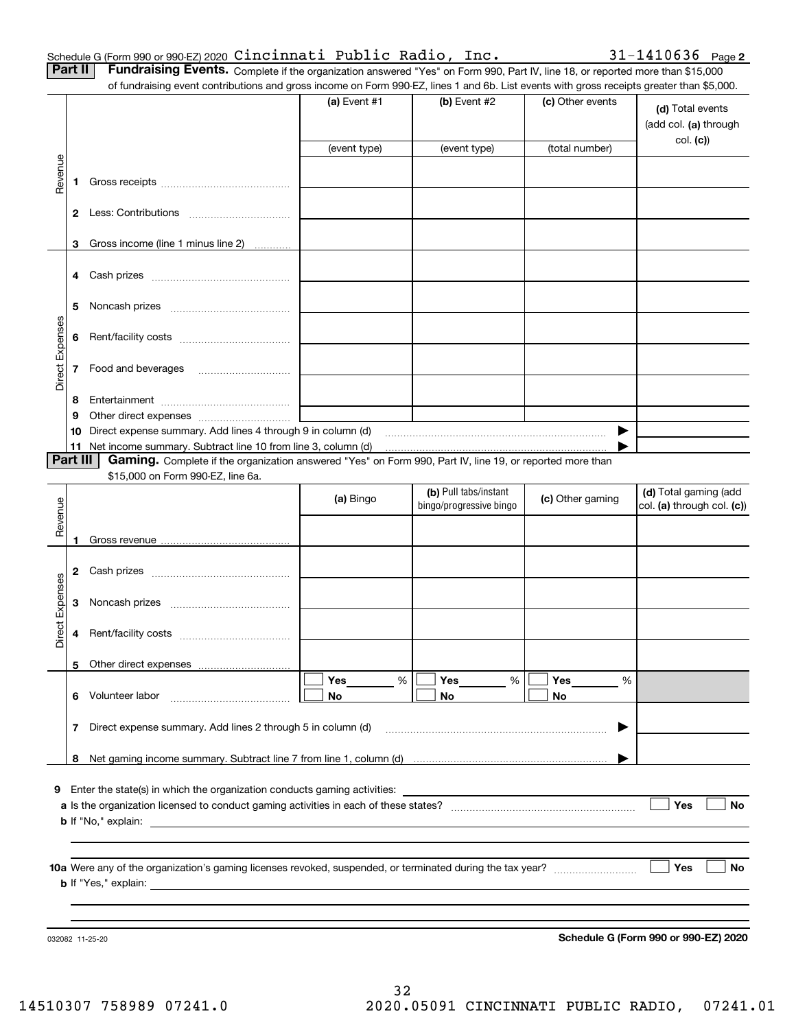|  | Schedule G (Form 990 or 990-EZ) 2020 Cincinnati Public Radio, Inc. |  | $31 - 1410636$ Page 2                                                                                                                        |  |
|--|--------------------------------------------------------------------|--|----------------------------------------------------------------------------------------------------------------------------------------------|--|
|  |                                                                    |  | <b>Part II</b> Fundraising Events. Complete if the organization answered "Yes" on Form 990, Part IV, line 18, or reported more than \$15,000 |  |

|  | II   Fundraising Events. Complete if the organization answered "Yes" on Form 990, Part IV, line 18, or reported more than \$15,000       |  |
|--|------------------------------------------------------------------------------------------------------------------------------------------|--|
|  | of fundraising event contributions and gross income on Form 990-EZ, lines 1 and 6b. List events with gross receipts greater than \$5,000 |  |

|                 |          | .000.or rundraising event contributions and gross income on Form 990-EZ, lines 1 and 6b. List events with gross receipts greater than \$5,000. | (a) Event $#1$ | (b) Event $#2$          | (c) Other events | (d) Total events<br>(add col. (a) through |
|-----------------|----------|------------------------------------------------------------------------------------------------------------------------------------------------|----------------|-------------------------|------------------|-------------------------------------------|
|                 |          |                                                                                                                                                | (event type)   | (event type)            | (total number)   | col. (c)                                  |
| Revenue         | 1        |                                                                                                                                                |                |                         |                  |                                           |
|                 |          |                                                                                                                                                |                |                         |                  |                                           |
|                 | 3        | Gross income (line 1 minus line 2)                                                                                                             |                |                         |                  |                                           |
|                 | 4        |                                                                                                                                                |                |                         |                  |                                           |
|                 | 5        |                                                                                                                                                |                |                         |                  |                                           |
| Direct Expenses | 6        |                                                                                                                                                |                |                         |                  |                                           |
|                 |          | 7 Food and beverages                                                                                                                           |                |                         |                  |                                           |
|                 | 8        |                                                                                                                                                |                |                         |                  |                                           |
|                 | 9        |                                                                                                                                                |                |                         |                  |                                           |
|                 | 10       | Direct expense summary. Add lines 4 through 9 in column (d)                                                                                    |                |                         | ▶                |                                           |
|                 | 11       | Net income summary. Subtract line 10 from line 3, column (d)                                                                                   |                |                         |                  |                                           |
|                 | Part III | Gaming. Complete if the organization answered "Yes" on Form 990, Part IV, line 19, or reported more than                                       |                |                         |                  |                                           |
|                 |          | \$15,000 on Form 990-EZ, line 6a.                                                                                                              |                | (b) Pull tabs/instant   |                  | (d) Total gaming (add                     |
| Revenue         |          |                                                                                                                                                | (a) Bingo      | bingo/progressive bingo | (c) Other gaming | col. (a) through col. (c))                |
|                 | 1        |                                                                                                                                                |                |                         |                  |                                           |
|                 | 2        |                                                                                                                                                |                |                         |                  |                                           |
|                 | 3        |                                                                                                                                                |                |                         |                  |                                           |
| Direct Expenses | 4        |                                                                                                                                                |                |                         |                  |                                           |
|                 |          | 5 Other direct expenses                                                                                                                        |                |                         |                  |                                           |
|                 |          | 6 Volunteer labor                                                                                                                              | Yes<br>%<br>No | Yes<br>%<br>No          | Yes<br>%<br>No   |                                           |
|                 | 7        | Direct expense summary. Add lines 2 through 5 in column (d)                                                                                    |                |                         | ▶                |                                           |
|                 |          |                                                                                                                                                |                |                         |                  |                                           |
|                 |          |                                                                                                                                                |                |                         |                  |                                           |
|                 |          | <b>9</b> Enter the state(s) in which the organization conducts gaming activities:                                                              |                |                         |                  |                                           |
|                 |          |                                                                                                                                                |                |                         |                  | Yes<br>No                                 |
|                 |          |                                                                                                                                                |                |                         |                  |                                           |
|                 |          |                                                                                                                                                |                |                         |                  |                                           |
|                 |          |                                                                                                                                                |                |                         |                  | Yes<br>No                                 |
|                 |          |                                                                                                                                                |                |                         |                  |                                           |
|                 |          |                                                                                                                                                |                |                         |                  |                                           |
|                 |          |                                                                                                                                                |                |                         |                  |                                           |
|                 |          | 032082 11-25-20                                                                                                                                |                |                         |                  | Schedule G (Form 990 or 990-EZ) 2020      |

**Schedule G (Form 990 or 990-EZ) 2020**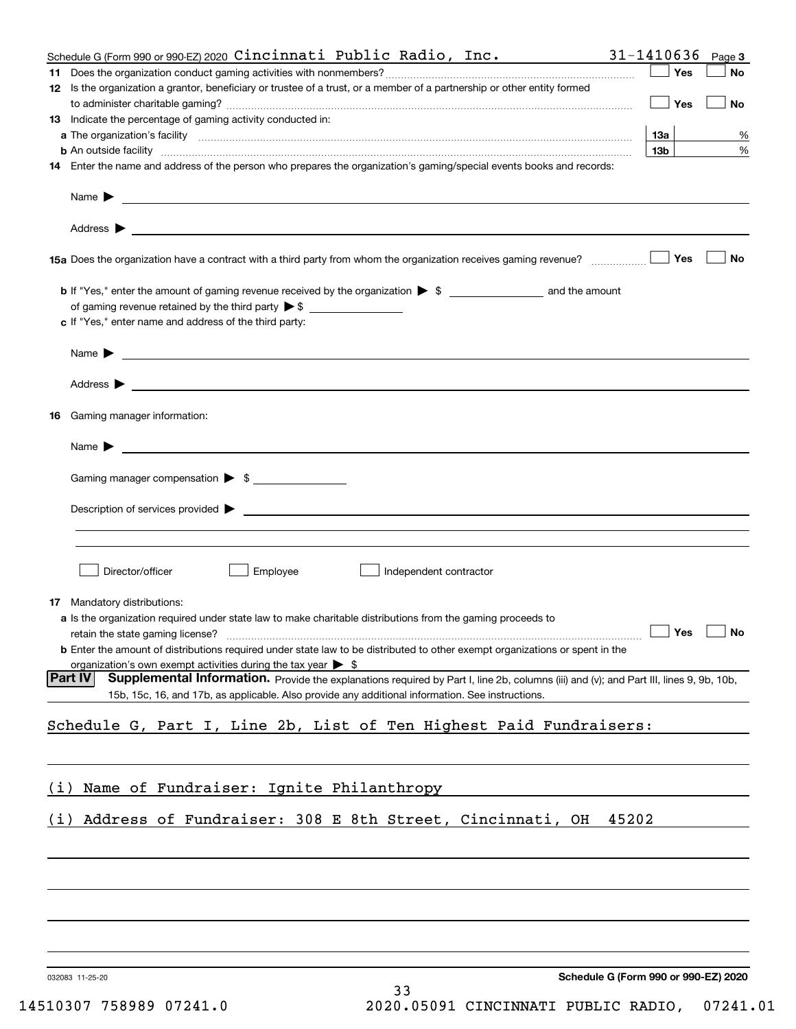|     | Schedule G (Form 990 or 990-EZ) 2020 $Cincinnati$ $Public$ $Radio$ , $Inc$ .                                                                                                                                                               | 31-1410636             | Page 3 |
|-----|--------------------------------------------------------------------------------------------------------------------------------------------------------------------------------------------------------------------------------------------|------------------------|--------|
|     |                                                                                                                                                                                                                                            | Yes                    | No     |
|     | 12 Is the organization a grantor, beneficiary or trustee of a trust, or a member of a partnership or other entity formed                                                                                                                   |                        |        |
|     |                                                                                                                                                                                                                                            | Yes                    | No     |
|     | <b>13</b> Indicate the percentage of gaming activity conducted in:                                                                                                                                                                         |                        |        |
|     | <b>b</b> An outside facility <i>www.communically.communically.communically.communically.communically.communically.communically.communically.communically.communically.communically.communically.communically.communically.communicall</i>  | 13а<br>13 <sub>b</sub> | %<br>% |
|     | 14 Enter the name and address of the person who prepares the organization's gaming/special events books and records:                                                                                                                       |                        |        |
|     |                                                                                                                                                                                                                                            |                        |        |
|     | Name $\blacktriangleright$                                                                                                                                                                                                                 |                        |        |
|     |                                                                                                                                                                                                                                            |                        |        |
|     |                                                                                                                                                                                                                                            | Yes                    | No     |
|     |                                                                                                                                                                                                                                            |                        |        |
|     |                                                                                                                                                                                                                                            |                        |        |
|     | c If "Yes," enter name and address of the third party:                                                                                                                                                                                     |                        |        |
|     | Name $\blacktriangleright$<br><u> 1989 - Johann Harry Harry Harry Harry Harry Harry Harry Harry Harry Harry Harry Harry Harry Harry Harry Harry</u>                                                                                        |                        |        |
|     | Address $\blacktriangleright$<br><u> 1989 - Jan Sterling von Berling von Berling von Berling von Berling von Berling von Berling von Berling von B</u>                                                                                     |                        |        |
| 16. | Gaming manager information:                                                                                                                                                                                                                |                        |        |
|     | Name $\blacktriangleright$                                                                                                                                                                                                                 |                        |        |
|     |                                                                                                                                                                                                                                            |                        |        |
|     | Gaming manager compensation > \$                                                                                                                                                                                                           |                        |        |
|     | Description of services provided $\blacktriangleright$                                                                                                                                                                                     |                        |        |
|     |                                                                                                                                                                                                                                            |                        |        |
|     | Director/officer<br>Employee<br>Independent contractor                                                                                                                                                                                     |                        |        |
|     | <b>17</b> Mandatory distributions:                                                                                                                                                                                                         |                        |        |
|     | a Is the organization required under state law to make charitable distributions from the gaming proceeds to                                                                                                                                |                        |        |
|     |                                                                                                                                                                                                                                            | $\Box$ Yes $\Box$ No   |        |
|     | <b>b</b> Enter the amount of distributions required under state law to be distributed to other exempt organizations or spent in the                                                                                                        |                        |        |
|     | organization's own exempt activities during the tax year $\triangleright$ \$<br><b>Part IV</b>                                                                                                                                             |                        |        |
|     | Supplemental Information. Provide the explanations required by Part I, line 2b, columns (iii) and (v); and Part III, lines 9, 9b, 10b,<br>15b, 15c, 16, and 17b, as applicable. Also provide any additional information. See instructions. |                        |        |
|     | Schedule G, Part I, Line 2b, List of Ten Highest Paid Fundraisers:                                                                                                                                                                         |                        |        |
|     |                                                                                                                                                                                                                                            |                        |        |
| (1) | Name of Fundraiser: Ignite Philanthropy                                                                                                                                                                                                    |                        |        |
|     |                                                                                                                                                                                                                                            |                        |        |
| (i) | Address of Fundraiser: 308 E 8th Street, Cincinnati, OH<br>45202                                                                                                                                                                           |                        |        |
|     |                                                                                                                                                                                                                                            |                        |        |
|     |                                                                                                                                                                                                                                            |                        |        |
|     |                                                                                                                                                                                                                                            |                        |        |
|     |                                                                                                                                                                                                                                            |                        |        |
|     |                                                                                                                                                                                                                                            |                        |        |
|     |                                                                                                                                                                                                                                            |                        |        |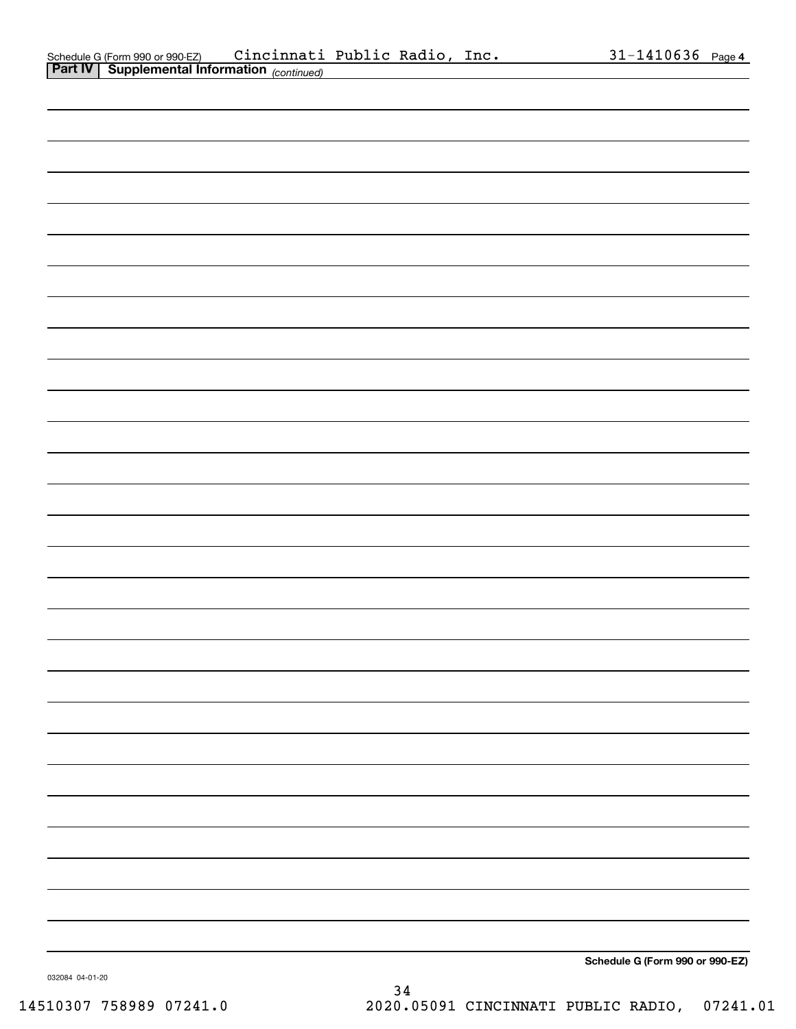| .<br>~<br>continued) continued) |                                 |
|---------------------------------|---------------------------------|
|                                 |                                 |
|                                 |                                 |
|                                 |                                 |
|                                 |                                 |
|                                 |                                 |
|                                 |                                 |
|                                 |                                 |
|                                 |                                 |
|                                 |                                 |
|                                 |                                 |
|                                 |                                 |
|                                 |                                 |
|                                 |                                 |
|                                 |                                 |
|                                 |                                 |
|                                 |                                 |
|                                 |                                 |
|                                 |                                 |
|                                 |                                 |
|                                 |                                 |
|                                 |                                 |
|                                 |                                 |
|                                 |                                 |
|                                 |                                 |
|                                 |                                 |
|                                 |                                 |
|                                 |                                 |
|                                 |                                 |
|                                 |                                 |
|                                 |                                 |
|                                 | Schedule G (Form 990 or 990-EZ) |

032084 04-01-20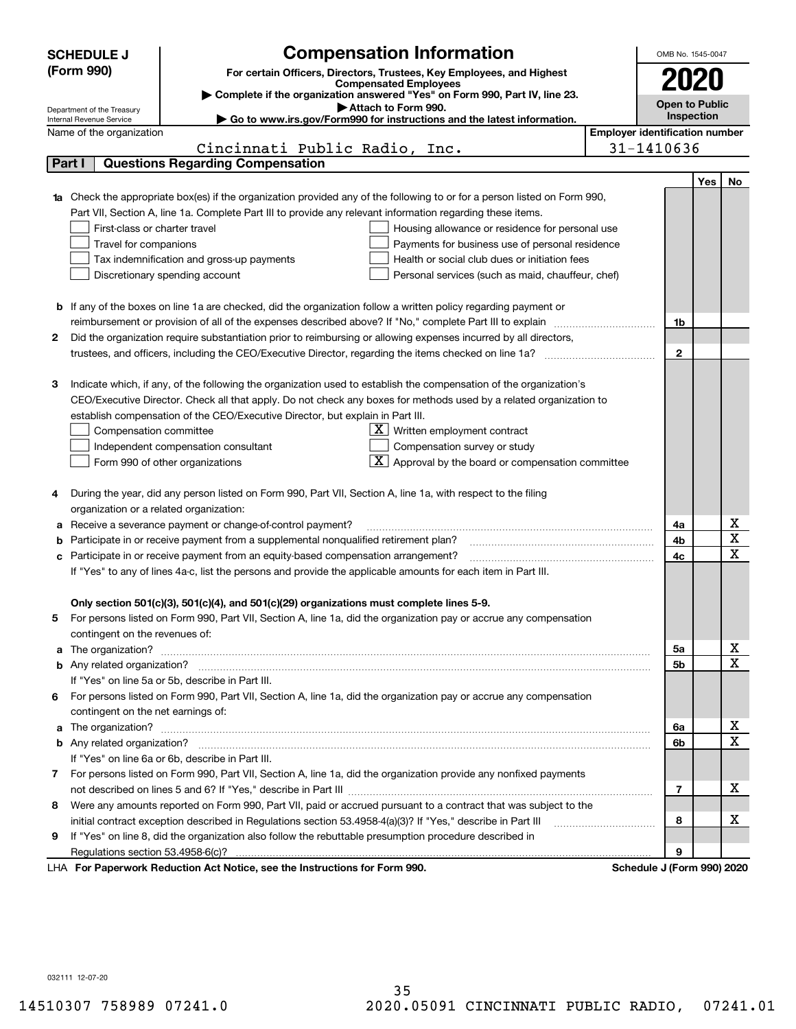|   | <b>SCHEDULE J</b>                                      | <b>Compensation Information</b>                                                                                                                                                                               | OMB No. 1545-0047                     |     |                              |
|---|--------------------------------------------------------|---------------------------------------------------------------------------------------------------------------------------------------------------------------------------------------------------------------|---------------------------------------|-----|------------------------------|
|   | (Form 990)                                             | For certain Officers, Directors, Trustees, Key Employees, and Highest                                                                                                                                         |                                       |     |                              |
|   |                                                        | <b>Compensated Employees</b>                                                                                                                                                                                  |                                       |     |                              |
|   |                                                        | Complete if the organization answered "Yes" on Form 990, Part IV, line 23.                                                                                                                                    | <b>Open to Public</b>                 |     |                              |
|   | Department of the Treasury<br>Internal Revenue Service | Attach to Form 990.<br>Go to www.irs.gov/Form990 for instructions and the latest information.                                                                                                                 | Inspection                            |     |                              |
|   | Name of the organization                               |                                                                                                                                                                                                               | <b>Employer identification number</b> |     |                              |
|   |                                                        | Cincinnati Public Radio, Inc.                                                                                                                                                                                 | 31-1410636                            |     |                              |
|   | Part I                                                 | <b>Questions Regarding Compensation</b>                                                                                                                                                                       |                                       |     |                              |
|   |                                                        |                                                                                                                                                                                                               |                                       | Yes | No                           |
|   |                                                        | <b>1a</b> Check the appropriate box(es) if the organization provided any of the following to or for a person listed on Form 990,                                                                              |                                       |     |                              |
|   |                                                        | Part VII, Section A, line 1a. Complete Part III to provide any relevant information regarding these items.                                                                                                    |                                       |     |                              |
|   | First-class or charter travel                          | Housing allowance or residence for personal use                                                                                                                                                               |                                       |     |                              |
|   | Travel for companions                                  | Payments for business use of personal residence                                                                                                                                                               |                                       |     |                              |
|   |                                                        | Health or social club dues or initiation fees<br>Tax indemnification and gross-up payments                                                                                                                    |                                       |     |                              |
|   |                                                        | Discretionary spending account<br>Personal services (such as maid, chauffeur, chef)                                                                                                                           |                                       |     |                              |
|   |                                                        |                                                                                                                                                                                                               |                                       |     |                              |
|   |                                                        | <b>b</b> If any of the boxes on line 1a are checked, did the organization follow a written policy regarding payment or                                                                                        |                                       |     |                              |
|   |                                                        | reimbursement or provision of all of the expenses described above? If "No," complete Part III to explain                                                                                                      | 1b                                    |     |                              |
| 2 |                                                        | Did the organization require substantiation prior to reimbursing or allowing expenses incurred by all directors,                                                                                              |                                       |     |                              |
|   |                                                        |                                                                                                                                                                                                               | $\mathbf{2}$                          |     |                              |
|   |                                                        |                                                                                                                                                                                                               |                                       |     |                              |
| З |                                                        | Indicate which, if any, of the following the organization used to establish the compensation of the organization's                                                                                            |                                       |     |                              |
|   |                                                        | CEO/Executive Director. Check all that apply. Do not check any boxes for methods used by a related organization to                                                                                            |                                       |     |                              |
|   |                                                        | establish compensation of the CEO/Executive Director, but explain in Part III.                                                                                                                                |                                       |     |                              |
|   | Compensation committee                                 | $X$ Written employment contract                                                                                                                                                                               |                                       |     |                              |
|   |                                                        | Compensation survey or study<br>Independent compensation consultant                                                                                                                                           |                                       |     |                              |
|   |                                                        | Approval by the board or compensation committee<br>Form 990 of other organizations                                                                                                                            |                                       |     |                              |
|   |                                                        |                                                                                                                                                                                                               |                                       |     |                              |
|   |                                                        | During the year, did any person listed on Form 990, Part VII, Section A, line 1a, with respect to the filing                                                                                                  |                                       |     |                              |
|   | organization or a related organization:                |                                                                                                                                                                                                               |                                       |     |                              |
| а |                                                        | Receive a severance payment or change-of-control payment?                                                                                                                                                     | 4a                                    |     | x<br>$\overline{\mathbf{x}}$ |
|   |                                                        | Participate in or receive payment from a supplemental nonqualified retirement plan?                                                                                                                           | 4b                                    |     | $\overline{\mathbf{x}}$      |
|   |                                                        | c Participate in or receive payment from an equity-based compensation arrangement?                                                                                                                            | 4c                                    |     |                              |
|   |                                                        | If "Yes" to any of lines 4a-c, list the persons and provide the applicable amounts for each item in Part III.                                                                                                 |                                       |     |                              |
|   |                                                        |                                                                                                                                                                                                               |                                       |     |                              |
|   |                                                        | Only section 501(c)(3), 501(c)(4), and 501(c)(29) organizations must complete lines 5-9.<br>For persons listed on Form 990, Part VII, Section A, line 1a, did the organization pay or accrue any compensation |                                       |     |                              |
| 5 | contingent on the revenues of:                         |                                                                                                                                                                                                               |                                       |     |                              |
|   |                                                        |                                                                                                                                                                                                               | 5a                                    |     | x                            |
|   |                                                        |                                                                                                                                                                                                               | 5b                                    |     | $\overline{\mathbf{x}}$      |
|   |                                                        | If "Yes" on line 5a or 5b, describe in Part III.                                                                                                                                                              |                                       |     |                              |
|   |                                                        | 6 For persons listed on Form 990, Part VII, Section A, line 1a, did the organization pay or accrue any compensation                                                                                           |                                       |     |                              |
|   | contingent on the net earnings of:                     |                                                                                                                                                                                                               |                                       |     |                              |
|   |                                                        |                                                                                                                                                                                                               | 6a                                    |     | x                            |
|   |                                                        |                                                                                                                                                                                                               | 6b                                    |     | $\overline{\mathbf{x}}$      |
|   |                                                        | If "Yes" on line 6a or 6b, describe in Part III.                                                                                                                                                              |                                       |     |                              |
|   |                                                        | 7 For persons listed on Form 990, Part VII, Section A, line 1a, did the organization provide any nonfixed payments                                                                                            |                                       |     |                              |
|   |                                                        |                                                                                                                                                                                                               | 7                                     |     | х                            |
| 8 |                                                        | Were any amounts reported on Form 990, Part VII, paid or accrued pursuant to a contract that was subject to the                                                                                               |                                       |     |                              |
|   |                                                        |                                                                                                                                                                                                               | 8                                     |     | х                            |
| 9 |                                                        | If "Yes" on line 8, did the organization also follow the rebuttable presumption procedure described in                                                                                                        |                                       |     |                              |
|   |                                                        |                                                                                                                                                                                                               | 9                                     |     |                              |
|   |                                                        | LHA For Paperwork Reduction Act Notice, see the Instructions for Form 990.                                                                                                                                    | Schedule J (Form 990) 2020            |     |                              |

032111 12-07-20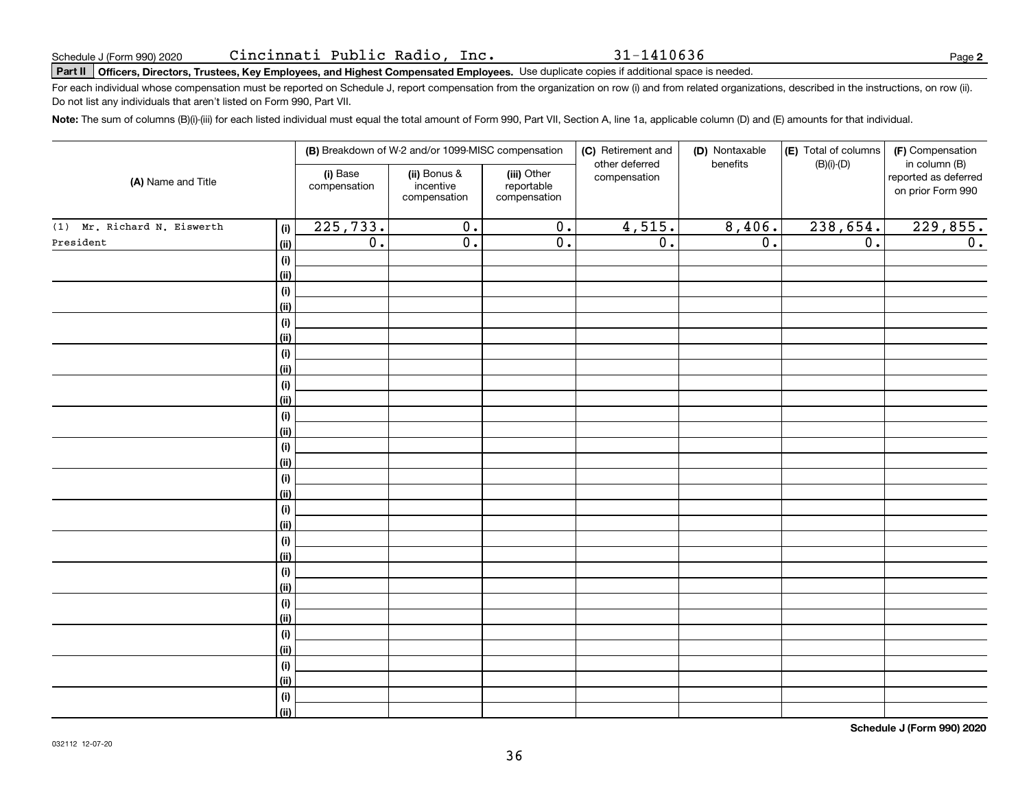31-1410636

# **Part II Officers, Directors, Trustees, Key Employees, and Highest Compensated Employees.**  Schedule J (Form 990) 2020 Page Use duplicate copies if additional space is needed.

For each individual whose compensation must be reported on Schedule J, report compensation from the organization on row (i) and from related organizations, described in the instructions, on row (ii). Do not list any individuals that aren't listed on Form 990, Part VII.

**Note:**  The sum of columns (B)(i)-(iii) for each listed individual must equal the total amount of Form 990, Part VII, Section A, line 1a, applicable column (D) and (E) amounts for that individual.

|                                    |                          | (B) Breakdown of W-2 and/or 1099-MISC compensation |                                           | (C) Retirement and<br>other deferred | (D) Nontaxable<br>benefits | (E) Total of columns | (F) Compensation<br>in column (B)         |
|------------------------------------|--------------------------|----------------------------------------------------|-------------------------------------------|--------------------------------------|----------------------------|----------------------|-------------------------------------------|
| (A) Name and Title                 | (i) Base<br>compensation | (ii) Bonus &<br>incentive<br>compensation          | (iii) Other<br>reportable<br>compensation | compensation                         |                            | $(B)(i)-(D)$         | reported as deferred<br>on prior Form 990 |
| (1) Mr. Richard N. Eiswerth<br>(i) | 225,733.                 | $\overline{0}$ .                                   | $\overline{\mathbf{0}}$ .                 | 4,515.                               | 8,406.                     | 238,654.             | 229,855.                                  |
| President<br><u>(ii)</u>           | $\overline{0}$ .         | $\overline{0}$ .                                   | $\overline{0}$ .                          | $\overline{0}$ .                     | $\overline{0}$ .           | $\overline{0}$ .     | 0.                                        |
| (i)                                |                          |                                                    |                                           |                                      |                            |                      |                                           |
| <u>(ii)</u>                        |                          |                                                    |                                           |                                      |                            |                      |                                           |
| (i)                                |                          |                                                    |                                           |                                      |                            |                      |                                           |
| <u>(ii)</u>                        |                          |                                                    |                                           |                                      |                            |                      |                                           |
| (i)                                |                          |                                                    |                                           |                                      |                            |                      |                                           |
| <u>(ii)</u>                        |                          |                                                    |                                           |                                      |                            |                      |                                           |
| (i)                                |                          |                                                    |                                           |                                      |                            |                      |                                           |
| <u>(ii)</u>                        |                          |                                                    |                                           |                                      |                            |                      |                                           |
| (i)                                |                          |                                                    |                                           |                                      |                            |                      |                                           |
| <u>(ii)</u>                        |                          |                                                    |                                           |                                      |                            |                      |                                           |
| (i)                                |                          |                                                    |                                           |                                      |                            |                      |                                           |
| <u>(ii)</u>                        |                          |                                                    |                                           |                                      |                            |                      |                                           |
| (i)                                |                          |                                                    |                                           |                                      |                            |                      |                                           |
| <u>(ii)</u>                        |                          |                                                    |                                           |                                      |                            |                      |                                           |
| (i)                                |                          |                                                    |                                           |                                      |                            |                      |                                           |
| <u>(ii)</u>                        |                          |                                                    |                                           |                                      |                            |                      |                                           |
| (i)<br><u>(ii)</u>                 |                          |                                                    |                                           |                                      |                            |                      |                                           |
| (i)                                |                          |                                                    |                                           |                                      |                            |                      |                                           |
| <u>(ii)</u>                        |                          |                                                    |                                           |                                      |                            |                      |                                           |
| (i)                                |                          |                                                    |                                           |                                      |                            |                      |                                           |
| <u>(ii)</u>                        |                          |                                                    |                                           |                                      |                            |                      |                                           |
| (i)                                |                          |                                                    |                                           |                                      |                            |                      |                                           |
| <u>(ii)</u>                        |                          |                                                    |                                           |                                      |                            |                      |                                           |
| (i)                                |                          |                                                    |                                           |                                      |                            |                      |                                           |
| <u>(ii)</u>                        |                          |                                                    |                                           |                                      |                            |                      |                                           |
| (i)                                |                          |                                                    |                                           |                                      |                            |                      |                                           |
| <u>(ii)</u>                        |                          |                                                    |                                           |                                      |                            |                      |                                           |
| (i)                                |                          |                                                    |                                           |                                      |                            |                      |                                           |
| $\overline{}}$                     |                          |                                                    |                                           |                                      |                            |                      |                                           |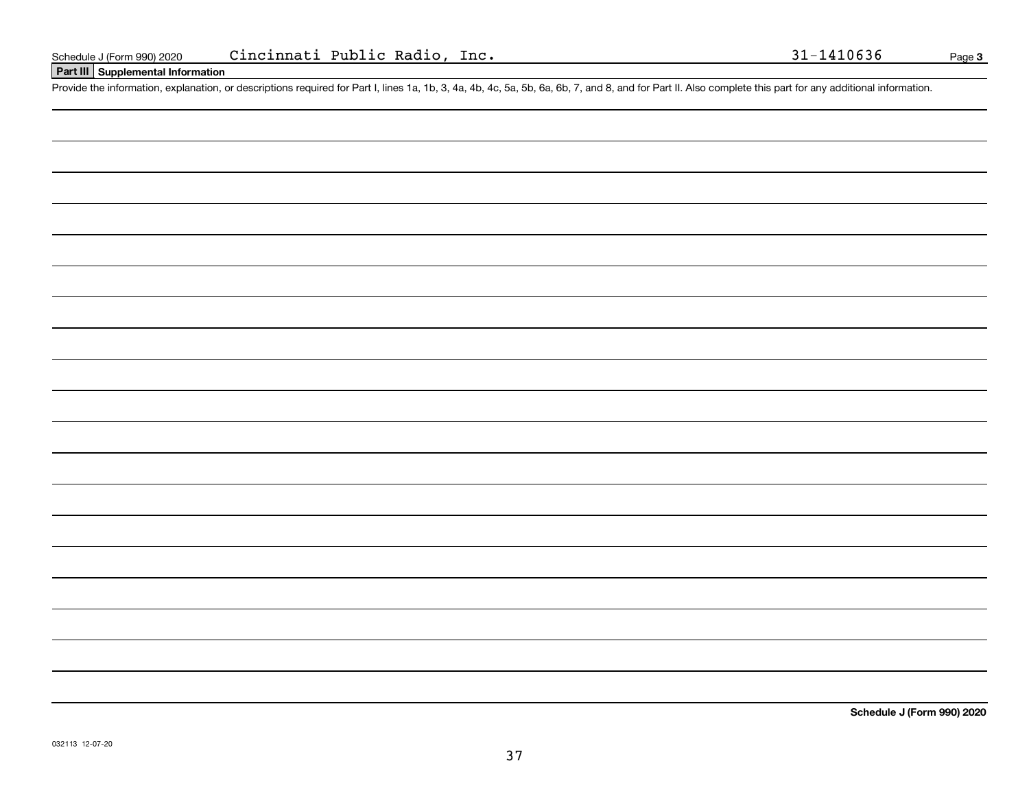### **Part III Supplemental Information**

Schedule J (Form 990) 2020 Cincinnati Public Radio, Inc. 31-1410636<br>Part III Supplemental Information<br>Provide the information, explanation, or descriptions required for Part I, lines 1a, 1b, 3, 4a, 4b, 4c, 5a, 5b, 6a, 6b,

**Schedule J (Form 990) 2020**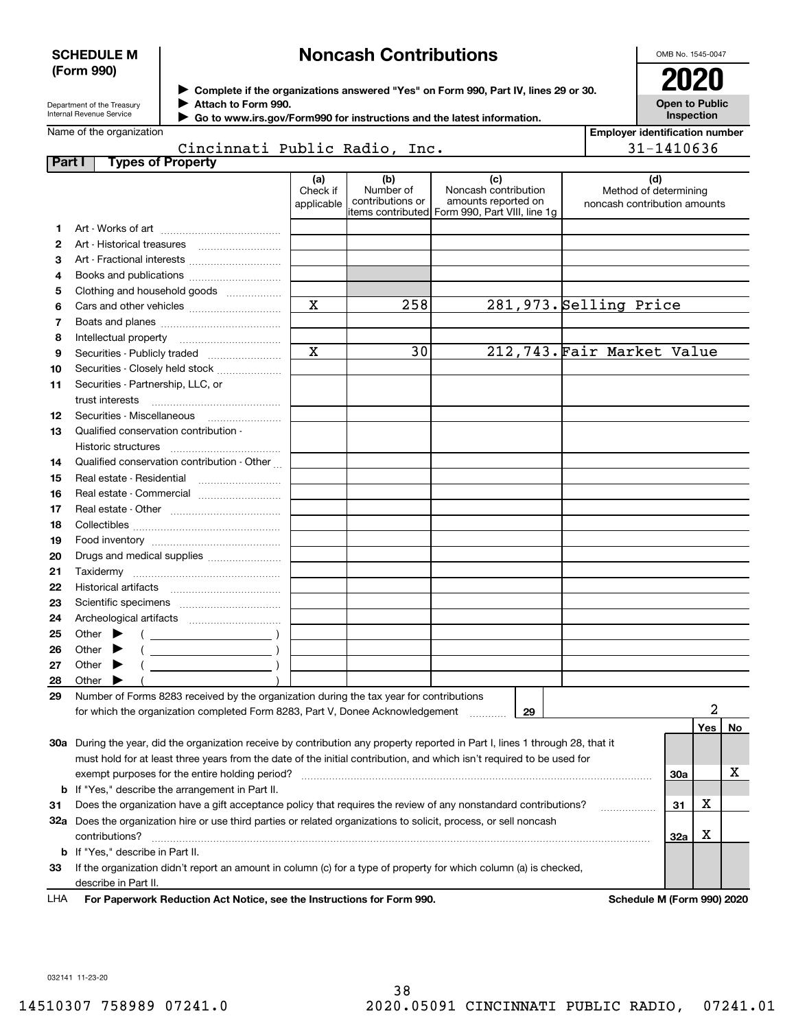### **SCHEDULE M (Form 990)**

## **Noncash Contributions**

OMB No. 1545-0047

**Employer identification number**

31-1410636

| Department of the Treasury |
|----------------------------|
| Internal Revenue Service   |

**Complete if the organizations answered "Yes" on Form 990, Part IV, lines 29 or 30.** <sup>J</sup>**2020 Attach to Form 990.** J

**Open to Public Inspection**

| Name of the organization |  |
|--------------------------|--|

 **Go to www.irs.gov/Form990 for instructions and the latest information.** J

|                                 | Cincinnati Public Radio, Inc. |  |  |
|---------------------------------|-------------------------------|--|--|
| <b>Part I</b> Types of Property |                               |  |  |

| ו טונו | i ypea or i Toperty                                                                                                                                                                                                                                                                                                                                                                |                               |                                      |                                                                                                      |                                                       |     |     |    |
|--------|------------------------------------------------------------------------------------------------------------------------------------------------------------------------------------------------------------------------------------------------------------------------------------------------------------------------------------------------------------------------------------|-------------------------------|--------------------------------------|------------------------------------------------------------------------------------------------------|-------------------------------------------------------|-----|-----|----|
|        |                                                                                                                                                                                                                                                                                                                                                                                    | (a)<br>Check if<br>applicable | (b)<br>Number of<br>contributions or | (c)<br>Noncash contribution<br>amounts reported on<br>items contributed Form 990, Part VIII, line 1g | Method of determining<br>noncash contribution amounts | (d) |     |    |
| 1      |                                                                                                                                                                                                                                                                                                                                                                                    |                               |                                      |                                                                                                      |                                                       |     |     |    |
| 2      |                                                                                                                                                                                                                                                                                                                                                                                    |                               |                                      |                                                                                                      |                                                       |     |     |    |
| 3      |                                                                                                                                                                                                                                                                                                                                                                                    |                               |                                      |                                                                                                      |                                                       |     |     |    |
| 4      |                                                                                                                                                                                                                                                                                                                                                                                    |                               |                                      |                                                                                                      |                                                       |     |     |    |
| 5      | Clothing and household goods                                                                                                                                                                                                                                                                                                                                                       |                               |                                      |                                                                                                      |                                                       |     |     |    |
| 6      |                                                                                                                                                                                                                                                                                                                                                                                    | $\overline{\mathbf{x}}$       | 258                                  |                                                                                                      | 281, 973. Selling Price                               |     |     |    |
| 7      |                                                                                                                                                                                                                                                                                                                                                                                    |                               |                                      |                                                                                                      |                                                       |     |     |    |
| 8      |                                                                                                                                                                                                                                                                                                                                                                                    |                               |                                      |                                                                                                      |                                                       |     |     |    |
| 9      |                                                                                                                                                                                                                                                                                                                                                                                    | $\overline{\mathbf{x}}$       | 30                                   |                                                                                                      | 212,743. Fair Market Value                            |     |     |    |
| 10     | Securities - Closely held stock                                                                                                                                                                                                                                                                                                                                                    |                               |                                      |                                                                                                      |                                                       |     |     |    |
| 11     | Securities - Partnership, LLC, or                                                                                                                                                                                                                                                                                                                                                  |                               |                                      |                                                                                                      |                                                       |     |     |    |
|        | trust interests                                                                                                                                                                                                                                                                                                                                                                    |                               |                                      |                                                                                                      |                                                       |     |     |    |
| 12     |                                                                                                                                                                                                                                                                                                                                                                                    |                               |                                      |                                                                                                      |                                                       |     |     |    |
| 13     | Qualified conservation contribution -                                                                                                                                                                                                                                                                                                                                              |                               |                                      |                                                                                                      |                                                       |     |     |    |
|        | Historic structures                                                                                                                                                                                                                                                                                                                                                                |                               |                                      |                                                                                                      |                                                       |     |     |    |
| 14     | Qualified conservation contribution - Other                                                                                                                                                                                                                                                                                                                                        |                               |                                      |                                                                                                      |                                                       |     |     |    |
|        | Real estate - Residential                                                                                                                                                                                                                                                                                                                                                          |                               |                                      |                                                                                                      |                                                       |     |     |    |
| 15     |                                                                                                                                                                                                                                                                                                                                                                                    |                               |                                      |                                                                                                      |                                                       |     |     |    |
| 16     | Real estate - Commercial                                                                                                                                                                                                                                                                                                                                                           |                               |                                      |                                                                                                      |                                                       |     |     |    |
| 17     |                                                                                                                                                                                                                                                                                                                                                                                    |                               |                                      |                                                                                                      |                                                       |     |     |    |
| 18     |                                                                                                                                                                                                                                                                                                                                                                                    |                               |                                      |                                                                                                      |                                                       |     |     |    |
| 19     |                                                                                                                                                                                                                                                                                                                                                                                    |                               |                                      |                                                                                                      |                                                       |     |     |    |
| 20     | Drugs and medical supplies                                                                                                                                                                                                                                                                                                                                                         |                               |                                      |                                                                                                      |                                                       |     |     |    |
| 21     |                                                                                                                                                                                                                                                                                                                                                                                    |                               |                                      |                                                                                                      |                                                       |     |     |    |
| 22     |                                                                                                                                                                                                                                                                                                                                                                                    |                               |                                      |                                                                                                      |                                                       |     |     |    |
| 23     |                                                                                                                                                                                                                                                                                                                                                                                    |                               |                                      |                                                                                                      |                                                       |     |     |    |
| 24     |                                                                                                                                                                                                                                                                                                                                                                                    |                               |                                      |                                                                                                      |                                                       |     |     |    |
| 25     | Other $\blacktriangleright$                                                                                                                                                                                                                                                                                                                                                        |                               |                                      |                                                                                                      |                                                       |     |     |    |
| 26     | $\begin{picture}(20,10) \put(0,0){\line(1,0){10}} \put(15,0){\line(1,0){10}} \put(15,0){\line(1,0){10}} \put(15,0){\line(1,0){10}} \put(15,0){\line(1,0){10}} \put(15,0){\line(1,0){10}} \put(15,0){\line(1,0){10}} \put(15,0){\line(1,0){10}} \put(15,0){\line(1,0){10}} \put(15,0){\line(1,0){10}} \put(15,0){\line(1,0){10}} \put(15,0){\line(1$<br>Other $\blacktriangleright$ |                               |                                      |                                                                                                      |                                                       |     |     |    |
| 27     | Other $\blacktriangleright$<br><u> Liston de la componenta</u>                                                                                                                                                                                                                                                                                                                     |                               |                                      |                                                                                                      |                                                       |     |     |    |
| 28     | Other                                                                                                                                                                                                                                                                                                                                                                              |                               |                                      |                                                                                                      |                                                       |     |     |    |
| 29     | Number of Forms 8283 received by the organization during the tax year for contributions                                                                                                                                                                                                                                                                                            |                               |                                      |                                                                                                      |                                                       |     |     |    |
|        | for which the organization completed Form 8283, Part V, Donee Acknowledgement                                                                                                                                                                                                                                                                                                      |                               |                                      | 29<br>.                                                                                              |                                                       |     | 2   |    |
|        |                                                                                                                                                                                                                                                                                                                                                                                    |                               |                                      |                                                                                                      |                                                       |     | Yes | No |
|        | 30a During the year, did the organization receive by contribution any property reported in Part I, lines 1 through 28, that it                                                                                                                                                                                                                                                     |                               |                                      |                                                                                                      |                                                       |     |     |    |
|        | must hold for at least three years from the date of the initial contribution, and which isn't required to be used for                                                                                                                                                                                                                                                              |                               |                                      |                                                                                                      |                                                       |     |     |    |
|        | exempt purposes for the entire holding period?                                                                                                                                                                                                                                                                                                                                     |                               |                                      |                                                                                                      |                                                       | 30a |     | х  |
| b      | If "Yes," describe the arrangement in Part II.                                                                                                                                                                                                                                                                                                                                     |                               |                                      |                                                                                                      |                                                       |     |     |    |
| 31     | Does the organization have a gift acceptance policy that requires the review of any nonstandard contributions?                                                                                                                                                                                                                                                                     |                               |                                      |                                                                                                      |                                                       | 31  | х   |    |
| 32a    | Does the organization hire or use third parties or related organizations to solicit, process, or sell noncash                                                                                                                                                                                                                                                                      |                               |                                      |                                                                                                      |                                                       |     |     |    |
|        | contributions?                                                                                                                                                                                                                                                                                                                                                                     |                               |                                      |                                                                                                      |                                                       | 32a | х   |    |
| b      | If "Yes," describe in Part II.                                                                                                                                                                                                                                                                                                                                                     |                               |                                      |                                                                                                      |                                                       |     |     |    |
| 33     | If the organization didn't report an amount in column (c) for a type of property for which column (a) is checked,                                                                                                                                                                                                                                                                  |                               |                                      |                                                                                                      |                                                       |     |     |    |
|        | describe in Part II.                                                                                                                                                                                                                                                                                                                                                               |                               |                                      |                                                                                                      |                                                       |     |     |    |
| LHA    | For Paperwork Reduction Act Notice, see the Instructions for Form 990.                                                                                                                                                                                                                                                                                                             |                               |                                      |                                                                                                      | Schedule M (Form 990) 2020                            |     |     |    |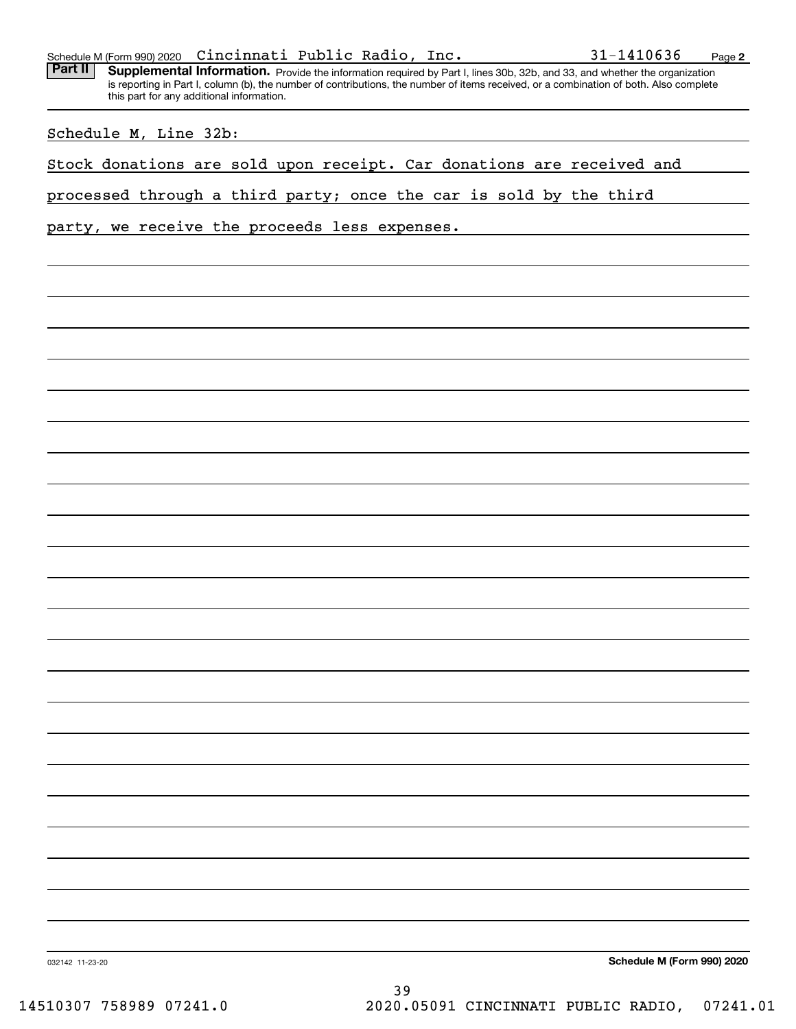|  | Schedule M (Form 990) 2020 | Cincinnati Public Radio, |  |  | Inc. | 31-1410636 | Page |  |
|--|----------------------------|--------------------------|--|--|------|------------|------|--|
|--|----------------------------|--------------------------|--|--|------|------------|------|--|

Part II | Supplemental Information. Provide the information required by Part I, lines 30b, 32b, and 33, and whether the organization is reporting in Part I, column (b), the number of contributions, the number of items received, or a combination of both. Also complete this part for any additional information.

Schedule M, Line 32b:

Stock donations are sold upon receipt. Car donations are received and

processed through a third party; once the car is sold by the third

party, we receive the proceeds less expenses.

**Schedule M (Form 990) 2020**

032142 11-23-20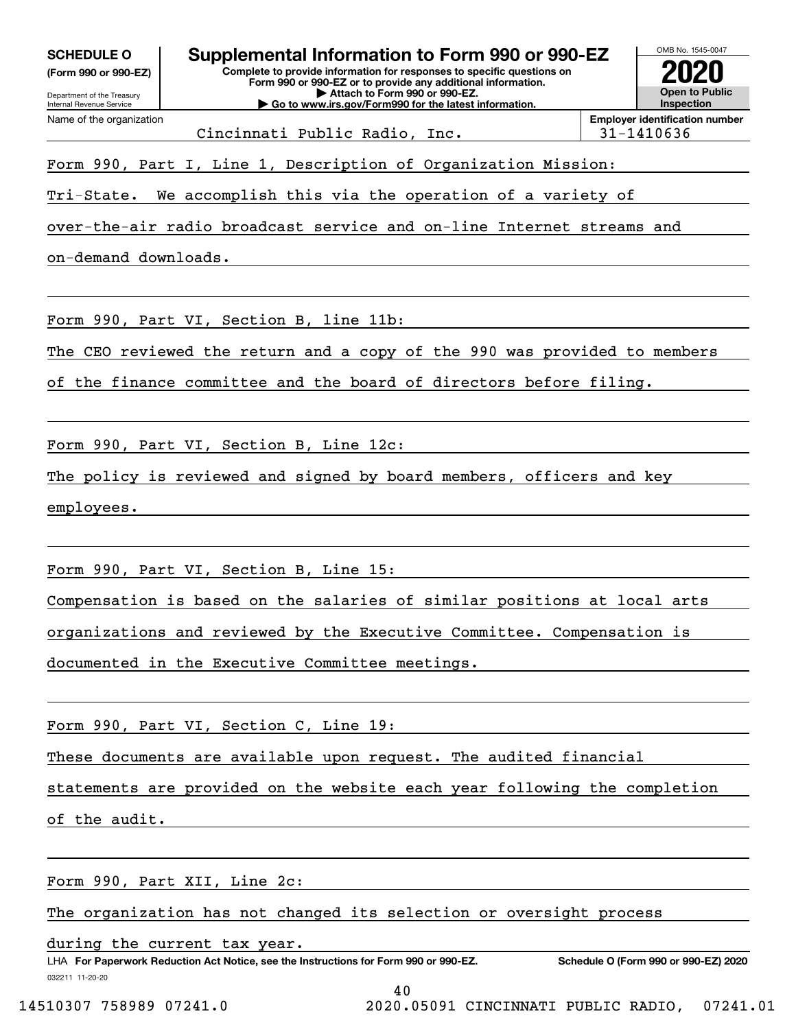| <b>SCHEDULE O</b><br>(Form 990 or 990-EZ)<br>Department of the Treasury<br>Internal Revenue Service | Supplemental Information to Form 990 or 990-EZ<br>Complete to provide information for responses to specific questions on<br>Form 990 or 990-EZ or to provide any additional information.<br>Attach to Form 990 or 990-EZ.<br>Go to www.irs.gov/Form990 for the latest information. |            | OMB No. 1545-0047<br><b>Open to Public</b><br><b>Inspection</b> |
|-----------------------------------------------------------------------------------------------------|------------------------------------------------------------------------------------------------------------------------------------------------------------------------------------------------------------------------------------------------------------------------------------|------------|-----------------------------------------------------------------|
| Name of the organization                                                                            | Cincinnati Public Radio, Inc.                                                                                                                                                                                                                                                      | 31-1410636 | <b>Employer identification number</b>                           |
|                                                                                                     |                                                                                                                                                                                                                                                                                    |            |                                                                 |
|                                                                                                     | Form 990, Part I, Line 1, Description of Organization Mission:                                                                                                                                                                                                                     |            |                                                                 |
| Tri-State.                                                                                          | We accomplish this via the operation of a variety of                                                                                                                                                                                                                               |            |                                                                 |
|                                                                                                     | over-the-air radio broadcast service and on-line Internet streams and                                                                                                                                                                                                              |            |                                                                 |
| on-demand downloads.                                                                                |                                                                                                                                                                                                                                                                                    |            |                                                                 |
|                                                                                                     |                                                                                                                                                                                                                                                                                    |            |                                                                 |
|                                                                                                     | Form 990, Part VI, Section B, line 11b:                                                                                                                                                                                                                                            |            |                                                                 |
|                                                                                                     | The CEO reviewed the return and a copy of the 990 was provided to members                                                                                                                                                                                                          |            |                                                                 |
|                                                                                                     | of the finance committee and the board of directors before filing.                                                                                                                                                                                                                 |            |                                                                 |
|                                                                                                     |                                                                                                                                                                                                                                                                                    |            |                                                                 |
|                                                                                                     | Form 990, Part VI, Section B, Line 12c:                                                                                                                                                                                                                                            |            |                                                                 |
|                                                                                                     | The policy is reviewed and signed by board members, officers and key                                                                                                                                                                                                               |            |                                                                 |
| employees.                                                                                          |                                                                                                                                                                                                                                                                                    |            |                                                                 |
|                                                                                                     |                                                                                                                                                                                                                                                                                    |            |                                                                 |
|                                                                                                     |                                                                                                                                                                                                                                                                                    |            |                                                                 |
|                                                                                                     | Form 990, Part VI, Section B, Line 15:                                                                                                                                                                                                                                             |            |                                                                 |
|                                                                                                     | Compensation is based on the salaries of similar positions at local arts                                                                                                                                                                                                           |            |                                                                 |
|                                                                                                     | organizations and reviewed by the Executive Committee. Compensation is                                                                                                                                                                                                             |            |                                                                 |
|                                                                                                     | documented in the Executive Committee meetings.                                                                                                                                                                                                                                    |            |                                                                 |
|                                                                                                     |                                                                                                                                                                                                                                                                                    |            |                                                                 |
|                                                                                                     | Form 990, Part VI, Section C, Line 19:                                                                                                                                                                                                                                             |            |                                                                 |
|                                                                                                     | These documents are available upon request. The audited financial                                                                                                                                                                                                                  |            |                                                                 |
|                                                                                                     | statements are provided on the website each year following the completion                                                                                                                                                                                                          |            |                                                                 |
| of the audit.                                                                                       |                                                                                                                                                                                                                                                                                    |            |                                                                 |
|                                                                                                     |                                                                                                                                                                                                                                                                                    |            |                                                                 |
|                                                                                                     | Form 990, Part XII, Line 2c:                                                                                                                                                                                                                                                       |            |                                                                 |
|                                                                                                     | The organization has not changed its selection or oversight process                                                                                                                                                                                                                |            |                                                                 |
|                                                                                                     | during the current tax year.                                                                                                                                                                                                                                                       |            |                                                                 |
| 032211 11-20-20                                                                                     | LHA For Paperwork Reduction Act Notice, see the Instructions for Form 990 or 990-EZ.                                                                                                                                                                                               |            | Schedule O (Form 990 or 990-EZ) 2020                            |
|                                                                                                     | 40                                                                                                                                                                                                                                                                                 |            |                                                                 |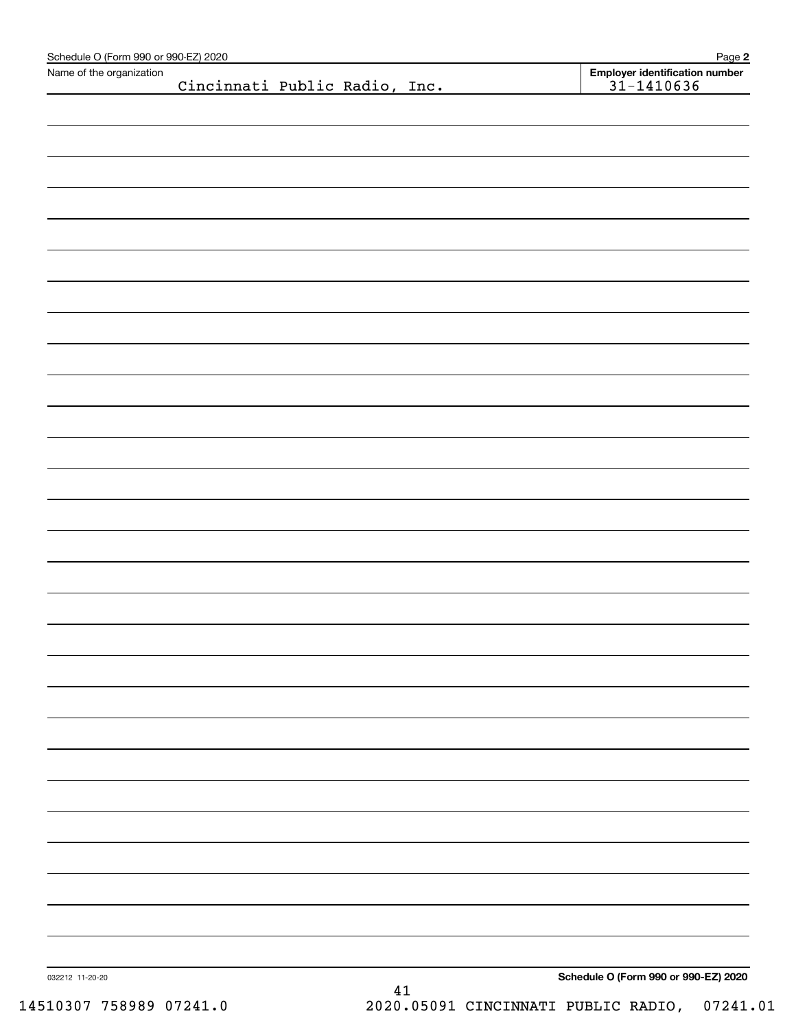| Schedule O (Form 990 or 990-EZ) 2020 |                               |    | Page 2                                           |
|--------------------------------------|-------------------------------|----|--------------------------------------------------|
| Name of the organization             | Cincinnati Public Radio, Inc. |    | Employer identification number<br>$31 - 1410636$ |
|                                      |                               |    |                                                  |
|                                      |                               |    |                                                  |
|                                      |                               |    |                                                  |
|                                      |                               |    |                                                  |
|                                      |                               |    |                                                  |
|                                      |                               |    |                                                  |
|                                      |                               |    |                                                  |
|                                      |                               |    |                                                  |
|                                      |                               |    |                                                  |
|                                      |                               |    |                                                  |
|                                      |                               |    |                                                  |
|                                      |                               |    |                                                  |
|                                      |                               |    |                                                  |
|                                      |                               |    |                                                  |
|                                      |                               |    |                                                  |
|                                      |                               |    |                                                  |
|                                      |                               |    |                                                  |
|                                      |                               |    |                                                  |
|                                      |                               |    |                                                  |
|                                      |                               |    |                                                  |
|                                      |                               |    |                                                  |
|                                      |                               |    |                                                  |
|                                      |                               |    |                                                  |
|                                      |                               |    |                                                  |
|                                      |                               |    |                                                  |
|                                      |                               |    |                                                  |
|                                      |                               |    |                                                  |
|                                      |                               |    |                                                  |
|                                      |                               |    |                                                  |
|                                      |                               |    |                                                  |
|                                      |                               |    |                                                  |
|                                      |                               |    |                                                  |
|                                      |                               |    |                                                  |
|                                      |                               |    |                                                  |
|                                      |                               |    |                                                  |
|                                      |                               |    |                                                  |
|                                      |                               |    |                                                  |
|                                      |                               |    |                                                  |
|                                      |                               |    |                                                  |
|                                      |                               |    |                                                  |
|                                      |                               |    |                                                  |
|                                      |                               |    |                                                  |
|                                      |                               |    |                                                  |
|                                      |                               |    |                                                  |
|                                      |                               |    |                                                  |
|                                      |                               |    |                                                  |
|                                      |                               |    |                                                  |
|                                      |                               |    |                                                  |
|                                      |                               |    |                                                  |
|                                      |                               |    |                                                  |
|                                      |                               |    |                                                  |
|                                      |                               |    |                                                  |
|                                      |                               |    |                                                  |
| 032212 11-20-20                      |                               | 41 | Schedule O (Form 990 or 990-EZ) 2020             |
|                                      |                               |    |                                                  |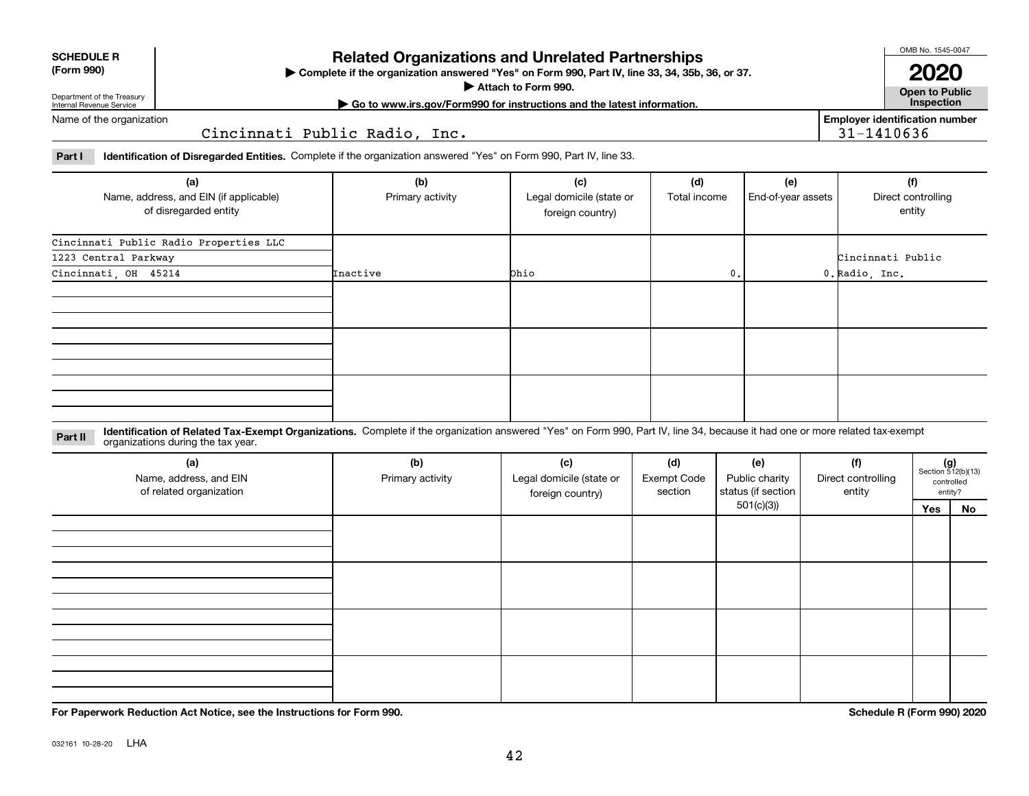| (Form 990) |  |
|------------|--|
|------------|--|

**SCHEDULE R**

### **Related Organizations and Unrelated Partnerships**

**Complete if the organization answered "Yes" on Form 990, Part IV, line 33, 34, 35b, 36, or 37.** |

**Attach to Form 990.**  |

OMB No. 1545-0047

**Open to Public 2020**

**Employer identification number**

31-1410636

Department of the Treasury Internal Revenue Service

**| Go to www.irs.gov/Form990 for instructions and the latest information. Inspection**

Name of the organization

Cincinnati Public Radio, Inc.

**Part I Identification of Disregarded Entities.**  Complete if the organization answered "Yes" on Form 990, Part IV, line 33.

| (a)<br>Name, address, and EIN (if applicable)<br>of disregarded entity | (b)<br>Primary activity | (c)<br>Legal domicile (state or<br>foreign country) | (d)<br>Total income | (e)<br>End-of-year assets | (f)<br>Direct controlling<br>entity |
|------------------------------------------------------------------------|-------------------------|-----------------------------------------------------|---------------------|---------------------------|-------------------------------------|
| Cincinnati Public Radio Properties LLC                                 |                         |                                                     |                     |                           |                                     |
| 1223 Central Parkway                                                   |                         |                                                     |                     |                           | Cincinnati Public                   |
| Cincinnati, OH 45214                                                   | Inactive                | Ohio                                                | 0.                  |                           | 0. Radio, Inc.                      |
|                                                                        |                         |                                                     |                     |                           |                                     |
|                                                                        |                         |                                                     |                     |                           |                                     |
|                                                                        |                         |                                                     |                     |                           |                                     |

**Identification of Related Tax-Exempt Organizations.** Complete if the organization answered "Yes" on Form 990, Part IV, line 34, because it had one or more related tax-exempt **Part II** organizations during the tax year.

| (a)<br>Name, address, and EIN<br>of related organization | (b)<br>Primary activity | (c)<br>Legal domicile (state or<br>foreign country) | (d)<br><b>Exempt Code</b><br>section | (e)<br>Public charity<br>status (if section<br>501(c)(3) | (f)<br>Direct controlling<br>entity | $(g)$<br>Section 512(b)(13) | controlled<br>entity? |
|----------------------------------------------------------|-------------------------|-----------------------------------------------------|--------------------------------------|----------------------------------------------------------|-------------------------------------|-----------------------------|-----------------------|
|                                                          |                         |                                                     |                                      |                                                          |                                     | Yes                         | No                    |
|                                                          |                         |                                                     |                                      |                                                          |                                     |                             |                       |
|                                                          |                         |                                                     |                                      |                                                          |                                     |                             |                       |
|                                                          |                         |                                                     |                                      |                                                          |                                     |                             |                       |

**For Paperwork Reduction Act Notice, see the Instructions for Form 990. Schedule R (Form 990) 2020**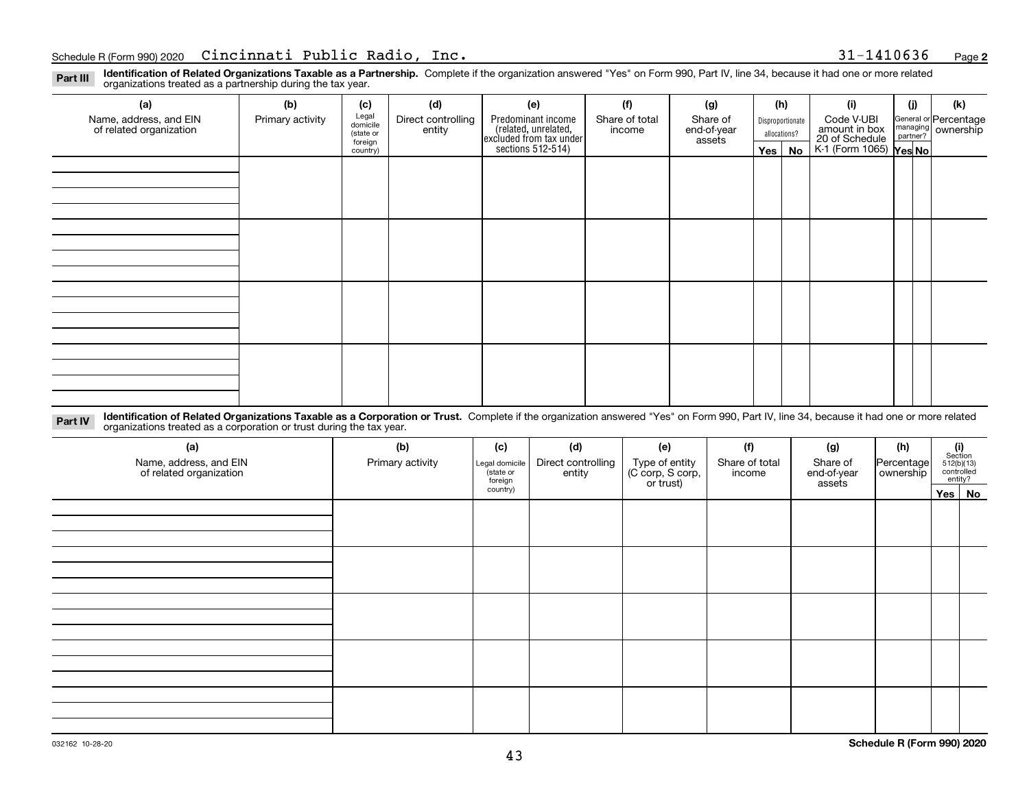**2**

**Identification of Related Organizations Taxable as a Partnership.** Complete if the organization answered "Yes" on Form 990, Part IV, line 34, because it had one or more related **Part III** organizations treated as a partnership during the tax year.

| (a)                                               | (b)              | (c)                  | (d)                          | (e)                                                                                        | (f)                      | (g)                     |         | (h)              | (i)                                                              | (i) | (k)                                                     |
|---------------------------------------------------|------------------|----------------------|------------------------------|--------------------------------------------------------------------------------------------|--------------------------|-------------------------|---------|------------------|------------------------------------------------------------------|-----|---------------------------------------------------------|
| Name, address, and EIN<br>of related organization | Primary activity | Legal<br>domicile    | Direct controlling<br>entity | Predominant income<br>(related, unrelated,<br>excluded from tax under<br>sections 512-514) | Share of total<br>income | Share of<br>end-of-year |         | Disproportionate | Code V-UBI                                                       |     | General or Percentage<br>managing ownership<br>partner? |
|                                                   |                  | (state or<br>foreign |                              |                                                                                            |                          | assets                  |         | allocations?     |                                                                  |     |                                                         |
|                                                   |                  | country)             |                              |                                                                                            |                          |                         | Yes $ $ | No               | amount in box<br>20 of Schedule<br>K-1 (Form 1065) <b>Yes No</b> |     |                                                         |
|                                                   |                  |                      |                              |                                                                                            |                          |                         |         |                  |                                                                  |     |                                                         |
|                                                   |                  |                      |                              |                                                                                            |                          |                         |         |                  |                                                                  |     |                                                         |
|                                                   |                  |                      |                              |                                                                                            |                          |                         |         |                  |                                                                  |     |                                                         |
|                                                   |                  |                      |                              |                                                                                            |                          |                         |         |                  |                                                                  |     |                                                         |
|                                                   |                  |                      |                              |                                                                                            |                          |                         |         |                  |                                                                  |     |                                                         |
|                                                   |                  |                      |                              |                                                                                            |                          |                         |         |                  |                                                                  |     |                                                         |
|                                                   |                  |                      |                              |                                                                                            |                          |                         |         |                  |                                                                  |     |                                                         |
|                                                   |                  |                      |                              |                                                                                            |                          |                         |         |                  |                                                                  |     |                                                         |
|                                                   |                  |                      |                              |                                                                                            |                          |                         |         |                  |                                                                  |     |                                                         |
|                                                   |                  |                      |                              |                                                                                            |                          |                         |         |                  |                                                                  |     |                                                         |
|                                                   |                  |                      |                              |                                                                                            |                          |                         |         |                  |                                                                  |     |                                                         |
|                                                   |                  |                      |                              |                                                                                            |                          |                         |         |                  |                                                                  |     |                                                         |
|                                                   |                  |                      |                              |                                                                                            |                          |                         |         |                  |                                                                  |     |                                                         |
|                                                   |                  |                      |                              |                                                                                            |                          |                         |         |                  |                                                                  |     |                                                         |
|                                                   |                  |                      |                              |                                                                                            |                          |                         |         |                  |                                                                  |     |                                                         |
|                                                   |                  |                      |                              |                                                                                            |                          |                         |         |                  |                                                                  |     |                                                         |
|                                                   |                  |                      |                              |                                                                                            |                          |                         |         |                  |                                                                  |     |                                                         |

**Identification of Related Organizations Taxable as a Corporation or Trust.** Complete if the organization answered "Yes" on Form 990, Part IV, line 34, because it had one or more related **Part IV** organizations treated as a corporation or trust during the tax year.

| (a)<br>Name, address, and EIN<br>of related organization | (b)<br>Primary activity | (d)<br>(c)<br>(e)<br>Direct controlling<br>Type of entity<br>(C corp, S corp,<br>or trust)<br>Legal domicile<br>(state or<br>entity<br>foreign |  | (f)<br>Share of total<br>income | (g)<br>Share of<br>end-of-year<br>assets | (h)<br>Percentage<br>ownership | $\begin{array}{c} \textbf{(i)}\\ \text{Section}\\ 512 \text{(b)} \text{(13)}\\ \text{controlled}\\ \text{entity?} \end{array}$ |        |
|----------------------------------------------------------|-------------------------|------------------------------------------------------------------------------------------------------------------------------------------------|--|---------------------------------|------------------------------------------|--------------------------------|--------------------------------------------------------------------------------------------------------------------------------|--------|
|                                                          |                         | country)                                                                                                                                       |  |                                 |                                          |                                |                                                                                                                                | Yes No |
|                                                          |                         |                                                                                                                                                |  |                                 |                                          |                                |                                                                                                                                |        |
|                                                          |                         |                                                                                                                                                |  |                                 |                                          |                                |                                                                                                                                |        |
|                                                          |                         |                                                                                                                                                |  |                                 |                                          |                                |                                                                                                                                |        |
|                                                          |                         |                                                                                                                                                |  |                                 |                                          |                                |                                                                                                                                |        |
|                                                          |                         |                                                                                                                                                |  |                                 |                                          |                                |                                                                                                                                |        |
|                                                          |                         |                                                                                                                                                |  |                                 |                                          |                                |                                                                                                                                |        |
|                                                          |                         |                                                                                                                                                |  |                                 |                                          |                                |                                                                                                                                |        |
|                                                          |                         |                                                                                                                                                |  |                                 |                                          |                                |                                                                                                                                |        |
|                                                          |                         |                                                                                                                                                |  |                                 |                                          |                                |                                                                                                                                |        |
|                                                          |                         |                                                                                                                                                |  |                                 |                                          |                                |                                                                                                                                |        |
|                                                          |                         |                                                                                                                                                |  |                                 |                                          |                                |                                                                                                                                |        |
|                                                          |                         |                                                                                                                                                |  |                                 |                                          |                                |                                                                                                                                |        |
|                                                          |                         |                                                                                                                                                |  |                                 |                                          |                                |                                                                                                                                |        |
|                                                          |                         |                                                                                                                                                |  |                                 |                                          |                                |                                                                                                                                |        |
|                                                          |                         |                                                                                                                                                |  |                                 |                                          |                                |                                                                                                                                |        |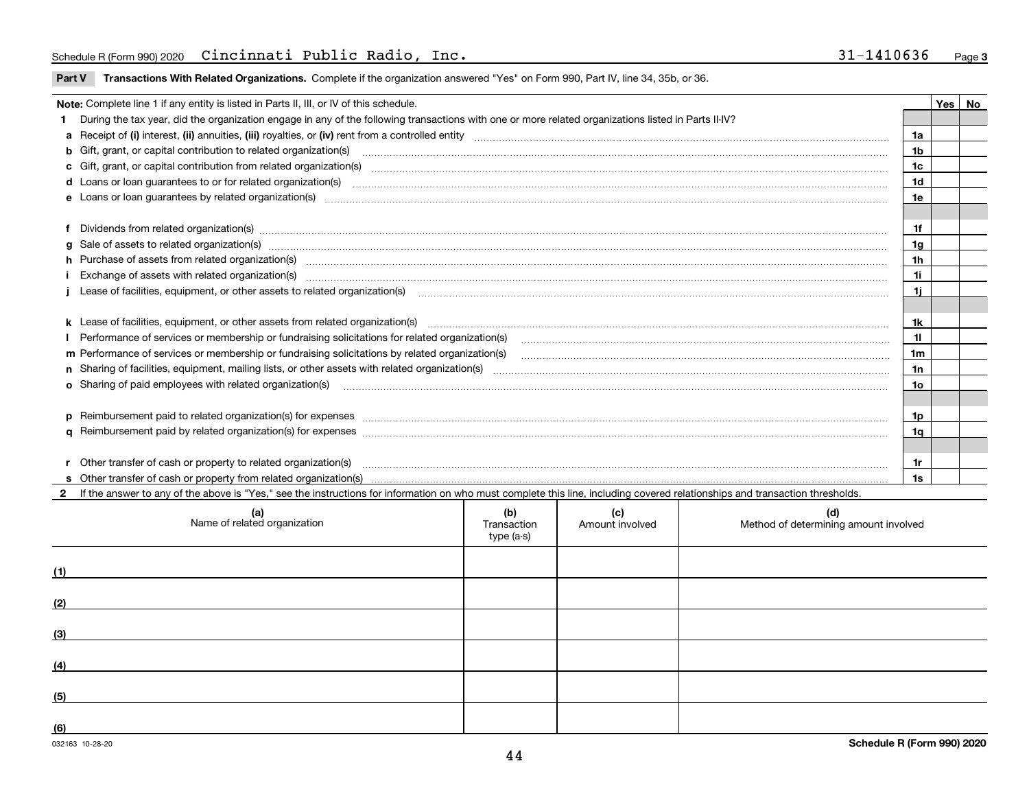### Schedule R (Form 990) 2020 Cincinnati Public Radio, Inc. 31-1410636 <sub>Page</sub>

|  | Part V Transactions With Related Organizations. Complete if the organization answered "Yes" on Form 990, Part IV, line 34, 35b, or 36. |  |  |
|--|----------------------------------------------------------------------------------------------------------------------------------------|--|--|
|--|----------------------------------------------------------------------------------------------------------------------------------------|--|--|

|                                                                                                                                                                                                                                      | Note: Complete line 1 if any entity is listed in Parts II, III, or IV of this schedule.                                                                                                                                              |                |  | Yes   No |  |  |
|--------------------------------------------------------------------------------------------------------------------------------------------------------------------------------------------------------------------------------------|--------------------------------------------------------------------------------------------------------------------------------------------------------------------------------------------------------------------------------------|----------------|--|----------|--|--|
|                                                                                                                                                                                                                                      | During the tax year, did the organization engage in any of the following transactions with one or more related organizations listed in Parts II-IV?                                                                                  |                |  |          |  |  |
|                                                                                                                                                                                                                                      |                                                                                                                                                                                                                                      | 1a             |  |          |  |  |
| <b>b</b> Gift, grant, or capital contribution to related organization(s)<br>1b                                                                                                                                                       |                                                                                                                                                                                                                                      |                |  |          |  |  |
| c Gift, grant, or capital contribution from related organization(s) manufaction(s) and contribution from related organization(s) manufaction contribution from related organization(s) manufaction contribution from related o<br>1c |                                                                                                                                                                                                                                      |                |  |          |  |  |
|                                                                                                                                                                                                                                      |                                                                                                                                                                                                                                      | 1d             |  |          |  |  |
|                                                                                                                                                                                                                                      |                                                                                                                                                                                                                                      | 1e             |  |          |  |  |
|                                                                                                                                                                                                                                      |                                                                                                                                                                                                                                      |                |  |          |  |  |
|                                                                                                                                                                                                                                      | f Dividends from related organization(s) www.assession.com/www.assession.com/www.assession.com/www.assession.com/www.assession.com/www.assession.com/www.assession.com/www.assession.com/www.assession.com/www.assession.com/w       | 1f             |  |          |  |  |
|                                                                                                                                                                                                                                      | g Sale of assets to related organization(s) www.assettion.com/www.assettion.com/www.assettion.com/www.assettion.com/www.assettion.com/www.assettion.com/www.assettion.com/www.assettion.com/www.assettion.com/www.assettion.co       | 1g             |  |          |  |  |
|                                                                                                                                                                                                                                      |                                                                                                                                                                                                                                      | 1 <sub>h</sub> |  |          |  |  |
|                                                                                                                                                                                                                                      | Exchange of assets with related organization(s) www.andron.com/www.andron.com/www.andron.com/www.andron.com/www.andron.com/www.andron.com/www.andron.com/www.andron.com/www.andron.com/www.andron.com/www.andron.com/www.andro       | 1i             |  |          |  |  |
|                                                                                                                                                                                                                                      | Lease of facilities, equipment, or other assets to related organization(s) [11] manufaction(s) [11] manufaction(s) and all manufaction manufactures are not incomparable to the assets to related organization(s) [11] manufac       | 1i             |  |          |  |  |
|                                                                                                                                                                                                                                      |                                                                                                                                                                                                                                      |                |  |          |  |  |
|                                                                                                                                                                                                                                      |                                                                                                                                                                                                                                      | 1k             |  |          |  |  |
|                                                                                                                                                                                                                                      | I Performance of services or membership or fundraising solicitations for related organization(s)                                                                                                                                     | 11             |  |          |  |  |
|                                                                                                                                                                                                                                      |                                                                                                                                                                                                                                      | 1m             |  |          |  |  |
|                                                                                                                                                                                                                                      |                                                                                                                                                                                                                                      | 1n             |  |          |  |  |
|                                                                                                                                                                                                                                      | o Sharing of paid employees with related organization(s) match and contain a substitution of the state of paid employees with related organization(s)                                                                                | 10             |  |          |  |  |
|                                                                                                                                                                                                                                      |                                                                                                                                                                                                                                      |                |  |          |  |  |
|                                                                                                                                                                                                                                      | p Reimbursement paid to related organization(s) for expenses [111] All and the content of the content of the content of the content of the content of the content of the content of the content of the content of the content        | 1p             |  |          |  |  |
|                                                                                                                                                                                                                                      |                                                                                                                                                                                                                                      | 1q             |  |          |  |  |
|                                                                                                                                                                                                                                      |                                                                                                                                                                                                                                      |                |  |          |  |  |
|                                                                                                                                                                                                                                      | Other transfer of cash or property to related organization(s) <b>continuum continuum continuum continuum continuum continuum continuum continuum continuum continuum continuum continuum continuum continuum continuum continuum</b> | 1r             |  |          |  |  |
|                                                                                                                                                                                                                                      |                                                                                                                                                                                                                                      | 1s             |  |          |  |  |

**2** If the answer to any of the above is "Yes," see the instructions for information on who must complete this line, including covered relationships and transaction thresh (a) (a) If the answer to any of the above is "Yes," see the instructions for information on who must complete this line, including covered relationships and transaction thresholds.

| (a)<br>Name of related organization | (b)<br>Transaction<br>type (a-s) | (c)<br>Amount involved | (d)<br>Method of determining amount involved |
|-------------------------------------|----------------------------------|------------------------|----------------------------------------------|
| (1)                                 |                                  |                        |                                              |
| (2)                                 |                                  |                        |                                              |
| (3)                                 |                                  |                        |                                              |
| (4)                                 |                                  |                        |                                              |
| (5)                                 |                                  |                        |                                              |
| (6)                                 |                                  |                        |                                              |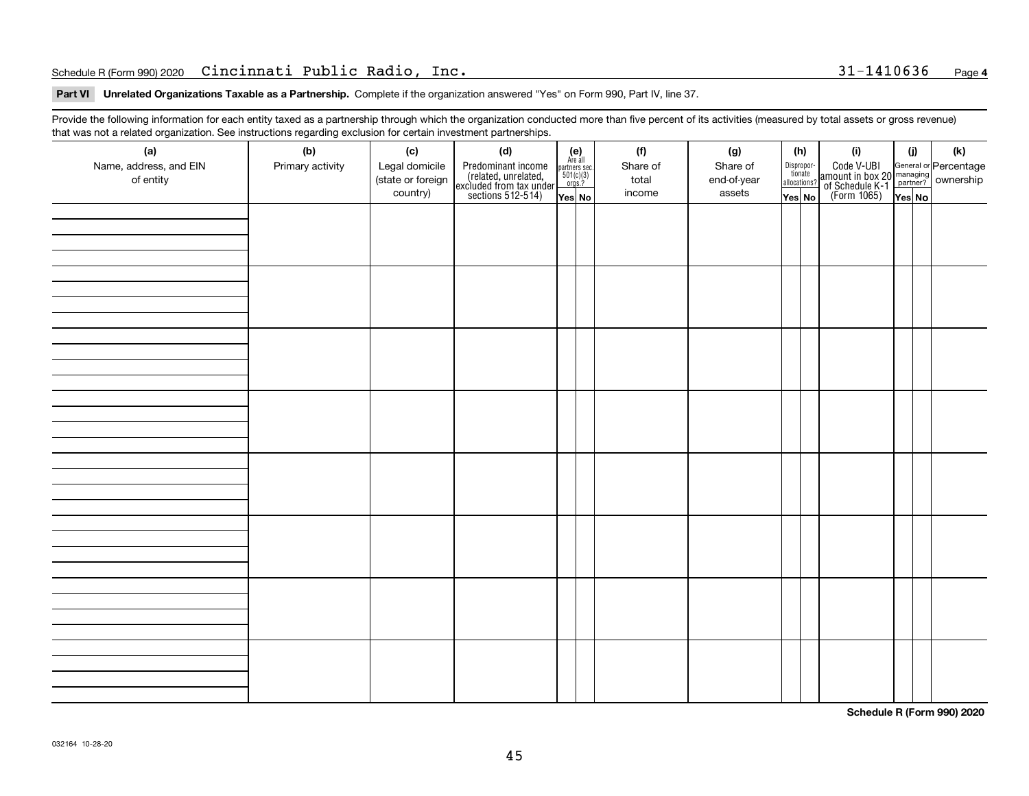#### Schedule R (Form 990) 2020 **Cincinnati Public Radio, Inc.** 31-1410636 <sub>Page</sub>

**Part VI Unrelated Organizations Taxable as a Partnership. Complete if the organization answered "Yes" on Form 990, Part IV, line 37.** 

Provide the following information for each entity taxed as a partnership through which the organization conducted more than five percent of its activities (measured by total assets or gross revenue) that was not a related organization. See instructions regarding exclusion for certain investment partnerships.

| ັ<br>(a)<br>Name, address, and EIN<br>of entity | ັ<br>ັ<br>(b)<br>Primary activity | (c)<br>Legal domicile<br>(state or foreign<br>country) | (d)<br>Predominant income<br>(related, unrelated,<br>excluded from tax under<br>sections 512-514) | (e)<br>Are all<br>$\begin{array}{c}\n\text{partners} \sec \\ 501(c)(3) \\ \text{orgs.?}\n\end{array}$<br>Yes No | (f)<br>Share of<br>total<br>income | (g)<br>Share of<br>end-of-year<br>assets | (h)<br>Dispropor-<br>tionate<br>allocations?<br>Yes No | (i)<br>Code V-UBI<br>amount in box 20 managing<br>of Schedule K-1<br>(Form 1065)<br>$\overline{Yes}$ No | (i)<br>Yes No | (k) |
|-------------------------------------------------|-----------------------------------|--------------------------------------------------------|---------------------------------------------------------------------------------------------------|-----------------------------------------------------------------------------------------------------------------|------------------------------------|------------------------------------------|--------------------------------------------------------|---------------------------------------------------------------------------------------------------------|---------------|-----|
|                                                 |                                   |                                                        |                                                                                                   |                                                                                                                 |                                    |                                          |                                                        |                                                                                                         |               |     |
|                                                 |                                   |                                                        |                                                                                                   |                                                                                                                 |                                    |                                          |                                                        |                                                                                                         |               |     |
|                                                 |                                   |                                                        |                                                                                                   |                                                                                                                 |                                    |                                          |                                                        |                                                                                                         |               |     |
|                                                 |                                   |                                                        |                                                                                                   |                                                                                                                 |                                    |                                          |                                                        |                                                                                                         |               |     |
|                                                 |                                   |                                                        |                                                                                                   |                                                                                                                 |                                    |                                          |                                                        |                                                                                                         |               |     |
|                                                 |                                   |                                                        |                                                                                                   |                                                                                                                 |                                    |                                          |                                                        |                                                                                                         |               |     |
|                                                 |                                   |                                                        |                                                                                                   |                                                                                                                 |                                    |                                          |                                                        |                                                                                                         |               |     |
|                                                 |                                   |                                                        |                                                                                                   |                                                                                                                 |                                    |                                          |                                                        |                                                                                                         |               |     |

**Schedule R (Form 990) 2020**